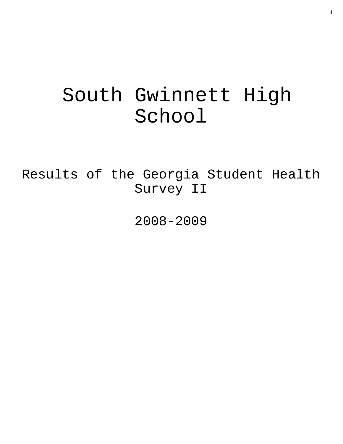# South Gwinnett High School

Results of the Georgia Student Health Survey II

2008-2009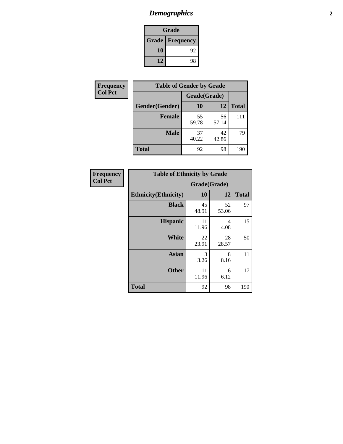# *Demographics* **2**

| Grade                    |    |  |  |  |
|--------------------------|----|--|--|--|
| <b>Grade   Frequency</b> |    |  |  |  |
| 10                       | 92 |  |  |  |
| 12                       | 98 |  |  |  |

| <b>Frequency</b> | <b>Table of Gender by Grade</b> |              |             |              |  |  |
|------------------|---------------------------------|--------------|-------------|--------------|--|--|
| <b>Col Pct</b>   |                                 | Grade(Grade) |             |              |  |  |
|                  | Gender(Gender)                  | 10           | 12          | <b>Total</b> |  |  |
|                  | <b>Female</b>                   | 55<br>59.78  | 56<br>57.14 | 111          |  |  |
|                  | <b>Male</b>                     | 37<br>40.22  | 42<br>42.86 | 79           |  |  |
|                  | <b>Total</b>                    | 92           | 98          | 190          |  |  |

| <b>Frequency</b><br>Col Pct |
|-----------------------------|

| <b>Table of Ethnicity by Grade</b> |              |             |              |  |  |  |
|------------------------------------|--------------|-------------|--------------|--|--|--|
|                                    | Grade(Grade) |             |              |  |  |  |
| <b>Ethnicity</b> (Ethnicity)       | 10           | 12          | <b>Total</b> |  |  |  |
| <b>Black</b>                       | 45<br>48.91  | 52<br>53.06 | 97           |  |  |  |
| <b>Hispanic</b>                    | 11<br>11.96  | 4<br>4.08   | 15           |  |  |  |
| White                              | 22<br>23.91  | 28<br>28.57 | 50           |  |  |  |
| <b>Asian</b>                       | 3<br>3.26    | 8<br>8.16   | 11           |  |  |  |
| <b>Other</b>                       | 11<br>11.96  | 6<br>6.12   | 17           |  |  |  |
| <b>Total</b>                       | 92           | 98          | 190          |  |  |  |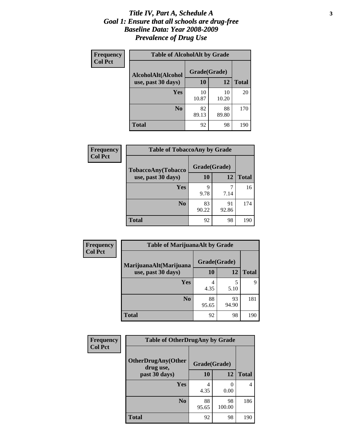### *Title IV, Part A, Schedule A* **3** *Goal 1: Ensure that all schools are drug-free Baseline Data: Year 2008-2009 Prevalence of Drug Use*

| Frequency<br><b>Col Pct</b> | <b>Table of AlcoholAlt by Grade</b> |              |             |              |  |  |
|-----------------------------|-------------------------------------|--------------|-------------|--------------|--|--|
|                             | AlcoholAlt(Alcohol                  | Grade(Grade) |             |              |  |  |
|                             | use, past 30 days)                  | 10           | 12          | <b>Total</b> |  |  |
|                             | Yes                                 | 10<br>10.87  | 10<br>10.20 | 20           |  |  |
|                             | N <sub>0</sub>                      | 82<br>89.13  | 88<br>89.80 | 170          |  |  |
|                             | <b>Total</b>                        | 92           | 98          | 190          |  |  |

| <b>Frequency</b><br><b>Col Pct</b> | <b>Table of TobaccoAny by Grade</b> |              |             |              |  |
|------------------------------------|-------------------------------------|--------------|-------------|--------------|--|
|                                    | TobaccoAny(Tobacco                  | Grade(Grade) |             |              |  |
|                                    | use, past 30 days)                  | 10           | 12          | <b>Total</b> |  |
|                                    | Yes                                 | 9<br>9.78    | 7<br>7.14   | 16           |  |
|                                    | N <sub>0</sub>                      | 83<br>90.22  | 91<br>92.86 | 174          |  |
|                                    | Total                               | 92           | 98          | 190          |  |

| Frequency<br><b>Col Pct</b> | <b>Table of MarijuanaAlt by Grade</b> |              |             |              |  |  |
|-----------------------------|---------------------------------------|--------------|-------------|--------------|--|--|
|                             | MarijuanaAlt(Marijuana                | Grade(Grade) |             |              |  |  |
|                             | use, past 30 days)                    | 10           | 12          | <b>Total</b> |  |  |
|                             | <b>Yes</b>                            | 4<br>4.35    | 5<br>5.10   | q            |  |  |
|                             | N <sub>0</sub>                        | 88<br>95.65  | 93<br>94.90 | 181          |  |  |
|                             | <b>Total</b>                          | 92           | 98          | 190          |  |  |

| Frequency<br><b>Col Pct</b> | <b>Table of OtherDrugAny by Grade</b>                  |             |              |                |  |
|-----------------------------|--------------------------------------------------------|-------------|--------------|----------------|--|
|                             | <b>OtherDrugAny(Other</b><br>Grade(Grade)<br>drug use, |             |              |                |  |
|                             | past 30 days)                                          | 10          | 12           | <b>Total</b>   |  |
|                             | Yes                                                    | 4<br>4.35   | 0<br>0.00    | $\overline{4}$ |  |
|                             | N <sub>0</sub>                                         | 88<br>95.65 | 98<br>100.00 | 186            |  |
|                             | <b>Total</b>                                           | 92          | 98           | 190            |  |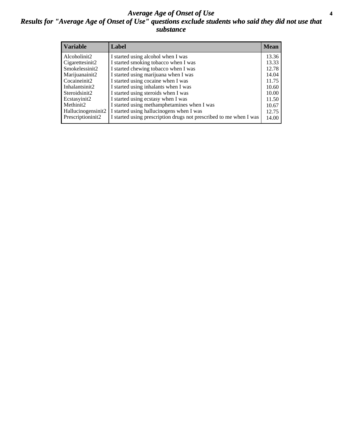### *Average Age of Onset of Use* **4** *Results for "Average Age of Onset of Use" questions exclude students who said they did not use that substance*

| <b>Variable</b>    | Label                                                              | <b>Mean</b> |
|--------------------|--------------------------------------------------------------------|-------------|
| Alcoholinit2       | I started using alcohol when I was                                 | 13.36       |
| Cigarettesinit2    | I started smoking tobacco when I was                               | 13.33       |
| Smokelessinit2     | I started chewing tobacco when I was                               | 12.78       |
| Marijuanainit2     | I started using marijuana when I was                               | 14.04       |
| Cocaineinit2       | I started using cocaine when I was                                 | 11.75       |
| Inhalantsinit2     | I started using inhalants when I was                               | 10.60       |
| Steroidsinit2      | I started using steroids when I was                                | 10.00       |
| Ecstasyinit2       | I started using ecstasy when I was                                 | 11.50       |
| Methinit2          | I started using methamphetamines when I was                        | 10.67       |
| Hallucinogensinit2 | I started using hallucinogens when I was                           | 12.75       |
| Prescriptioninit2  | I started using prescription drugs not prescribed to me when I was | 14.00       |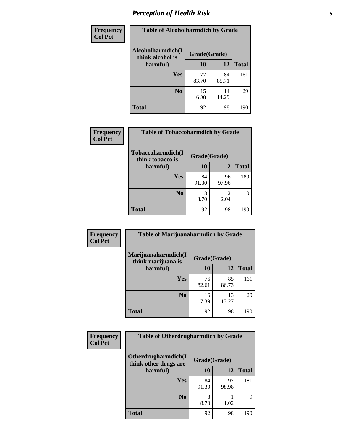# *Perception of Health Risk* **5**

| <b>Frequency</b> | <b>Table of Alcoholharmdich by Grade</b> |              |             |              |  |
|------------------|------------------------------------------|--------------|-------------|--------------|--|
| <b>Col Pct</b>   | Alcoholharmdich(I<br>think alcohol is    | Grade(Grade) |             |              |  |
|                  | harmful)                                 | 10           | 12          | <b>Total</b> |  |
|                  | Yes                                      | 77<br>83.70  | 84<br>85.71 | 161          |  |
|                  | N <sub>0</sub>                           | 15<br>16.30  | 14<br>14.29 | 29           |  |
|                  | <b>Total</b>                             | 92           | 98          | 190          |  |

| Frequency      | <b>Table of Tobaccoharmdich by Grade</b> |              |                        |              |  |
|----------------|------------------------------------------|--------------|------------------------|--------------|--|
| <b>Col Pct</b> | Tobaccoharmdich(I<br>think tobacco is    | Grade(Grade) |                        |              |  |
|                | harmful)                                 | 10           | 12                     | <b>Total</b> |  |
|                | <b>Yes</b>                               | 84<br>91.30  | 96<br>97.96            | 180          |  |
|                | N <sub>0</sub>                           | 8<br>8.70    | $\mathfrak{D}$<br>2.04 | 10           |  |
|                | <b>Total</b>                             | 92           | 98                     | 190          |  |

| Frequency      | <b>Table of Marijuanaharmdich by Grade</b> |              |             |              |  |  |
|----------------|--------------------------------------------|--------------|-------------|--------------|--|--|
| <b>Col Pct</b> | Marijuanaharmdich(I<br>think marijuana is  | Grade(Grade) |             |              |  |  |
|                | harmful)                                   | 10           | 12          | <b>Total</b> |  |  |
|                | <b>Yes</b>                                 | 76<br>82.61  | 85<br>86.73 | 161          |  |  |
|                | N <sub>0</sub>                             | 16<br>17.39  | 13<br>13.27 | 29           |  |  |
|                | <b>Total</b>                               | 92           | 98          | 190          |  |  |

| <b>Frequency</b> | <b>Table of Otherdrugharmdich by Grade</b>                   |             |             |              |  |
|------------------|--------------------------------------------------------------|-------------|-------------|--------------|--|
| <b>Col Pct</b>   | Otherdrugharmdich(I<br>Grade(Grade)<br>think other drugs are |             |             |              |  |
|                  | harmful)                                                     | <b>10</b>   | <b>12</b>   | <b>Total</b> |  |
|                  | <b>Yes</b>                                                   | 84<br>91.30 | 97<br>98.98 | 181          |  |
|                  | N <sub>0</sub>                                               | 8.70        | 1.02        | 9            |  |
|                  | <b>Total</b>                                                 | 92          | 98          | 190          |  |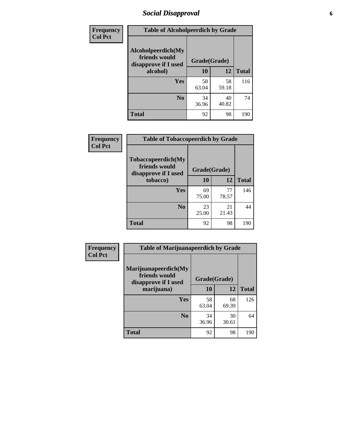# *Social Disapproval* **6**

| <b>Frequency</b> | <b>Table of Alcoholpeerdich by Grade</b>                                |              |             |              |
|------------------|-------------------------------------------------------------------------|--------------|-------------|--------------|
| <b>Col Pct</b>   | Alcoholpeerdich(My<br>friends would<br>disapprove if I used<br>alcohol) | Grade(Grade) |             |              |
|                  |                                                                         | 10           | 12          | <b>Total</b> |
|                  | <b>Yes</b>                                                              | 58<br>63.04  | 58<br>59.18 | 116          |
|                  | N <sub>0</sub>                                                          | 34<br>36.96  | 40<br>40.82 | 74           |
|                  | <b>Total</b>                                                            | 92           | 98          | 190          |

| <b>Frequency</b> |
|------------------|
| <b>Col Pct</b>   |

| <b>Table of Tobaccopeerdich by Grade</b>                    |              |             |              |  |
|-------------------------------------------------------------|--------------|-------------|--------------|--|
| Tobaccopeerdich(My<br>friends would<br>disapprove if I used | Grade(Grade) |             |              |  |
| tobacco)                                                    | 10           | 12          | <b>Total</b> |  |
| Yes                                                         | 69<br>75.00  | 77<br>78.57 | 146          |  |
| N <sub>0</sub>                                              | 23<br>25.00  | 21<br>21.43 | 44           |  |
| <b>Total</b>                                                | 92           | 98          | 190          |  |

| <b>Frequency</b> | <b>Table of Marijuanapeerdich by Grade</b>                    |              |             |              |  |
|------------------|---------------------------------------------------------------|--------------|-------------|--------------|--|
| <b>Col Pct</b>   | Marijuanapeerdich(My<br>friends would<br>disapprove if I used | Grade(Grade) |             |              |  |
|                  | marijuana)                                                    | 10           | 12          | <b>Total</b> |  |
|                  | <b>Yes</b>                                                    | 58<br>63.04  | 68<br>69.39 | 126          |  |
|                  | N <sub>0</sub>                                                | 34<br>36.96  | 30<br>30.61 | 64           |  |
|                  | <b>Total</b>                                                  | 92           | 98          | 190          |  |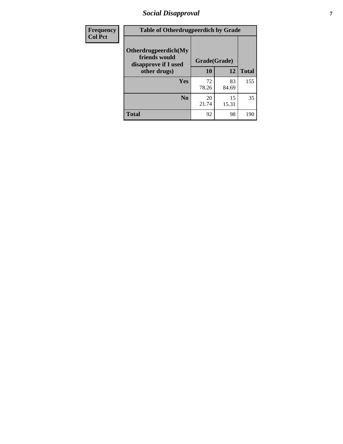# *Social Disapproval* **7**

| Frequency      | <b>Table of Otherdrugpeerdich by Grade</b>                    |              |             |              |  |
|----------------|---------------------------------------------------------------|--------------|-------------|--------------|--|
| <b>Col Pct</b> | Otherdrugpeerdich(My<br>friends would<br>disapprove if I used | Grade(Grade) |             |              |  |
|                | other drugs)                                                  | 10           | 12          | <b>Total</b> |  |
|                | <b>Yes</b>                                                    | 72<br>78.26  | 83<br>84.69 | 155          |  |
|                | N <sub>0</sub>                                                | 20<br>21.74  | 15<br>15.31 | 35           |  |
|                | <b>Total</b>                                                  | 92           | 98          | 190          |  |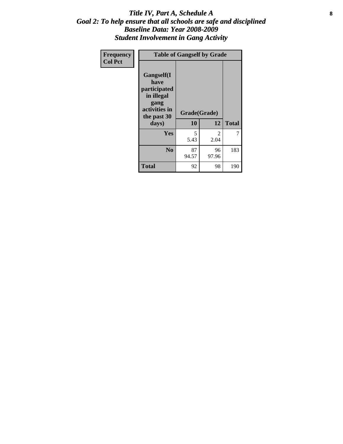### Title IV, Part A, Schedule A **8** *Goal 2: To help ensure that all schools are safe and disciplined Baseline Data: Year 2008-2009 Student Involvement in Gang Activity*

| Frequency      | <b>Table of Gangself by Grade</b>                                                                 |                    |             |              |
|----------------|---------------------------------------------------------------------------------------------------|--------------------|-------------|--------------|
| <b>Col Pct</b> | Gangself(I<br>have<br>participated<br>in illegal<br>gang<br>activities in<br>the past 30<br>days) | Grade(Grade)<br>10 | 12          | <b>Total</b> |
|                | Yes                                                                                               | 5<br>5.43          | 2<br>2.04   | 7            |
|                | N <sub>0</sub>                                                                                    | 87<br>94.57        | 96<br>97.96 | 183          |
|                | <b>Total</b>                                                                                      | 92                 | 98          | 190          |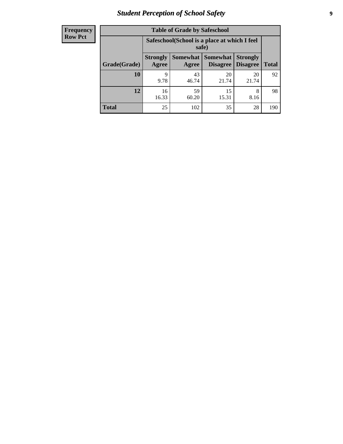# *Student Perception of School Safety* **9**

| <b>Frequency</b><br>Row Pct |
|-----------------------------|
|                             |

| <b>Table of Grade by Safeschool</b> |                                                                                                                                      |                                                        |             |             |     |  |  |
|-------------------------------------|--------------------------------------------------------------------------------------------------------------------------------------|--------------------------------------------------------|-------------|-------------|-----|--|--|
|                                     |                                                                                                                                      | Safeschool (School is a place at which I feel<br>safe) |             |             |     |  |  |
| Grade(Grade)                        | Somewhat  <br><b>Somewhat</b><br><b>Strongly</b><br><b>Strongly</b><br><b>Disagree</b><br>Agree<br>Disagree<br><b>Total</b><br>Agree |                                                        |             |             |     |  |  |
| <b>10</b>                           | 9<br>9.78                                                                                                                            | 43<br>46.74                                            | 20<br>21.74 | 20<br>21.74 | 92  |  |  |
| 12                                  | 16<br>16.33                                                                                                                          | 59<br>60.20                                            | 15<br>15.31 | 8<br>8.16   | 98  |  |  |
| <b>Total</b>                        | 25                                                                                                                                   | 102                                                    | 35          | 28          | 190 |  |  |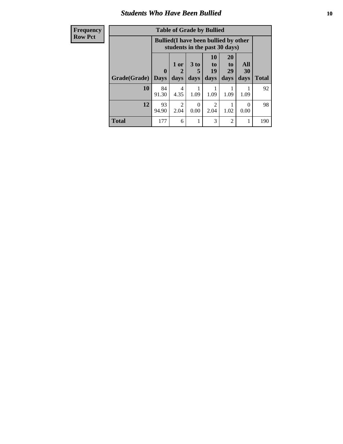### *Students Who Have Been Bullied* **10**

| <b>Frequency</b> | <b>Table of Grade by Bullied</b>                                              |              |                        |                      |                                                                    |                       |           |              |
|------------------|-------------------------------------------------------------------------------|--------------|------------------------|----------------------|--------------------------------------------------------------------|-----------------------|-----------|--------------|
| <b>Row Pct</b>   | <b>Bullied</b> (I have been bullied by other<br>students in the past 30 days) |              |                        |                      |                                                                    |                       |           |              |
|                  |                                                                               | $\mathbf{0}$ | 1 or<br>2              | 3 <sub>to</sub><br>5 | <b>10</b><br>$\mathbf{t}$ <sup><math>\mathbf{0}</math></sup><br>19 | <b>20</b><br>to<br>29 | All<br>30 |              |
|                  | Grade(Grade)                                                                  | Days         | days                   | days                 | days                                                               | days                  | days      | <b>Total</b> |
|                  | 10                                                                            | 84<br>91.30  | 4<br>4.35              | 1.09                 | 1.09                                                               | 1.09                  | 1.09      | 92           |
|                  | 12                                                                            | 93<br>94.90  | $\mathfrak{D}$<br>2.04 | $\Omega$<br>0.00     | $\mathfrak{D}$<br>2.04                                             | 1.02                  | 0<br>0.00 | 98           |
|                  | <b>Total</b>                                                                  | 177          | 6                      |                      | 3                                                                  | $\overline{2}$        | 1         | 190          |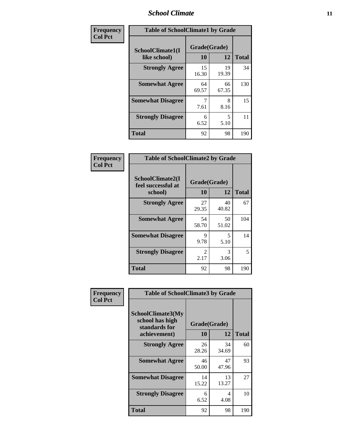### *School Climate* **11**

| Frequency      | <b>Table of SchoolClimate1 by Grade</b> |                    |             |              |  |
|----------------|-----------------------------------------|--------------------|-------------|--------------|--|
| <b>Col Pct</b> | SchoolClimate1(I<br>like school)        | Grade(Grade)<br>10 | 12          | <b>Total</b> |  |
|                | <b>Strongly Agree</b>                   | 15<br>16.30        | 19<br>19.39 | 34           |  |
|                | <b>Somewhat Agree</b>                   | 64<br>69.57        | 66<br>67.35 | 130          |  |
|                | <b>Somewhat Disagree</b>                | 7.61               | 8<br>8.16   | 15           |  |
|                | <b>Strongly Disagree</b>                | 6<br>6.52          | 5<br>5.10   | 11           |  |
|                | <b>Total</b>                            | 92                 | 98          | 190          |  |

| Frequency      | <b>Table of SchoolClimate2 by Grade</b>           |                        |             |              |  |  |
|----------------|---------------------------------------------------|------------------------|-------------|--------------|--|--|
| <b>Col Pct</b> | SchoolClimate2(I<br>feel successful at<br>school) | Grade(Grade)<br>10     | 12          | <b>Total</b> |  |  |
|                | <b>Strongly Agree</b>                             | 27<br>29.35            | 40<br>40.82 | 67           |  |  |
|                | <b>Somewhat Agree</b>                             | 54<br>58.70            | 50<br>51.02 | 104          |  |  |
|                | <b>Somewhat Disagree</b>                          | 9<br>9.78              | 5<br>5.10   | 14           |  |  |
|                | <b>Strongly Disagree</b>                          | $\mathfrak{D}$<br>2.17 | 3<br>3.06   | 5            |  |  |
|                | <b>Total</b>                                      | 92                     | 98          | 190          |  |  |

| Frequency      | <b>Table of SchoolClimate3 by Grade</b>                      |              |             |              |  |
|----------------|--------------------------------------------------------------|--------------|-------------|--------------|--|
| <b>Col Pct</b> | <b>SchoolClimate3(My</b><br>school has high<br>standards for | Grade(Grade) |             |              |  |
|                | achievement)                                                 | 10           | 12          | <b>Total</b> |  |
|                | <b>Strongly Agree</b>                                        | 26<br>28.26  | 34<br>34.69 | 60           |  |
|                | <b>Somewhat Agree</b>                                        | 46<br>50.00  | 47<br>47.96 | 93           |  |
|                | <b>Somewhat Disagree</b>                                     | 14<br>15.22  | 13<br>13.27 | 27           |  |
|                | <b>Strongly Disagree</b>                                     | 6<br>6.52    | 4<br>4.08   | 10           |  |
|                | Total                                                        | 92           | 98          | 190          |  |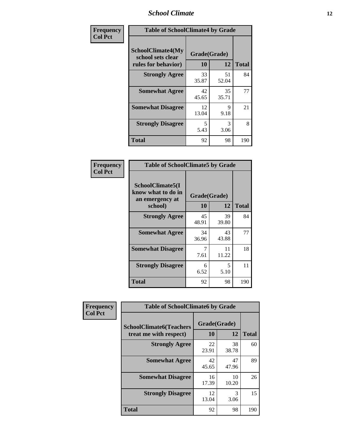### *School Climate* **12**

| Frequency      | <b>Table of SchoolClimate4 by Grade</b>                       |                    |             |              |
|----------------|---------------------------------------------------------------|--------------------|-------------|--------------|
| <b>Col Pct</b> | SchoolClimate4(My<br>school sets clear<br>rules for behavior) | Grade(Grade)<br>10 | 12          | <b>Total</b> |
|                | <b>Strongly Agree</b>                                         | 33<br>35.87        | 51<br>52.04 | 84           |
|                | <b>Somewhat Agree</b>                                         | 42<br>45.65        | 35<br>35.71 | 77           |
|                | <b>Somewhat Disagree</b>                                      | 12<br>13.04        | 9<br>9.18   | 21           |
|                | <b>Strongly Disagree</b>                                      | 5<br>5.43          | 3<br>3.06   | 8            |
|                | <b>Total</b>                                                  | 92                 | 98          | 190          |

| <b>Table of SchoolClimate5 by Grade</b>                              |                    |              |     |  |
|----------------------------------------------------------------------|--------------------|--------------|-----|--|
| SchoolClimate5(I<br>know what to do in<br>an emergency at<br>school) | Grade(Grade)<br>10 | <b>Total</b> |     |  |
| <b>Strongly Agree</b>                                                | 45<br>48.91        | 39<br>39.80  | 84  |  |
| <b>Somewhat Agree</b>                                                | 34<br>36.96        | 43<br>43.88  | 77  |  |
| <b>Somewhat Disagree</b>                                             | 7<br>7.61          | 11<br>11.22  | 18  |  |
| <b>Strongly Disagree</b>                                             | 6<br>6.52          | 5<br>5.10    | 11  |  |
| Total                                                                | 92                 | 98           | 190 |  |

| Frequency      | <b>Table of SchoolClimate6 by Grade</b>                  |                    |             |              |
|----------------|----------------------------------------------------------|--------------------|-------------|--------------|
| <b>Col Pct</b> | <b>SchoolClimate6(Teachers</b><br>treat me with respect) | Grade(Grade)<br>10 | 12          | <b>Total</b> |
|                | <b>Strongly Agree</b>                                    | 22<br>23.91        | 38<br>38.78 | 60           |
|                | <b>Somewhat Agree</b>                                    | 42<br>45.65        | 47<br>47.96 | 89           |
|                | <b>Somewhat Disagree</b>                                 | 16<br>17.39        | 10<br>10.20 | 26           |
|                | <b>Strongly Disagree</b>                                 | 12<br>13.04        | 3<br>3.06   | 15           |
|                | <b>Total</b>                                             | 92                 | 98          | 190          |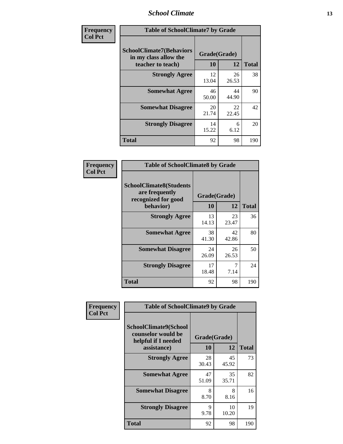### *School Climate* **13**

| Frequency      | <b>Table of SchoolClimate7 by Grade</b>                                       |                           |             |              |
|----------------|-------------------------------------------------------------------------------|---------------------------|-------------|--------------|
| <b>Col Pct</b> | <b>SchoolClimate7(Behaviors</b><br>in my class allow the<br>teacher to teach) | Grade(Grade)<br><b>10</b> | 12          | <b>Total</b> |
|                | <b>Strongly Agree</b>                                                         | 12<br>13.04               | 26<br>26.53 | 38           |
|                | <b>Somewhat Agree</b>                                                         | 46<br>50.00               | 44<br>44.90 | 90           |
|                | <b>Somewhat Disagree</b>                                                      | 20<br>21.74               | 22<br>22.45 | 42           |
|                | <b>Strongly Disagree</b>                                                      | 14<br>15.22               | 6<br>6.12   | 20           |
|                | <b>Total</b>                                                                  | 92                        | 98          | 190          |

| Frequency      | <b>Table of SchoolClimate8 by Grade</b>                                              |                    |             |              |
|----------------|--------------------------------------------------------------------------------------|--------------------|-------------|--------------|
| <b>Col Pct</b> | <b>SchoolClimate8(Students</b><br>are frequently<br>recognized for good<br>behavior) | Grade(Grade)<br>10 | 12          | <b>Total</b> |
|                | <b>Strongly Agree</b>                                                                | 13<br>14.13        | 23<br>23.47 | 36           |
|                | <b>Somewhat Agree</b>                                                                | 38<br>41.30        | 42<br>42.86 | 80           |
|                | <b>Somewhat Disagree</b>                                                             | 24<br>26.09        | 26<br>26.53 | 50           |
|                | <b>Strongly Disagree</b>                                                             | 17<br>18.48        | 7<br>7.14   | 24           |
|                | <b>Total</b>                                                                         | 92                 | 98          | 190          |

| Frequency      | <b>Table of SchoolClimate9 by Grade</b>                                           |                    |             |              |
|----------------|-----------------------------------------------------------------------------------|--------------------|-------------|--------------|
| <b>Col Pct</b> | SchoolClimate9(School<br>counselor would be<br>helpful if I needed<br>assistance) | Grade(Grade)<br>10 | 12          | <b>Total</b> |
|                | <b>Strongly Agree</b>                                                             | 28<br>30.43        | 45<br>45.92 | 73           |
|                | <b>Somewhat Agree</b>                                                             | 47<br>51.09        | 35<br>35.71 | 82           |
|                | <b>Somewhat Disagree</b>                                                          | 8<br>8.70          | 8<br>8.16   | 16           |
|                | <b>Strongly Disagree</b>                                                          | 9<br>9.78          | 10<br>10.20 | 19           |
|                | Total                                                                             | 92                 | 98          | 190          |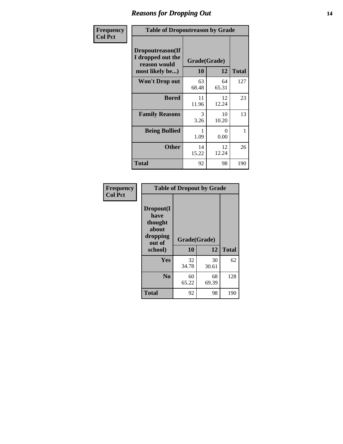### *Reasons for Dropping Out* **14**

| <b>Frequency</b> | <b>Table of Dropoutreason by Grade</b>                                   |             |                    |              |
|------------------|--------------------------------------------------------------------------|-------------|--------------------|--------------|
| <b>Col Pct</b>   | Dropoutreason(If<br>I dropped out the<br>reason would<br>most likely be) | 10          | Grade(Grade)<br>12 | <b>Total</b> |
|                  | Won't Drop out                                                           | 63<br>68.48 | 64<br>65.31        | 127          |
|                  | <b>Bored</b>                                                             | 11<br>11.96 | 12<br>12.24        | 23           |
|                  | <b>Family Reasons</b>                                                    | 3<br>3.26   | 10<br>10.20        | 13           |
|                  | <b>Being Bullied</b>                                                     | 1.09        | 0<br>0.00          | 1            |
|                  | <b>Other</b>                                                             | 14<br>15.22 | 12<br>12.24        | 26           |
|                  | <b>Total</b>                                                             | 92          | 98                 | 190          |

| Frequency      |                                                                        | <b>Table of Dropout by Grade</b> |             |              |  |  |  |
|----------------|------------------------------------------------------------------------|----------------------------------|-------------|--------------|--|--|--|
| <b>Col Pct</b> | Dropout(I<br>have<br>thought<br>about<br>dropping<br>out of<br>school) | Grade(Grade)<br>10               | 12          | <b>Total</b> |  |  |  |
|                |                                                                        |                                  |             |              |  |  |  |
|                | Yes                                                                    | 32<br>34.78                      | 30<br>30.61 | 62           |  |  |  |
|                | N <sub>0</sub>                                                         | 60<br>65.22                      | 68<br>69.39 | 128          |  |  |  |
|                | <b>Total</b>                                                           | 92                               | 98          | 190          |  |  |  |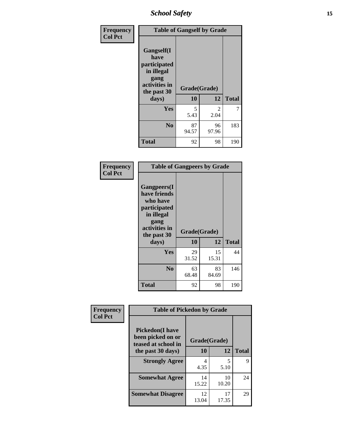*School Safety* **15**

| Frequency      | <b>Table of Gangself by Grade</b>                                                                 |                    |                        |              |
|----------------|---------------------------------------------------------------------------------------------------|--------------------|------------------------|--------------|
| <b>Col Pct</b> | Gangself(I<br>have<br>participated<br>in illegal<br>gang<br>activities in<br>the past 30<br>days) | Grade(Grade)<br>10 | 12                     | <b>Total</b> |
|                | Yes                                                                                               | 5<br>5.43          | $\mathfrak{D}$<br>2.04 | 7            |
|                | N <sub>0</sub>                                                                                    | 87<br>94.57        | 96<br>97.96            | 183          |
|                | <b>Total</b>                                                                                      | 92                 | 98                     | 190          |

| Frequency<br><b>Col Pct</b> | <b>Table of Gangpeers by Grade</b>                                                                                             |                    |             |              |
|-----------------------------|--------------------------------------------------------------------------------------------------------------------------------|--------------------|-------------|--------------|
|                             | <b>Gangpeers</b> (I<br>have friends<br>who have<br>participated<br>in illegal<br>gang<br>activities in<br>the past 30<br>days) | Grade(Grade)<br>10 | 12          | <b>Total</b> |
|                             | Yes                                                                                                                            | 29<br>31.52        | 15<br>15.31 | 44           |
|                             | N <sub>0</sub>                                                                                                                 | 63<br>68.48        | 83<br>84.69 | 146          |
|                             | <b>Total</b>                                                                                                                   | 92                 | 98          | 190          |

| Frequency      | <b>Table of Pickedon by Grade</b>                                   |              |             |              |
|----------------|---------------------------------------------------------------------|--------------|-------------|--------------|
| <b>Col Pct</b> | <b>Pickedon</b> (I have<br>been picked on or<br>teased at school in | Grade(Grade) |             |              |
|                | the past 30 days)                                                   | 10           | 12          | <b>Total</b> |
|                | <b>Strongly Agree</b>                                               | 4<br>4.35    | 5<br>5.10   | 9            |
|                | <b>Somewhat Agree</b>                                               | 14<br>15.22  | 10<br>10.20 | 24           |
|                | <b>Somewhat Disagree</b>                                            | 12<br>13.04  | 17<br>17.35 | 29           |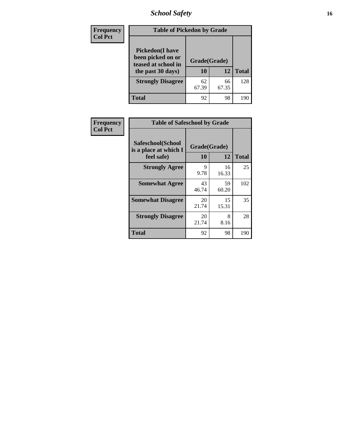*School Safety* **16**

| <b>Frequency</b> | <b>Table of Pickedon by Grade</b>                                                        |                    |             |              |
|------------------|------------------------------------------------------------------------------------------|--------------------|-------------|--------------|
| <b>Col Pct</b>   | <b>Pickedon</b> (I have<br>been picked on or<br>teased at school in<br>the past 30 days) | Grade(Grade)<br>10 | 12          | <b>Total</b> |
|                  | <b>Strongly Disagree</b>                                                                 | 62<br>67.39        | 66<br>67.35 | 128          |
|                  | <b>Total</b>                                                                             | 92                 | 98          | 190          |

| Frequency      | <b>Table of Safeschool by Grade</b>                      |                           |              |     |
|----------------|----------------------------------------------------------|---------------------------|--------------|-----|
| <b>Col Pct</b> | Safeschool(School<br>is a place at which I<br>feel safe) | Grade(Grade)<br><b>10</b> | <b>Total</b> |     |
|                | <b>Strongly Agree</b>                                    | 9<br>9.78                 | 16<br>16.33  | 25  |
|                | <b>Somewhat Agree</b>                                    | 43<br>46.74               | 59<br>60.20  | 102 |
|                | <b>Somewhat Disagree</b>                                 | 20<br>21.74               | 15<br>15.31  | 35  |
|                | <b>Strongly Disagree</b>                                 | 20<br>21.74               | 8<br>8.16    | 28  |
|                | <b>Total</b>                                             | 92                        | 98           | 190 |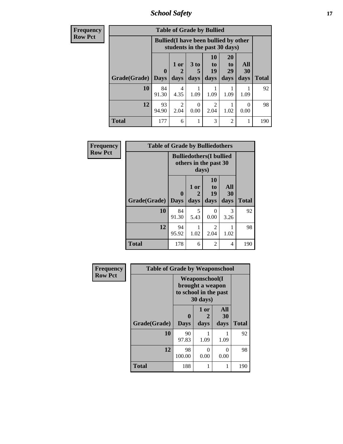*School Safety* **17**

| <b>Frequency</b> |              |              |                                                                               | <b>Table of Grade by Bullied</b> |                |                |                  |              |
|------------------|--------------|--------------|-------------------------------------------------------------------------------|----------------------------------|----------------|----------------|------------------|--------------|
| <b>Row Pct</b>   |              |              | <b>Bullied</b> (I have been bullied by other<br>students in the past 30 days) |                                  |                |                |                  |              |
|                  | Grade(Grade) | $\mathbf{0}$ | 1 or                                                                          | 3 <sub>to</sub><br>5             | 10<br>to<br>19 | 20<br>to<br>29 | All<br><b>30</b> | <b>Total</b> |
|                  |              | <b>Days</b>  | days                                                                          | days                             | days           | days           | days             |              |
|                  | 10           | 84<br>91.30  | 4<br>4.35                                                                     | 1.09                             | 1.09           | 1.09           | 1.09             | 92           |
|                  | 12           | 93<br>94.90  | 2<br>2.04                                                                     | $\theta$<br>0.00                 | 2.04           | 1.02           | $\Omega$<br>0.00 | 98           |
|                  | <b>Total</b> | 177          | 6                                                                             |                                  | 3              | $\overline{2}$ |                  | 190          |

| Frequency      | <b>Table of Grade by Bulliedothers</b> |                                 |                                                                  |                               |                   |              |
|----------------|----------------------------------------|---------------------------------|------------------------------------------------------------------|-------------------------------|-------------------|--------------|
| <b>Row Pct</b> |                                        |                                 | <b>Bulliedothers(I bullied</b><br>others in the past 30<br>days) |                               |                   |              |
|                | Grade(Grade)                           | $\boldsymbol{0}$<br><b>Days</b> | 1 or<br>days                                                     | <b>10</b><br>to<br>19<br>days | All<br>30<br>days | <b>Total</b> |
|                | 10                                     | 84<br>91.30                     | 5<br>5.43                                                        | $\theta$<br>0.00              | 3<br>3.26         | 92           |
|                | 12                                     | 94<br>95.92                     | 1.02                                                             | 2<br>2.04                     | 1.02              | 98           |
|                | <b>Total</b>                           | 178                             | 6                                                                | 2                             | 4                 | 190          |

| Frequency      | <b>Table of Grade by Weaponschool</b> |                                                                                 |              |                   |              |  |  |  |  |
|----------------|---------------------------------------|---------------------------------------------------------------------------------|--------------|-------------------|--------------|--|--|--|--|
| <b>Row Pct</b> |                                       | <b>Weaponschool</b> (I<br>brought a weapon<br>to school in the past<br>30 days) |              |                   |              |  |  |  |  |
|                | Grade(Grade)                          | $\mathbf 0$<br><b>Days</b>                                                      | 1 or<br>days | All<br>30<br>days | <b>Total</b> |  |  |  |  |
|                | 10                                    | 90<br>97.83                                                                     | 1.09         | 1.09              | 92           |  |  |  |  |
|                | 12                                    | 98<br>100.00                                                                    | 0<br>0.00    | 0<br>0.00         | 98           |  |  |  |  |
|                | <b>Total</b>                          | 188                                                                             | 1            |                   | 190          |  |  |  |  |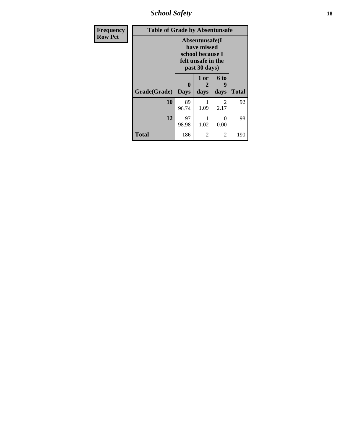*School Safety* **18**

| <b>Frequency</b> | <b>Table of Grade by Absentunsafe</b> |                                                                                          |                   |                   |              |  |  |  |  |
|------------------|---------------------------------------|------------------------------------------------------------------------------------------|-------------------|-------------------|--------------|--|--|--|--|
| <b>Row Pct</b>   |                                       | Absentunsafe(I<br>have missed<br>school because I<br>felt unsafe in the<br>past 30 days) |                   |                   |              |  |  |  |  |
|                  | Grade(Grade)                          | $\mathbf{0}$<br><b>Days</b>                                                              | 1 or<br>2<br>days | 6 to<br>9<br>days | <b>Total</b> |  |  |  |  |
|                  | 10                                    | 89<br>96.74                                                                              | 1.09              | 2<br>2.17         | 92           |  |  |  |  |
|                  | 12                                    | 97<br>98.98                                                                              | 1.02              | $\Omega$<br>0.00  | 98           |  |  |  |  |
|                  | <b>Total</b>                          | 186                                                                                      | $\overline{2}$    | 2                 | 190          |  |  |  |  |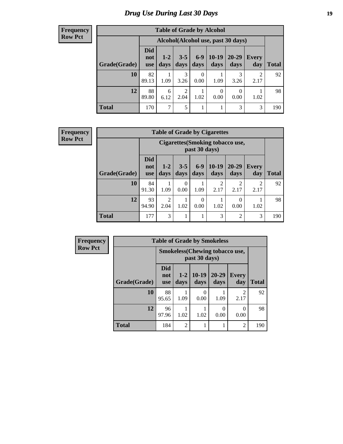# *Drug Use During Last 30 Days* **19**

#### **Frequency Row Pct**

| <b>Table of Grade by Alcohol</b> |                                 |                                    |                 |                  |                  |               |                        |       |  |
|----------------------------------|---------------------------------|------------------------------------|-----------------|------------------|------------------|---------------|------------------------|-------|--|
|                                  |                                 | Alcohol(Alcohol use, past 30 days) |                 |                  |                  |               |                        |       |  |
| Grade(Grade)                     | <b>Did</b><br>not<br><b>use</b> | $1 - 2$<br>days                    | $3 - 5$<br>days | $6-9$<br>days    | $10-19$<br>days  | 20-29<br>days | <b>Every</b><br>day    | Total |  |
| 10                               | 82<br>89.13                     | 1.09                               | 3<br>3.26       | $\theta$<br>0.00 | 1.09             | 3<br>3.26     | $\mathfrak{D}$<br>2.17 | 92    |  |
| 12                               | 88<br>89.80                     | 6<br>6.12                          | 2<br>2.04       | 1<br>1.02        | $\theta$<br>0.00 | 0<br>0.00     | 1.02                   | 98    |  |
| <b>Total</b>                     | 170                             | 7                                  | 5               | 1                |                  | 3             | 3                      | 190   |  |

#### **Frequency Row Pct**

| <b>Table of Grade by Cigarettes</b> |                                 |                                                   |                 |                  |                 |                        |                     |              |  |
|-------------------------------------|---------------------------------|---------------------------------------------------|-----------------|------------------|-----------------|------------------------|---------------------|--------------|--|
|                                     |                                 | Cigarettes (Smoking tobacco use,<br>past 30 days) |                 |                  |                 |                        |                     |              |  |
| Grade(Grade)                        | <b>Did</b><br>not<br><b>use</b> | $1-2$<br>days                                     | $3 - 5$<br>days | $6-9$<br>days    | $10-19$<br>days | $20 - 29$<br>days      | <b>Every</b><br>day | <b>Total</b> |  |
| 10                                  | 84<br>91.30                     | 1.09                                              | 0<br>0.00       | 1.09             | 2<br>2.17       | $\mathfrak{D}$<br>2.17 | 2<br>2.17           | 92           |  |
| 12                                  | 93<br>94.90                     | $\overline{2}$<br>2.04                            | 1.02            | $\Omega$<br>0.00 | 1.02            | $\theta$<br>0.00       | 1.02                | 98           |  |
| <b>Total</b>                        | 177                             | 3                                                 | 1               | 1                | 3               | $\overline{2}$         | 3                   | 190          |  |

| Frequency      |              | <b>Table of Grade by Smokeless</b>    |                |                  |               |                     |              |  |  |  |
|----------------|--------------|---------------------------------------|----------------|------------------|---------------|---------------------|--------------|--|--|--|
| <b>Row Pct</b> |              | <b>Smokeless</b> (Chewing tobaccouse, |                |                  |               |                     |              |  |  |  |
|                | Grade(Grade) | <b>Did</b><br>not<br><b>use</b>       | $1-2$<br>days  | $10-19$<br>days  | 20-29<br>days | <b>Every</b><br>day | <b>Total</b> |  |  |  |
|                | 10           | 88<br>95.65                           | 1.09           | $\Omega$<br>0.00 | 1.09          | 2<br>2.17           | 92           |  |  |  |
|                | 12           | 96<br>97.96                           | 1.02           | 1.02             | 0.00          | 0.00                | 98           |  |  |  |
|                | <b>Total</b> | 184                                   | $\overline{2}$ |                  |               | $\overline{2}$      | 190          |  |  |  |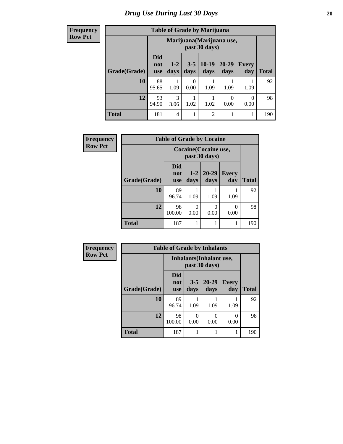**Frequency Row Pct**

| <b>Table of Grade by Marijuana</b> |                                 |                                            |                 |                 |                  |                     |              |  |  |
|------------------------------------|---------------------------------|--------------------------------------------|-----------------|-----------------|------------------|---------------------|--------------|--|--|
|                                    |                                 | Marijuana (Marijuana use,<br>past 30 days) |                 |                 |                  |                     |              |  |  |
| Grade(Grade)                       | <b>Did</b><br>not<br><b>use</b> | $1 - 2$<br>days                            | $3 - 5$<br>days | $10-19$<br>days | 20-29<br>days    | <b>Every</b><br>day | <b>Total</b> |  |  |
| 10                                 | 88<br>95.65                     | 1.09                                       | ∩<br>0.00       | 1.09            | 1.09             | 1.09                | 92           |  |  |
| 12                                 | 93<br>94.90                     | 3<br>3.06                                  | 1.02            | 1.02            | $\theta$<br>0.00 | 0<br>0.00           | 98           |  |  |
| <b>Total</b>                       | 181                             | 4                                          |                 | $\overline{2}$  |                  |                     | 190          |  |  |

| Frequency      |              | <b>Table of Grade by Cocaine</b>       |               |                   |                     |              |
|----------------|--------------|----------------------------------------|---------------|-------------------|---------------------|--------------|
| <b>Row Pct</b> |              | Cocaine (Cocaine use,<br>past 30 days) |               |                   |                     |              |
|                | Grade(Grade) | Did<br>not<br><b>use</b>               | $1-2$<br>days | $20 - 29$<br>days | <b>Every</b><br>day | <b>Total</b> |
|                | 10           | 89<br>96.74                            | 1.09          | 1.09              | 1.09                | 92           |
|                | 12           | 98<br>100.00                           | 0<br>0.00     | 0<br>0.00         | 0<br>0.00           | 98           |
|                | <b>Total</b> | 187                                    |               |                   |                     | 190          |

| Frequency      |              | <b>Table of Grade by Inhalants</b> |                 |                   |                       |              |
|----------------|--------------|------------------------------------|-----------------|-------------------|-----------------------|--------------|
| <b>Row Pct</b> |              | <b>Inhalants</b> (Inhalant use,    |                 |                   |                       |              |
|                | Grade(Grade) | <b>Did</b><br>not<br><b>use</b>    | $3 - 5$<br>days | $20 - 29$<br>days | <b>Every</b><br>day   | <b>Total</b> |
|                | 10           | 89<br>96.74                        | 1.09            | 1.09              | 1.09                  | 92           |
|                | 12           | 98<br>100.00                       | 0.00            | 0<br>0.00         | $\mathcal{O}$<br>0.00 | 98           |
|                | <b>Total</b> | 187                                |                 |                   | 1                     | 190          |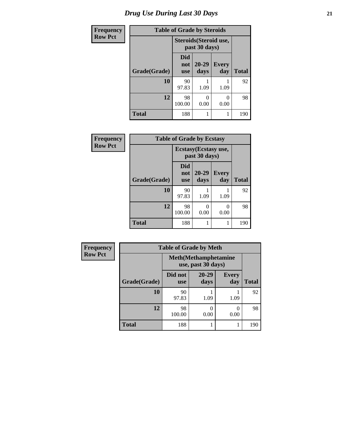| <b>Frequency</b> | <b>Table of Grade by Steroids</b> |                          |                                         |              |              |
|------------------|-----------------------------------|--------------------------|-----------------------------------------|--------------|--------------|
| <b>Row Pct</b>   |                                   |                          | Steroids (Steroid use,<br>past 30 days) |              |              |
|                  | Grade(Grade)                      | Did<br>not<br><b>use</b> | $20 - 29$<br>days                       | Every<br>day | <b>Total</b> |
|                  | 10                                | 90<br>97.83              | 1.09                                    | 1.09         | 92           |
|                  | 12                                | 98<br>100.00             | 0.00                                    | 0.00         | 98           |
|                  | <b>Total</b>                      | 188                      |                                         |              | 190          |

| Frequency      | <b>Table of Grade by Ecstasy</b> |                                 |                                        |              |              |
|----------------|----------------------------------|---------------------------------|----------------------------------------|--------------|--------------|
| <b>Row Pct</b> |                                  |                                 | Ecstasy (Ecstasy use,<br>past 30 days) |              |              |
|                | Grade(Grade)                     | <b>Did</b><br>not<br><b>use</b> | $20 - 29$<br>days                      | Every<br>day | <b>Total</b> |
|                | 10                               | 90<br>97.83                     | 1.09                                   | 1.09         | 92           |
|                | 12                               | 98<br>100.00                    | 0.00                                   | 0<br>0.00    | 98           |
|                | <b>Total</b>                     | 188                             |                                        | 1            | 190          |

| <b>Frequency</b> | <b>Table of Grade by Meth</b><br><b>Meth</b> (Methamphetamine<br>use, past 30 days) |                       |                   |                     |              |
|------------------|-------------------------------------------------------------------------------------|-----------------------|-------------------|---------------------|--------------|
| <b>Row Pct</b>   |                                                                                     |                       |                   |                     |              |
|                  | Grade(Grade)                                                                        | Did not<br><b>use</b> | $20 - 29$<br>days | <b>Every</b><br>day | <b>Total</b> |
|                  | 10                                                                                  | 90<br>97.83           | 1.09              | 1.09                | 92           |
|                  | 12                                                                                  | 98<br>100.00          | 0.00              | ∩<br>0.00           | 98           |
|                  | <b>Total</b>                                                                        | 188                   |                   |                     | 190          |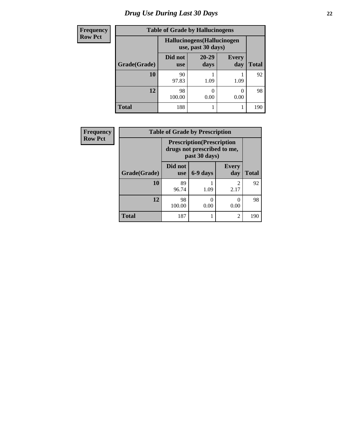# *Drug Use During Last 30 Days* **22**

| <b>Frequency</b> | <b>Table of Grade by Hallucinogens</b> |                                                  |                   |                       |              |
|------------------|----------------------------------------|--------------------------------------------------|-------------------|-----------------------|--------------|
| <b>Row Pct</b>   |                                        | Hallucinogens(Hallucinogen<br>use, past 30 days) |                   |                       |              |
|                  | Grade(Grade)                           | Did not<br><b>use</b>                            | $20 - 29$<br>days | <b>Every</b><br>day   | <b>Total</b> |
|                  | 10                                     | 90<br>97.83                                      | 1.09              | 1.09                  | 92           |
|                  | 12                                     | 98<br>100.00                                     | 0.00              | $\mathcal{O}$<br>0.00 | 98           |
|                  | <b>Total</b>                           | 188                                              |                   |                       | 190          |

| <b>Frequency</b> | <b>Table of Grade by Prescription</b> |                                                                                   |           |                        |              |
|------------------|---------------------------------------|-----------------------------------------------------------------------------------|-----------|------------------------|--------------|
| <b>Row Pct</b>   |                                       | <b>Prescription</b> (Prescription<br>drugs not prescribed to me,<br>past 30 days) |           |                        |              |
|                  | Grade(Grade)                          | Did not<br><b>use</b>                                                             | 6-9 days  | <b>Every</b><br>day    | <b>Total</b> |
|                  | 10                                    | 89<br>96.74                                                                       | 1.09      | $\mathfrak{D}$<br>2.17 | 92           |
|                  | 12                                    | 98<br>100.00                                                                      | 0<br>0.00 | 0.00                   | 98           |
|                  | <b>Total</b>                          | 187                                                                               |           | $\overline{2}$         | 190          |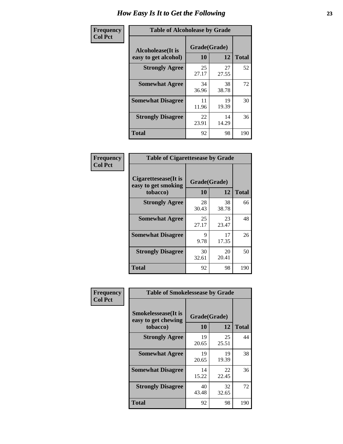| Frequency      | <b>Table of Alcoholease by Grade</b>              |                    |             |              |
|----------------|---------------------------------------------------|--------------------|-------------|--------------|
| <b>Col Pct</b> | <b>Alcoholease</b> (It is<br>easy to get alcohol) | Grade(Grade)<br>10 | 12          | <b>Total</b> |
|                | <b>Strongly Agree</b>                             | 25<br>27.17        | 27<br>27.55 | 52           |
|                | <b>Somewhat Agree</b>                             | 34<br>36.96        | 38<br>38.78 | 72           |
|                | <b>Somewhat Disagree</b>                          | 11<br>11.96        | 19<br>19.39 | 30           |
|                | <b>Strongly Disagree</b>                          | 22<br>23.91        | 14<br>14.29 | 36           |
|                | <b>Total</b>                                      | 92                 | 98          | 190          |

| Frequency      | <b>Table of Cigarettesease by Grade</b>                 |                           |             |              |
|----------------|---------------------------------------------------------|---------------------------|-------------|--------------|
| <b>Col Pct</b> | Cigarettesease(It is<br>easy to get smoking<br>tobacco) | Grade(Grade)<br><b>10</b> | 12          | <b>Total</b> |
|                | <b>Strongly Agree</b>                                   | 28<br>30.43               | 38<br>38.78 | 66           |
|                | <b>Somewhat Agree</b>                                   | 25<br>27.17               | 23<br>23.47 | 48           |
|                | <b>Somewhat Disagree</b>                                | 9<br>9.78                 | 17<br>17.35 | 26           |
|                | <b>Strongly Disagree</b>                                | 30<br>32.61               | 20<br>20.41 | 50           |
|                | Total                                                   | 92                        | 98          | 190          |

| Frequency      | <b>Table of Smokelessease by Grade</b>                         |                           |             |              |  |
|----------------|----------------------------------------------------------------|---------------------------|-------------|--------------|--|
| <b>Col Pct</b> | <b>Smokelessease</b> (It is<br>easy to get chewing<br>tobacco) | Grade(Grade)<br><b>10</b> | 12          | <b>Total</b> |  |
|                | <b>Strongly Agree</b>                                          | 19<br>20.65               | 25<br>25.51 | 44           |  |
|                | <b>Somewhat Agree</b>                                          | 19<br>20.65               | 19<br>19.39 | 38           |  |
|                | <b>Somewhat Disagree</b>                                       | 14<br>15.22               | 22<br>22.45 | 36           |  |
|                | <b>Strongly Disagree</b>                                       | 40<br>43.48               | 32<br>32.65 | 72           |  |
|                | Total                                                          | 92                        | 98          | 190          |  |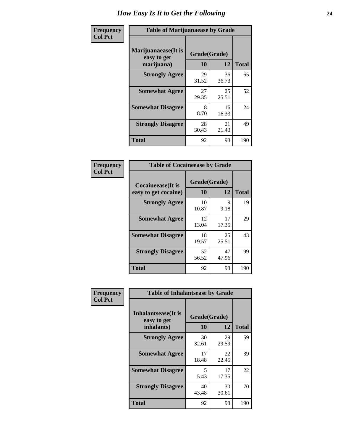| Frequency      | <b>Table of Marijuanaease by Grade</b>            |                           |             |              |
|----------------|---------------------------------------------------|---------------------------|-------------|--------------|
| <b>Col Pct</b> | Marijuanaease (It is<br>easy to get<br>marijuana) | Grade(Grade)<br><b>10</b> | 12          | <b>Total</b> |
|                | <b>Strongly Agree</b>                             | 29<br>31.52               | 36<br>36.73 | 65           |
|                | <b>Somewhat Agree</b>                             | 27<br>29.35               | 25<br>25.51 | 52           |
|                | <b>Somewhat Disagree</b>                          | 8<br>8.70                 | 16<br>16.33 | 24           |
|                | <b>Strongly Disagree</b>                          | 28<br>30.43               | 21<br>21.43 | 49           |
|                | <b>Total</b>                                      | 92                        | 98          | 190          |

| <b>Table of Cocaineease by Grade</b> |                    |              |     |  |  |  |
|--------------------------------------|--------------------|--------------|-----|--|--|--|
| <b>Cocaineease</b> (It is            | Grade(Grade)<br>10 | <b>Total</b> |     |  |  |  |
| easy to get cocaine)                 |                    | 12           |     |  |  |  |
| <b>Strongly Agree</b>                | 10<br>10.87        | 9<br>9.18    | 19  |  |  |  |
| <b>Somewhat Agree</b>                | 12<br>13.04        | 17<br>17.35  | 29  |  |  |  |
| <b>Somewhat Disagree</b>             | 18<br>19.57        | 25<br>25.51  | 43  |  |  |  |
| <b>Strongly Disagree</b>             | 52<br>56.52        | 47<br>47.96  | 99  |  |  |  |
| <b>Total</b>                         | 92                 | 98           | 190 |  |  |  |

| Frequency      | <b>Table of Inhalantsease by Grade</b>                   |                    |             |              |  |
|----------------|----------------------------------------------------------|--------------------|-------------|--------------|--|
| <b>Col Pct</b> | <b>Inhalantsease</b> (It is<br>easy to get<br>inhalants) | Grade(Grade)<br>10 | 12          | <b>Total</b> |  |
|                | <b>Strongly Agree</b>                                    | 30<br>32.61        | 29<br>29.59 | 59           |  |
|                | <b>Somewhat Agree</b>                                    | 17<br>18.48        | 22<br>22.45 | 39           |  |
|                | <b>Somewhat Disagree</b>                                 | 5<br>5.43          | 17<br>17.35 | 22           |  |
|                | <b>Strongly Disagree</b>                                 | 40<br>43.48        | 30<br>30.61 | 70           |  |
|                | <b>Total</b>                                             | 92                 | 98          | 190          |  |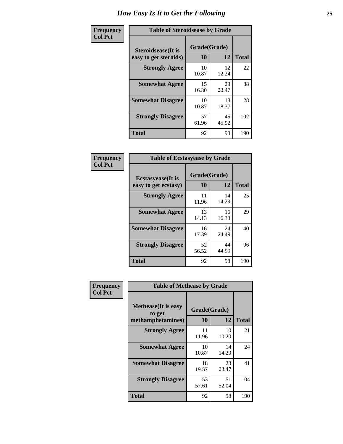| Frequency      | <b>Table of Steroidsease by Grade</b>               |                    |             |              |
|----------------|-----------------------------------------------------|--------------------|-------------|--------------|
| <b>Col Pct</b> | <b>Steroidsease</b> (It is<br>easy to get steroids) | Grade(Grade)<br>10 | 12          | <b>Total</b> |
|                | <b>Strongly Agree</b>                               | 10<br>10.87        | 12<br>12.24 | 22           |
|                | <b>Somewhat Agree</b>                               | 15<br>16.30        | 23<br>23.47 | 38           |
|                | <b>Somewhat Disagree</b>                            | 10<br>10.87        | 18<br>18.37 | 28           |
|                | <b>Strongly Disagree</b>                            | 57<br>61.96        | 45<br>45.92 | 102          |
|                | <b>Total</b>                                        | 92                 | 98          | 190          |

| Frequency      | <b>Table of Ecstasyease by Grade</b>              |                    |             |              |  |  |  |  |
|----------------|---------------------------------------------------|--------------------|-------------|--------------|--|--|--|--|
| <b>Col Pct</b> | <b>Ecstasyease</b> (It is<br>easy to get ecstasy) | Grade(Grade)<br>10 | 12          | <b>Total</b> |  |  |  |  |
|                | <b>Strongly Agree</b>                             | 11<br>11.96        | 14<br>14.29 | 25           |  |  |  |  |
|                | <b>Somewhat Agree</b>                             | 13<br>14.13        | 16<br>16.33 | 29           |  |  |  |  |
|                | <b>Somewhat Disagree</b>                          | 16<br>17.39        | 24<br>24.49 | 40           |  |  |  |  |
|                | <b>Strongly Disagree</b>                          | 52<br>56.52        | 44<br>44.90 | 96           |  |  |  |  |
|                | <b>Total</b>                                      | 92                 | 98          | 190          |  |  |  |  |

| Frequency      | <b>Table of Methease by Grade</b>     |              |             |              |
|----------------|---------------------------------------|--------------|-------------|--------------|
| <b>Col Pct</b> | <b>Methease</b> (It is easy<br>to get | Grade(Grade) |             |              |
|                | methamphetamines)                     | 10           | 12          | <b>Total</b> |
|                | <b>Strongly Agree</b>                 | 11<br>11.96  | 10<br>10.20 | 21           |
|                | <b>Somewhat Agree</b>                 | 10<br>10.87  | 14<br>14.29 | 24           |
|                | <b>Somewhat Disagree</b>              | 18<br>19.57  | 23<br>23.47 | 41           |
|                | <b>Strongly Disagree</b>              | 53<br>57.61  | 51<br>52.04 | 104          |
|                | <b>Total</b>                          | 92           | 98          | 190          |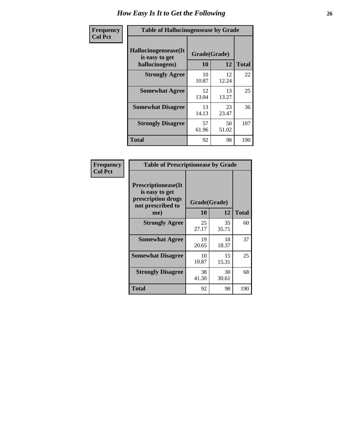| <b>Frequency</b> | <b>Table of Hallucinogensease by Grade</b>               |                    |             |                                              |  |  |  |  |  |
|------------------|----------------------------------------------------------|--------------------|-------------|----------------------------------------------|--|--|--|--|--|
| <b>Col Pct</b>   | Hallucinogensease(It<br>is easy to get<br>hallucinogens) | Grade(Grade)<br>10 | 12          | <b>Total</b><br>22<br>25<br>36<br>107<br>190 |  |  |  |  |  |
|                  | <b>Strongly Agree</b>                                    | 10<br>10.87        | 12<br>12.24 |                                              |  |  |  |  |  |
|                  | <b>Somewhat Agree</b>                                    | 12<br>13.04        | 13<br>13.27 |                                              |  |  |  |  |  |
|                  | <b>Somewhat Disagree</b>                                 | 13<br>14.13        | 23<br>23.47 |                                              |  |  |  |  |  |
|                  | <b>Strongly Disagree</b>                                 | 57<br>61.96        | 50<br>51.02 |                                              |  |  |  |  |  |
|                  | <b>Total</b>                                             | 92                 | 98          |                                              |  |  |  |  |  |

| Frequency<br>  Col Pct |
|------------------------|
|                        |

| <b>Table of Prescriptionease by Grade</b>                                                |              |             |              |  |  |  |  |  |
|------------------------------------------------------------------------------------------|--------------|-------------|--------------|--|--|--|--|--|
| <b>Prescriptionease</b> (It<br>is easy to get<br>prescription drugs<br>not prescribed to | Grade(Grade) |             |              |  |  |  |  |  |
| me)                                                                                      | 10           | 12          | <b>Total</b> |  |  |  |  |  |
| <b>Strongly Agree</b>                                                                    | 25<br>27.17  | 35<br>35.71 | 60           |  |  |  |  |  |
| <b>Somewhat Agree</b>                                                                    | 19<br>20.65  | 18<br>18.37 | 37           |  |  |  |  |  |
| <b>Somewhat Disagree</b>                                                                 | 10<br>10.87  | 15<br>15.31 | 25           |  |  |  |  |  |
| <b>Strongly Disagree</b>                                                                 | 38<br>41.30  | 30<br>30.61 | 68           |  |  |  |  |  |
| <b>Total</b>                                                                             | 92           | 98          | 190          |  |  |  |  |  |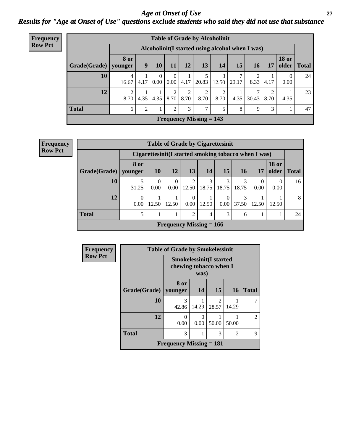### *Age at Onset of Use* **27** *Results for "Age at Onset of Use" questions exclude students who said they did not use that substance*

| Frequency      |              |                         |                |                      |                  |      | <b>Table of Grade by Alcoholinit</b>             |           |       |            |                |                       |              |
|----------------|--------------|-------------------------|----------------|----------------------|------------------|------|--------------------------------------------------|-----------|-------|------------|----------------|-----------------------|--------------|
| <b>Row Pct</b> |              |                         |                |                      |                  |      | Alcoholinit (I started using alcohol when I was) |           |       |            |                |                       |              |
|                | Grade(Grade) | <b>8 or</b><br>younger  | 9              | <b>10</b>            | 11               | 12   | 13                                               | 14        | 15    | 16         | 17             | <b>18 or</b><br>older | <b>Total</b> |
|                | 10           | $\overline{4}$<br>16.67 | 4.17           | $\mathbf{0}$<br>0.00 | $\left($<br>0.00 | 4.17 | 5<br>20.83                                       | 12.50     | 29.17 | ◠<br>8.33  | 4.17           | $\theta$<br>0.00      | 24           |
|                | 12           | 2<br>8.70               | 4.35           | 4.35                 | 2<br>8.70        | 8.70 | 2<br>8.70                                        | 2<br>8.70 | 4.35  | 7<br>30.43 | 2<br>8.70      | 4.35                  | 23           |
|                | <b>Total</b> | 6                       | $\overline{c}$ |                      | 2                | 3    | 7                                                |           | 8     | 9          | 3 <sub>1</sub> |                       | 47           |
|                |              |                         |                |                      |                  |      | Frequency Missing $= 143$                        |           |       |            |                |                       |              |

| <b>Frequency</b> |  |
|------------------|--|
| <b>Row Pct</b>   |  |

|              | <b>Table of Grade by Cigarettesinit</b>                                                                                |                                                      |                  |                           |            |            |            |       |       |    |  |
|--------------|------------------------------------------------------------------------------------------------------------------------|------------------------------------------------------|------------------|---------------------------|------------|------------|------------|-------|-------|----|--|
|              |                                                                                                                        | Cigarettesinit(I started smoking tobacco when I was) |                  |                           |            |            |            |       |       |    |  |
| Grade(Grade) | <b>18</b> or<br>8 or<br>12<br><b>10</b><br>older<br><b>Total</b><br>13<br>15 <sup>1</sup><br>14<br>16<br>17<br>younger |                                                      |                  |                           |            |            |            |       |       |    |  |
| 10           | 31.25                                                                                                                  | 0.00                                                 | $\Omega$<br>0.00 | $\overline{2}$<br>12.50   | 3<br>18.75 | 3<br>18.75 | 3<br>18.75 | 0.00  | 0.00  | 16 |  |
| 12           | 0.00                                                                                                                   | 12.50                                                | 12.50            | $\theta$<br>0.00          | 12.50      | 0.00       | 3<br>37.50 | 12.50 | 12.50 | 8  |  |
| <b>Total</b> | 5                                                                                                                      |                                                      |                  | $\overline{2}$            | 4          | 3          | 6          |       |       | 24 |  |
|              |                                                                                                                        |                                                      |                  | Frequency Missing $= 166$ |            |            |            |       |       |    |  |

| <b>Frequency</b> |              | <b>Table of Grade by Smokelessinit</b>                   |                  |                         |                |                |  |  |
|------------------|--------------|----------------------------------------------------------|------------------|-------------------------|----------------|----------------|--|--|
| <b>Row Pct</b>   |              | <b>Smokelessinit(I started</b><br>chewing tobacco when I | was)             |                         |                |                |  |  |
|                  | Grade(Grade) | 8 or<br>younger                                          | 14               | 15                      | <b>16</b>      | <b>Total</b>   |  |  |
|                  | <b>10</b>    | 3<br>42.86                                               | 14.29            | $\mathfrak{D}$<br>28.57 | 14.29          |                |  |  |
|                  | 12           | 0<br>0.00                                                | $\Omega$<br>0.00 | 50.00                   | 50.00          | $\mathfrak{D}$ |  |  |
|                  | <b>Total</b> | 3                                                        |                  | 3                       | $\overline{2}$ | 9              |  |  |
|                  |              | <b>Frequency Missing = 181</b>                           |                  |                         |                |                |  |  |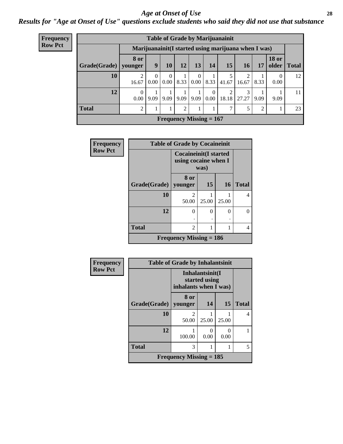#### *Age at Onset of Use* **28**

*Results for "Age at Onset of Use" questions exclude students who said they did not use that substance*

| <b>Frequency</b> |              |                        |                      |                      |                |                  |                           | <b>Table of Grade by Marijuanainit</b> |                                                      |                |                       |              |
|------------------|--------------|------------------------|----------------------|----------------------|----------------|------------------|---------------------------|----------------------------------------|------------------------------------------------------|----------------|-----------------------|--------------|
| <b>Row Pct</b>   |              |                        |                      |                      |                |                  |                           |                                        | Marijuanainit (I started using marijuana when I was) |                |                       |              |
|                  | Grade(Grade) | <b>8 or</b><br>vounger | 9                    | <b>10</b>            | 12             | 13               | 14                        | 15                                     | 16                                                   | 17             | <b>18 or</b><br>older | <b>Total</b> |
|                  | 10           | 2<br>16.67             | $\theta$<br>$0.00-1$ | $\Omega$<br>$0.00\,$ | 8.33           | $\Omega$<br>0.00 | 8.33                      | 5<br>41.67                             | $\mathfrak{D}$<br>16.67                              | 8.33           | 0<br>0.00             | 12           |
|                  | 12           | 0<br>0.00              | 9.09                 | 9.09                 | 9.09           | 9.09             | $\theta$<br>0.00          | 2<br>18.18                             | 27.27                                                | 9.09           | 9.09                  | 11           |
|                  | <b>Total</b> | $\overline{c}$         |                      |                      | $\mathfrak{D}$ |                  |                           | $\mathcal{I}$                          |                                                      | $\mathfrak{D}$ |                       | 23           |
|                  |              |                        |                      |                      |                |                  | Frequency Missing $= 167$ |                                        |                                                      |                |                       |              |

| Frequency      |                        | <b>Table of Grade by Cocaineinit</b>                  |       |           |              |  |  |  |  |  |
|----------------|------------------------|-------------------------------------------------------|-------|-----------|--------------|--|--|--|--|--|
| <b>Row Pct</b> |                        | <b>Cocaineinit</b> (I started<br>using cocaine when I | was)  |           |              |  |  |  |  |  |
|                | Grade(Grade)   younger | 8 or                                                  | 15    | <b>16</b> | <b>Total</b> |  |  |  |  |  |
|                | 10                     | $\mathfrak{D}$<br>50.00                               | 25.00 | 25.00     | 4            |  |  |  |  |  |
|                | 12                     | $\Omega$                                              | 0     | $\theta$  | 0            |  |  |  |  |  |
|                | <b>Total</b>           | $\overline{2}$                                        |       |           | 4            |  |  |  |  |  |
|                |                        | <b>Frequency Missing = 186</b>                        |       |           |              |  |  |  |  |  |

| Frequency      |                        | <b>Table of Grade by Inhalantsinit</b>      |                                  |           |              |
|----------------|------------------------|---------------------------------------------|----------------------------------|-----------|--------------|
| <b>Row Pct</b> |                        | inhalants when I was)                       | Inhalantsinit(I<br>started using |           |              |
|                | Grade(Grade)   younger | 8 or                                        | 14                               | 15        | <b>Total</b> |
|                | 10                     | $\mathfrak{D}$<br>50.00                     | 25.00                            | 25.00     | 4            |
|                | 12                     | 100.00                                      | 0.00                             | 0<br>0.00 |              |
|                | <b>Total</b>           | 3                                           |                                  |           | 5            |
|                |                        | <b>Frequency Missing <math>= 185</math></b> |                                  |           |              |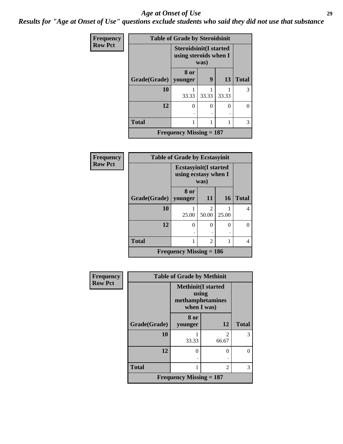#### *Age at Onset of Use* **29**

*Results for "Age at Onset of Use" questions exclude students who said they did not use that substance*

| Frequency      | <b>Table of Grade by Steroidsinit</b> |                                                                |       |       |              |
|----------------|---------------------------------------|----------------------------------------------------------------|-------|-------|--------------|
| <b>Row Pct</b> |                                       | <b>Steroidsinit(I started</b><br>using steroids when I<br>was) |       |       |              |
|                | Grade(Grade)   younger                | 8 or                                                           | 9     | 13    | <b>Total</b> |
|                | 10                                    | 33.33                                                          | 33.33 | 33.33 | 3            |
|                | 12                                    | 0                                                              | 0     | 0     | 0            |
|                | <b>Total</b>                          |                                                                |       |       | 3            |
|                |                                       | <b>Frequency Missing <math>= 187</math></b>                    |       |       |              |

| <b>Frequency</b> | <b>Table of Grade by Ecstasyinit</b> |                                                              |            |           |              |
|------------------|--------------------------------------|--------------------------------------------------------------|------------|-----------|--------------|
| <b>Row Pct</b>   |                                      | <b>Ecstasyinit(I started</b><br>using ecstasy when I<br>was) |            |           |              |
|                  | Grade(Grade)                         | 8 or<br>younger                                              | 11         | <b>16</b> | <b>Total</b> |
|                  | 10                                   | 25.00                                                        | 2<br>50.00 | 25.00     | 4            |
|                  | 12                                   | 0                                                            | $\Omega$   | $\theta$  | 0            |
|                  | <b>Total</b>                         |                                                              | 2          | 1         | 4            |
|                  |                                      | Frequency Missing $= 186$                                    |            |           |              |

| <b>Frequency</b> | <b>Table of Grade by Methinit</b> |                                                                        |                         |              |  |
|------------------|-----------------------------------|------------------------------------------------------------------------|-------------------------|--------------|--|
| <b>Row Pct</b>   |                                   | <b>Methinit</b> (I started<br>using<br>methamphetamines<br>when I was) |                         |              |  |
|                  | Grade(Grade)                      | 8 or<br>younger                                                        | 12                      | <b>Total</b> |  |
|                  | 10                                | 33.33                                                                  | $\mathfrak{D}$<br>66.67 | 3            |  |
|                  | 12                                | 0                                                                      | $\Omega$                |              |  |
|                  | <b>Total</b>                      |                                                                        | $\mathfrak{D}$          | 3            |  |
|                  | Frequency Missing $= 187$         |                                                                        |                         |              |  |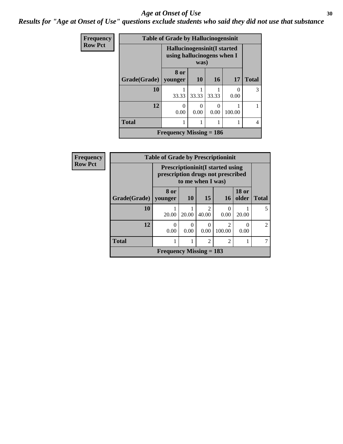#### Age at Onset of Use **30**

*Results for "Age at Onset of Use" questions exclude students who said they did not use that substance*

| <b>Frequency</b> |                      | <b>Table of Grade by Hallucinogensinit</b>                               |           |                  |        |               |
|------------------|----------------------|--------------------------------------------------------------------------|-----------|------------------|--------|---------------|
| <b>Row Pct</b>   |                      | <b>Hallucinogensinit(I started</b><br>using hallucinogens when I<br>was) |           |                  |        |               |
|                  | <b>Grade</b> (Grade) | 8 or<br>younger                                                          | 10        | 16               | 17     | <b>Total</b>  |
|                  | 10                   | 33.33                                                                    | 33.33     | 33.33            | 0.00   | $\mathcal{R}$ |
|                  | 12                   | 0<br>0.00                                                                | 0<br>0.00 | $\Omega$<br>0.00 | 100.00 |               |
|                  | <b>Total</b>         |                                                                          |           |                  |        | 4             |
|                  |                      | Frequency Missing $= 186$                                                |           |                  |        |               |

| Frequency      |                        | <b>Table of Grade by Prescriptioninit</b><br><b>Prescriptioninit (I started using</b><br>prescription drugs not prescribed<br>to me when I was) |           |                         |                          |                       |                |
|----------------|------------------------|-------------------------------------------------------------------------------------------------------------------------------------------------|-----------|-------------------------|--------------------------|-----------------------|----------------|
| <b>Row Pct</b> |                        |                                                                                                                                                 |           |                         |                          |                       |                |
|                | Grade(Grade)   younger | 8 or                                                                                                                                            | <b>10</b> | 15                      | <b>16</b>                | <b>18 or</b><br>older | <b>Total</b>   |
|                | 10                     | 20.00                                                                                                                                           | 20.00     | $\mathfrak{D}$<br>40.00 | 0.00                     | 20.00                 | 5              |
|                | 12                     | 0.00                                                                                                                                            | 0<br>0.00 | 0.00                    | $\overline{2}$<br>100.00 | 0.00                  | $\overline{2}$ |
|                | <b>Total</b>           |                                                                                                                                                 |           | $\mathfrak{D}$          | $\mathfrak{D}$           |                       |                |
|                |                        | Frequency Missing $= 183$                                                                                                                       |           |                         |                          |                       |                |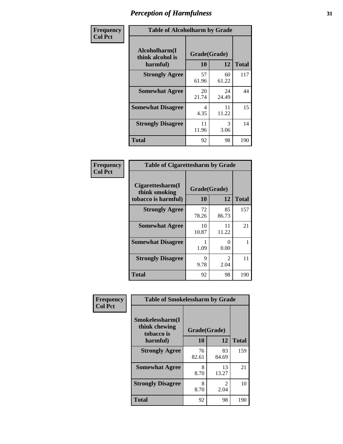| Frequency      | <b>Table of Alcoholharm by Grade</b>          |                    |             |              |  |
|----------------|-----------------------------------------------|--------------------|-------------|--------------|--|
| <b>Col Pct</b> | Alcoholharm(I<br>think alcohol is<br>harmful) | Grade(Grade)<br>10 | 12          | <b>Total</b> |  |
|                | <b>Strongly Agree</b>                         | 57<br>61.96        | 60<br>61.22 | 117          |  |
|                | <b>Somewhat Agree</b>                         | 20<br>21.74        | 24<br>24.49 | 44           |  |
|                | <b>Somewhat Disagree</b>                      | 4<br>4.35          | 11<br>11.22 | 15           |  |
|                | <b>Strongly Disagree</b>                      | 11<br>11.96        | 3<br>3.06   | 14           |  |
|                | <b>Total</b>                                  | 92                 | 98          | 190          |  |

| <b>Table of Cigarettesharm by Grade</b>                  |                    |                               |              |  |  |  |
|----------------------------------------------------------|--------------------|-------------------------------|--------------|--|--|--|
| Cigarettesharm(I<br>think smoking<br>tobacco is harmful) | Grade(Grade)<br>10 | 12                            | <b>Total</b> |  |  |  |
| <b>Strongly Agree</b>                                    | 72<br>78.26        | 85<br>86.73                   | 157          |  |  |  |
| <b>Somewhat Agree</b>                                    | 10<br>10.87        | 11<br>11.22                   | 21           |  |  |  |
| <b>Somewhat Disagree</b>                                 | 1<br>1.09          | $\mathbf{0}$<br>0.00          | 1            |  |  |  |
| <b>Strongly Disagree</b>                                 | 9<br>9.78          | $\mathcal{D}_{\cdot}$<br>2.04 | 11           |  |  |  |
| <b>Total</b>                                             | 92                 | 98                            | 190          |  |  |  |

| Frequency      | <b>Table of Smokelessharm by Grade</b>         |              |             |              |  |
|----------------|------------------------------------------------|--------------|-------------|--------------|--|
| <b>Col Pct</b> | Smokelessharm(I<br>think chewing<br>tobacco is | Grade(Grade) |             |              |  |
|                | harmful)                                       | 10           | 12          | <b>Total</b> |  |
|                | <b>Strongly Agree</b>                          | 76<br>82.61  | 83<br>84.69 | 159          |  |
|                | <b>Somewhat Agree</b>                          | 8<br>8.70    | 13<br>13.27 | 21           |  |
|                | <b>Strongly Disagree</b>                       | 8<br>8.70    | 2<br>2.04   | 10           |  |
|                | <b>Total</b>                                   | 92           | 98          | 190          |  |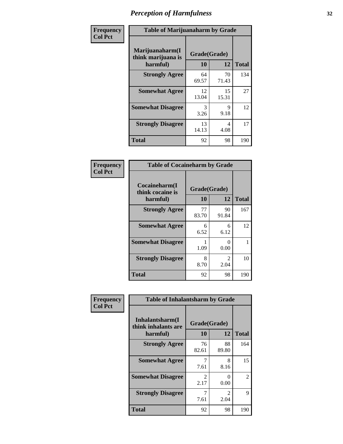| Frequency      |                                                   | <b>Table of Marijuanaharm by Grade</b> |             |              |  |  |
|----------------|---------------------------------------------------|----------------------------------------|-------------|--------------|--|--|
| <b>Col Pct</b> | Marijuanaharm(I<br>think marijuana is<br>harmful) | Grade(Grade)<br>10                     | 12          | <b>Total</b> |  |  |
|                | <b>Strongly Agree</b>                             | 64<br>69.57                            | 70<br>71.43 | 134          |  |  |
|                | <b>Somewhat Agree</b>                             | 12<br>13.04                            | 15<br>15.31 | 27           |  |  |
|                | <b>Somewhat Disagree</b>                          | 3<br>3.26                              | 9<br>9.18   | 12           |  |  |
|                | <b>Strongly Disagree</b>                          | 13<br>14.13                            | 4<br>4.08   | 17           |  |  |
|                | <b>Total</b>                                      | 92                                     | 98          | 190          |  |  |

| <b>Table of Cocaineharm by Grade</b>          |                    |                                     |     |  |  |  |
|-----------------------------------------------|--------------------|-------------------------------------|-----|--|--|--|
| Cocaineharm(I<br>think cocaine is<br>harmful) | Grade(Grade)<br>10 | <b>Total</b>                        |     |  |  |  |
| <b>Strongly Agree</b>                         | 77<br>83.70        | 90<br>91.84                         | 167 |  |  |  |
| <b>Somewhat Agree</b>                         | 6<br>6.52          | 6<br>6.12                           | 12  |  |  |  |
| <b>Somewhat Disagree</b>                      | 1.09               | 0<br>0.00                           |     |  |  |  |
| <b>Strongly Disagree</b>                      | 8<br>8.70          | $\mathcal{D}_{\mathcal{L}}$<br>2.04 | 10  |  |  |  |
| <b>Total</b>                                  | 92                 | 98                                  | 190 |  |  |  |

| Frequency      | <b>Table of Inhalantsharm by Grade</b>              |                       |                       |              |  |
|----------------|-----------------------------------------------------|-----------------------|-----------------------|--------------|--|
| <b>Col Pct</b> | Inhalantsharm(I)<br>think inhalants are<br>harmful) | Grade(Grade)<br>10    | 12                    | <b>Total</b> |  |
|                | <b>Strongly Agree</b>                               | 76<br>82.61           | 88<br>89.80           | 164          |  |
|                | <b>Somewhat Agree</b>                               | 7.61                  | 8<br>8.16             | 15           |  |
|                | <b>Somewhat Disagree</b>                            | $\mathcal{L}$<br>2.17 | 0<br>0.00             | 2            |  |
|                | <b>Strongly Disagree</b>                            | 7<br>7.61             | $\mathcal{L}$<br>2.04 | 9            |  |
|                | <b>Total</b>                                        | 92                    | 98                    | 190          |  |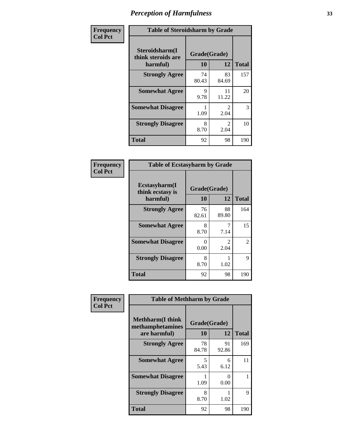| Frequency      | <b>Table of Steroidsharm by Grade</b>            |                    |                                     |              |  |
|----------------|--------------------------------------------------|--------------------|-------------------------------------|--------------|--|
| <b>Col Pct</b> | Steroidsharm(I<br>think steroids are<br>harmful) | Grade(Grade)<br>10 | 12                                  | <b>Total</b> |  |
|                | <b>Strongly Agree</b>                            | 74<br>80.43        | 83<br>84.69                         | 157          |  |
|                | <b>Somewhat Agree</b>                            | 9<br>9.78          | 11<br>11.22                         | 20           |  |
|                | <b>Somewhat Disagree</b>                         | 1.09               | $\mathcal{D}_{\mathcal{L}}$<br>2.04 | 3            |  |
|                | <b>Strongly Disagree</b>                         | 8<br>8.70          | $\mathcal{L}$<br>2.04               | 10           |  |
|                | <b>Total</b>                                     | 92                 | 98                                  | 190          |  |

| <b>Table of Ecstasyharm by Grade</b>          |                    |                        |     |  |
|-----------------------------------------------|--------------------|------------------------|-----|--|
| Ecstasyharm(I<br>think ecstasy is<br>harmful) | Grade(Grade)<br>10 | <b>Total</b>           |     |  |
| <b>Strongly Agree</b>                         | 76<br>82.61        | 88<br>89.80            | 164 |  |
| <b>Somewhat Agree</b>                         | 8<br>8.70          | 7<br>7.14              | 15  |  |
| <b>Somewhat Disagree</b>                      | 0<br>0.00          | $\mathfrak{D}$<br>2.04 | 2   |  |
| <b>Strongly Disagree</b>                      | 8<br>8.70          | 1<br>1.02              | 9   |  |
| <b>Total</b>                                  | 92                 | 98                     | 190 |  |

| Frequency      | <b>Table of Methharm by Grade</b>                            |                           |             |              |
|----------------|--------------------------------------------------------------|---------------------------|-------------|--------------|
| <b>Col Pct</b> | <b>Methharm</b> (I think<br>methamphetamines<br>are harmful) | Grade(Grade)<br><b>10</b> | 12          | <b>Total</b> |
|                | <b>Strongly Agree</b>                                        | 78<br>84.78               | 91<br>92.86 | 169          |
|                | <b>Somewhat Agree</b>                                        | 5<br>5.43                 | 6<br>6.12   | 11           |
|                | <b>Somewhat Disagree</b>                                     | 1.09                      | 0<br>0.00   |              |
|                | <b>Strongly Disagree</b>                                     | 8<br>8.70                 | 1.02        | 9            |
|                | <b>Total</b>                                                 | 92                        | 98          | 190          |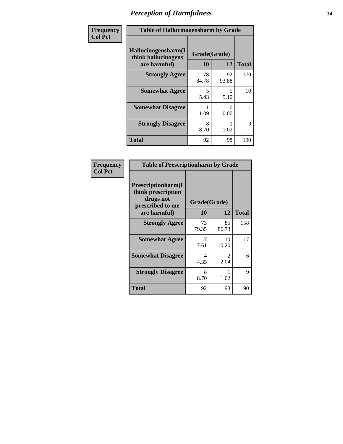| Frequency | <b>Table of Hallucinogensharm by Grade</b>                 |                    |             |              |
|-----------|------------------------------------------------------------|--------------------|-------------|--------------|
| Col Pct   | Hallucinogensharm(I<br>think hallucinogens<br>are harmful) | Grade(Grade)<br>10 | 12          | <b>Total</b> |
|           | <b>Strongly Agree</b>                                      | 78<br>84.78        | 92<br>93.88 | 170          |
|           | <b>Somewhat Agree</b>                                      | 5<br>5.43          | 5<br>5.10   | 10           |
|           | <b>Somewhat Disagree</b>                                   | 1.09               | 0<br>0.00   | 1            |
|           | <b>Strongly Disagree</b>                                   | 8<br>8.70          | 1.02        | 9            |
|           | <b>Total</b>                                               | 92                 | 98          | 190          |

| <b>Table of Prescriptionharm by Grade</b>                                 |              |                        |              |  |
|---------------------------------------------------------------------------|--------------|------------------------|--------------|--|
| Prescriptionharm(I<br>think prescription<br>drugs not<br>prescribed to me | Grade(Grade) |                        |              |  |
| are harmful)                                                              | 10           | 12                     | <b>Total</b> |  |
| <b>Strongly Agree</b>                                                     | 73<br>79.35  | 85<br>86.73            | 158          |  |
| <b>Somewhat Agree</b>                                                     | 7<br>7.61    | 10<br>10.20            | 17           |  |
| <b>Somewhat Disagree</b>                                                  | 4<br>4.35    | $\mathfrak{D}$<br>2.04 | 6            |  |
| <b>Strongly Disagree</b>                                                  | 8<br>8.70    | 1.02                   | 9            |  |
| <b>Total</b>                                                              | 92           | 98                     | 190          |  |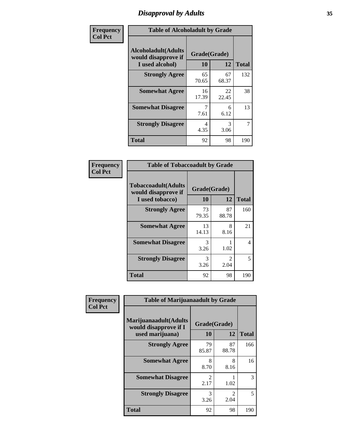# *Disapproval by Adults* **35**

| Frequency      | <b>Table of Alcoholadult by Grade</b>                                 |                    |                       |              |
|----------------|-----------------------------------------------------------------------|--------------------|-----------------------|--------------|
| <b>Col Pct</b> | <b>Alcoholadult</b> (Adults<br>would disapprove if<br>I used alcohol) | Grade(Grade)<br>10 | 12                    | <b>Total</b> |
|                | <b>Strongly Agree</b>                                                 | 65<br>70.65        | 67<br>68.37           | 132          |
|                | <b>Somewhat Agree</b>                                                 | 16<br>17.39        | 22<br>22.45           | 38           |
|                | <b>Somewhat Disagree</b>                                              | 7<br>7.61          | 6<br>6.12             | 13           |
|                | <b>Strongly Disagree</b>                                              | 4<br>4.35          | $\mathcal{R}$<br>3.06 | 7            |
|                | <b>Total</b>                                                          | 92                 | 98                    | 190          |

| <b>Table of Tobaccoadult by Grade</b>                                 |                    |                       |              |  |  |
|-----------------------------------------------------------------------|--------------------|-----------------------|--------------|--|--|
| <b>Tobaccoadult</b> (Adults<br>would disapprove if<br>I used tobacco) | Grade(Grade)<br>10 | 12                    | <b>Total</b> |  |  |
| <b>Strongly Agree</b>                                                 | 73<br>79.35        | 87<br>88.78           | 160          |  |  |
| <b>Somewhat Agree</b>                                                 | 13<br>14.13        | 8<br>8.16             | 21           |  |  |
| <b>Somewhat Disagree</b>                                              | 3<br>3.26          | 1.02                  | 4            |  |  |
| <b>Strongly Disagree</b>                                              | 3<br>3.26          | $\mathcal{L}$<br>2.04 | 5            |  |  |
| <b>Total</b>                                                          | 92                 | 98                    | 190          |  |  |

| Frequency      | <b>Table of Marijuanaadult by Grade</b>                           |                        |             |              |
|----------------|-------------------------------------------------------------------|------------------------|-------------|--------------|
| <b>Col Pct</b> | Marijuanaadult(Adults<br>would disapprove if I<br>used marijuana) | Grade(Grade)<br>10     | 12          | <b>Total</b> |
|                | <b>Strongly Agree</b>                                             | 79<br>85.87            | 87<br>88.78 | 166          |
|                | <b>Somewhat Agree</b>                                             | 8<br>8.70              | 8<br>8.16   | 16           |
|                | <b>Somewhat Disagree</b>                                          | $\mathfrak{D}$<br>2.17 | 1.02        | 3            |
|                | <b>Strongly Disagree</b>                                          | 3<br>3.26              | 2<br>2.04   | 5            |
|                | <b>Total</b>                                                      | 92                     | 98          | 190          |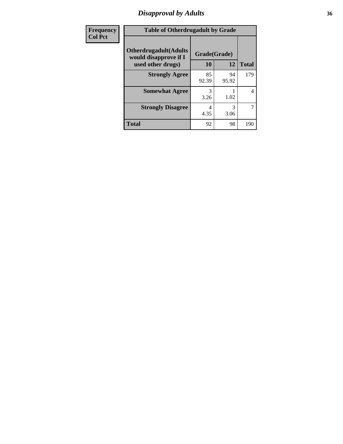# *Disapproval by Adults* **36**

| Frequency      | <b>Table of Otherdrugadult by Grade</b>                                     |                    |             |              |  |
|----------------|-----------------------------------------------------------------------------|--------------------|-------------|--------------|--|
| <b>Col Pct</b> | <b>Otherdrugadult</b> (Adults<br>would disapprove if I<br>used other drugs) | Grade(Grade)<br>10 | 12          | <b>Total</b> |  |
|                | <b>Strongly Agree</b>                                                       | 85<br>92.39        | 94<br>95.92 | 179          |  |
|                | <b>Somewhat Agree</b>                                                       | 3<br>3.26          | 1.02        | 4            |  |
|                | <b>Strongly Disagree</b>                                                    | 4<br>4.35          | 3<br>3.06   | 7            |  |
|                | <b>Total</b>                                                                | 92                 | 98          | 190          |  |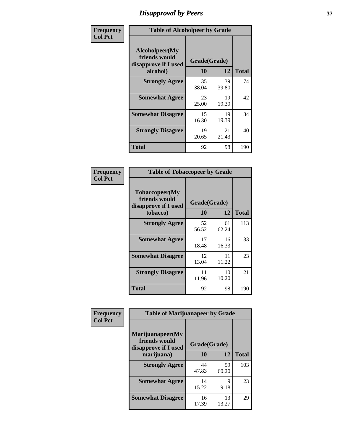# *Disapproval by Peers* **37**

| Frequency      | <b>Table of Alcoholpeer by Grade</b>                    |              |             |              |
|----------------|---------------------------------------------------------|--------------|-------------|--------------|
| <b>Col Pct</b> | Alcoholpeer(My<br>friends would<br>disapprove if I used | Grade(Grade) |             |              |
|                | alcohol)                                                | 10           | 12          | <b>Total</b> |
|                | <b>Strongly Agree</b>                                   | 35<br>38.04  | 39<br>39.80 | 74           |
|                | <b>Somewhat Agree</b>                                   | 23<br>25.00  | 19<br>19.39 | 42           |
|                | <b>Somewhat Disagree</b>                                | 15<br>16.30  | 19<br>19.39 | 34           |
|                | <b>Strongly Disagree</b>                                | 19<br>20.65  | 21<br>21.43 | 40           |
|                | Total                                                   | 92           | 98          | 190          |

| Frequency      | <b>Table of Tobaccopeer by Grade</b>                                |                    |             |              |
|----------------|---------------------------------------------------------------------|--------------------|-------------|--------------|
| <b>Col Pct</b> | Tobaccopeer(My<br>friends would<br>disapprove if I used<br>tobacco) | Grade(Grade)<br>10 | 12          | <b>Total</b> |
|                | <b>Strongly Agree</b>                                               | 52<br>56.52        | 61<br>62.24 | 113          |
|                | <b>Somewhat Agree</b>                                               | 17<br>18.48        | 16<br>16.33 | 33           |
|                | <b>Somewhat Disagree</b>                                            | 12<br>13.04        | 11<br>11.22 | 23           |
|                | <b>Strongly Disagree</b>                                            | 11<br>11.96        | 10<br>10.20 | 21           |
|                | Total                                                               | 92                 | 98          | 190          |

| <b>icv</b> | <b>Table of Marijuanapeer by Grade</b>                                  |                    |             |              |
|------------|-------------------------------------------------------------------------|--------------------|-------------|--------------|
|            | Marijuanapeer(My<br>friends would<br>disapprove if I used<br>marijuana) | Grade(Grade)<br>10 | 12          | <b>Total</b> |
|            | <b>Strongly Agree</b>                                                   | 44<br>47.83        | 59<br>60.20 | 103          |
|            | <b>Somewhat Agree</b>                                                   | 14<br>15.22        | 9<br>9.18   | 23           |
|            | <b>Somewhat Disagree</b>                                                | 16<br>17.39        | 13<br>13.27 | 29           |

| Frequenc       |
|----------------|
| <b>Col Pct</b> |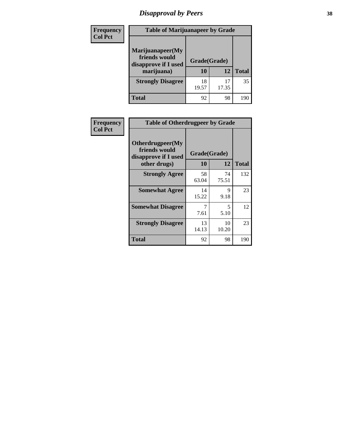# *Disapproval by Peers* **38**

| <b>Frequency</b> | <b>Table of Marijuanapeer by Grade</b>                                  |                    |             |              |
|------------------|-------------------------------------------------------------------------|--------------------|-------------|--------------|
| <b>Col Pct</b>   | Marijuanapeer(My<br>friends would<br>disapprove if I used<br>marijuana) | Grade(Grade)<br>10 | 12          | <b>Total</b> |
|                  | <b>Strongly Disagree</b>                                                | 18<br>19.57        | 17<br>17.35 | 35           |
|                  | <b>Total</b>                                                            | 92                 | 98          | 190          |

| <b>Frequency</b> | <b>Table of Otherdrugpeer by Grade</b>                                    |                           |             |              |
|------------------|---------------------------------------------------------------------------|---------------------------|-------------|--------------|
| <b>Col Pct</b>   | Otherdrugpeer(My<br>friends would<br>disapprove if I used<br>other drugs) | Grade(Grade)<br><b>10</b> | 12          | <b>Total</b> |
|                  | <b>Strongly Agree</b>                                                     | 58<br>63.04               | 74<br>75.51 | 132          |
|                  | <b>Somewhat Agree</b>                                                     | 14<br>15.22               | 9<br>9.18   | 23           |
|                  | <b>Somewhat Disagree</b>                                                  | 7<br>7.61                 | 5<br>5.10   | 12           |
|                  | <b>Strongly Disagree</b>                                                  | 13<br>14.13               | 10<br>10.20 | 23           |
|                  | <b>Total</b>                                                              | 92                        | 98          | 190          |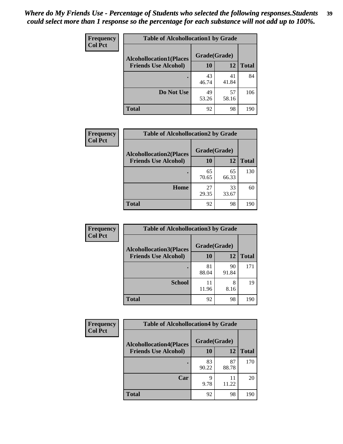| <b>Frequency</b> | <b>Table of Alcohollocation1 by Grade</b><br>Grade(Grade)<br><b>Alcohollocation1(Places</b> |             |             |              |
|------------------|---------------------------------------------------------------------------------------------|-------------|-------------|--------------|
| <b>Col Pct</b>   |                                                                                             |             |             |              |
|                  | <b>Friends Use Alcohol)</b>                                                                 | 10          | 12          | <b>Total</b> |
|                  |                                                                                             | 43<br>46.74 | 41<br>41.84 | 84           |
|                  | Do Not Use                                                                                  | 49<br>53.26 | 57<br>58.16 | 106          |
|                  | <b>Total</b>                                                                                | 92          | 98          | 190          |

| Frequency      | <b>Table of Alcohollocation2 by Grade</b>                     |                    |             |              |
|----------------|---------------------------------------------------------------|--------------------|-------------|--------------|
| <b>Col Pct</b> | <b>Alcohollocation2(Places</b><br><b>Friends Use Alcohol)</b> | Grade(Grade)<br>10 | <b>12</b>   | <b>Total</b> |
|                |                                                               | 65<br>70.65        | 65<br>66.33 | 130          |
|                | Home                                                          | 27<br>29.35        | 33<br>33.67 | 60           |
|                | <b>Total</b>                                                  | 92                 | 98          | 190          |

| Frequency<br><b>Col Pct</b> | <b>Table of Alcohollocation 3 by Grade</b>                    |                    |             |              |
|-----------------------------|---------------------------------------------------------------|--------------------|-------------|--------------|
|                             | <b>Alcohollocation3(Places</b><br><b>Friends Use Alcohol)</b> | Grade(Grade)<br>10 | 12          | <b>Total</b> |
|                             |                                                               | 81<br>88.04        | 90<br>91.84 | 171          |
|                             | <b>School</b>                                                 | 11<br>11.96        | 8<br>8.16   | 19           |
|                             | <b>Total</b>                                                  | 92                 | 98          | 190          |

| <b>Frequency</b> | <b>Table of Alcohollocation4 by Grade</b> |              |             |              |
|------------------|-------------------------------------------|--------------|-------------|--------------|
| <b>Col Pct</b>   | <b>Alcohollocation4(Places</b>            | Grade(Grade) |             |              |
|                  | <b>Friends Use Alcohol)</b>               | 10           | 12          | <b>Total</b> |
|                  |                                           | 83<br>90.22  | 87<br>88.78 | 170          |
|                  | Car                                       | 9<br>9.78    | 11<br>11.22 | 20           |
|                  | <b>Total</b>                              | 92           | 98          | 190          |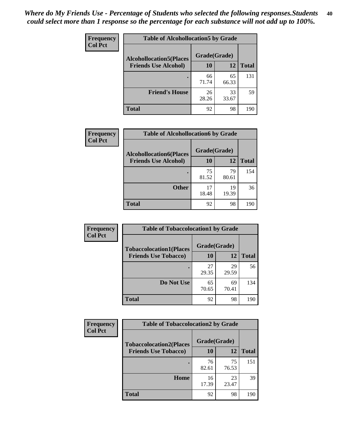| Frequency<br><b>Col Pct</b> | <b>Table of Alcohollocation5 by Grade</b> |              |             |              |
|-----------------------------|-------------------------------------------|--------------|-------------|--------------|
|                             | <b>Alcohollocation5(Places</b>            | Grade(Grade) |             |              |
|                             | <b>Friends Use Alcohol)</b>               | 10           | 12          | <b>Total</b> |
|                             |                                           | 66<br>71.74  | 65<br>66.33 | 131          |
|                             | <b>Friend's House</b>                     | 26<br>28.26  | 33<br>33.67 | 59           |
|                             | <b>Total</b>                              | 92           | 98          | 190          |

| <b>Frequency</b> | <b>Table of Alcohollocation6 by Grade</b> |              |             |              |
|------------------|-------------------------------------------|--------------|-------------|--------------|
| <b>Col Pct</b>   | <b>Alcohollocation6(Places</b>            | Grade(Grade) |             |              |
|                  | <b>Friends Use Alcohol)</b>               | 10           | 12          | <b>Total</b> |
|                  |                                           | 75<br>81.52  | 79<br>80.61 | 154          |
|                  | <b>Other</b>                              | 17<br>18.48  | 19<br>19.39 | 36           |
|                  | <b>Total</b>                              | 92           | 98          | 190          |

| Frequency      | <b>Table of Tobaccolocation1 by Grade</b> |              |             |              |
|----------------|-------------------------------------------|--------------|-------------|--------------|
| <b>Col Pct</b> | <b>Tobaccolocation1(Places</b>            | Grade(Grade) |             |              |
|                | <b>Friends Use Tobacco)</b>               | 10           | 12          | <b>Total</b> |
|                |                                           | 27<br>29.35  | 29<br>29.59 | 56           |
|                | Do Not Use                                | 65<br>70.65  | 69<br>70.41 | 134          |
|                | <b>Total</b>                              | 92           | 98          | 190          |

| <b>Frequency</b> | <b>Table of Tobaccolocation2 by Grade</b> |              |             |              |
|------------------|-------------------------------------------|--------------|-------------|--------------|
| <b>Col Pct</b>   | <b>Tobaccolocation2(Places</b>            | Grade(Grade) |             |              |
|                  | <b>Friends Use Tobacco)</b>               | <b>10</b>    | 12          | <b>Total</b> |
|                  |                                           | 76<br>82.61  | 75<br>76.53 | 151          |
|                  | Home                                      | 16<br>17.39  | 23<br>23.47 | 39           |
|                  | <b>Total</b>                              | 92           | 98          | 190          |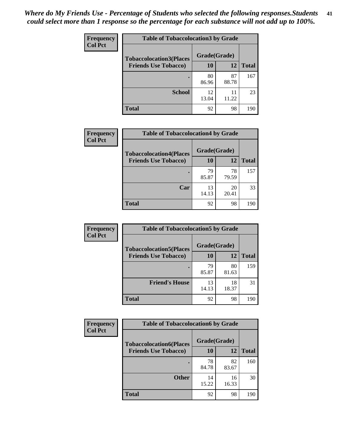| Frequency<br><b>Col Pct</b> | <b>Table of Tobaccolocation 3 by Grade</b> |              |             |              |  |
|-----------------------------|--------------------------------------------|--------------|-------------|--------------|--|
|                             | <b>Tobaccolocation3(Places</b>             | Grade(Grade) |             |              |  |
|                             | <b>Friends Use Tobacco)</b>                | 10           | 12          | <b>Total</b> |  |
|                             |                                            | 80<br>86.96  | 87<br>88.78 | 167          |  |
|                             | <b>School</b>                              | 12<br>13.04  | 11<br>11.22 | 23           |  |
|                             | <b>Total</b>                               | 92           | 98          | 190          |  |

| Frequency      | <b>Table of Tobaccolocation4 by Grade</b> |              |             |              |
|----------------|-------------------------------------------|--------------|-------------|--------------|
| <b>Col Pct</b> | <b>Tobaccolocation4(Places</b>            | Grade(Grade) |             |              |
|                | <b>Friends Use Tobacco)</b>               | <b>10</b>    | 12          | <b>Total</b> |
|                |                                           | 79<br>85.87  | 78<br>79.59 | 157          |
|                | Car                                       | 13<br>14.13  | 20<br>20.41 | 33           |
|                | <b>Total</b>                              | 92           | 98          | 190          |

| <b>Frequency</b> | <b>Table of Tobaccolocation5 by Grade</b> |              |             |              |
|------------------|-------------------------------------------|--------------|-------------|--------------|
| <b>Col Pct</b>   | <b>Tobaccolocation5(Places</b>            | Grade(Grade) |             |              |
|                  | <b>Friends Use Tobacco)</b>               | 10           | 12          | <b>Total</b> |
|                  |                                           | 79<br>85.87  | 80<br>81.63 | 159          |
|                  | <b>Friend's House</b>                     | 13<br>14.13  | 18<br>18.37 | 31           |
|                  | <b>Total</b>                              | 92           | 98          | 190          |

| Frequency      | <b>Table of Tobaccolocation6 by Grade</b> |              |             |              |  |
|----------------|-------------------------------------------|--------------|-------------|--------------|--|
| <b>Col Pct</b> | <b>Tobaccolocation6(Places</b>            | Grade(Grade) |             |              |  |
|                | <b>Friends Use Tobacco)</b>               | 10           | <b>12</b>   | <b>Total</b> |  |
|                |                                           | 78<br>84.78  | 82<br>83.67 | 160          |  |
|                | <b>Other</b>                              | 14<br>15.22  | 16<br>16.33 | 30           |  |
|                | <b>Total</b>                              | 92           | 98          | 190          |  |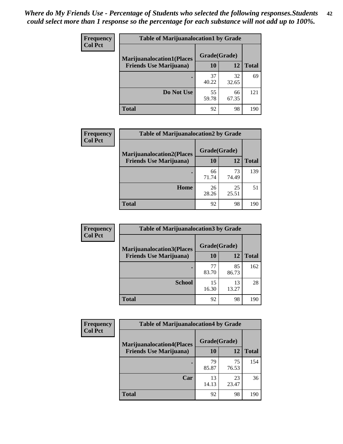| <b>Frequency</b> | <b>Table of Marijuanalocation1 by Grade</b>                        |              |             |              |
|------------------|--------------------------------------------------------------------|--------------|-------------|--------------|
| <b>Col Pct</b>   | <b>Marijuanalocation1(Places</b><br><b>Friends Use Marijuana</b> ) | Grade(Grade) |             |              |
|                  |                                                                    | 10           | 12          | <b>Total</b> |
|                  |                                                                    | 37<br>40.22  | 32<br>32.65 | 69           |
|                  | Do Not Use                                                         | 55<br>59.78  | 66<br>67.35 | 121          |
|                  | <b>Total</b>                                                       | 92           | 98          | 190          |

| <b>Frequency</b> | <b>Table of Marijuanalocation2 by Grade</b>                        |                    |             |              |
|------------------|--------------------------------------------------------------------|--------------------|-------------|--------------|
| <b>Col Pct</b>   | <b>Marijuanalocation2(Places</b><br><b>Friends Use Marijuana</b> ) | Grade(Grade)<br>10 | 12          | <b>Total</b> |
|                  |                                                                    | 66<br>71.74        | 73<br>74.49 | 139          |
|                  | Home                                                               | 26<br>28.26        | 25<br>25.51 | 51           |
|                  | <b>Total</b>                                                       | 92                 | 98          | 190          |

| Frequency<br><b>Col Pct</b> | <b>Table of Marijuanalocation3 by Grade</b> |              |             |       |
|-----------------------------|---------------------------------------------|--------------|-------------|-------|
|                             | <b>Marijuanalocation3</b> (Places           | Grade(Grade) |             |       |
|                             | <b>Friends Use Marijuana</b> )              | 10           | 12          | Total |
|                             |                                             | 77<br>83.70  | 85<br>86.73 | 162   |
|                             | <b>School</b>                               | 15<br>16.30  | 13<br>13.27 | 28    |
|                             | <b>Total</b>                                | 92           | 98          | 190   |

| <b>Frequency</b> | <b>Table of Marijuanalocation4 by Grade</b> |              |             |              |  |
|------------------|---------------------------------------------|--------------|-------------|--------------|--|
| <b>Col Pct</b>   | <b>Marijuanalocation4(Places</b>            | Grade(Grade) |             |              |  |
|                  | <b>Friends Use Marijuana</b> )              | <b>10</b>    | 12          | <b>Total</b> |  |
|                  |                                             | 79<br>85.87  | 75<br>76.53 | 154          |  |
|                  | Car                                         | 13<br>14.13  | 23<br>23.47 | 36           |  |
|                  | <b>Total</b>                                | 92           | 98          | 190          |  |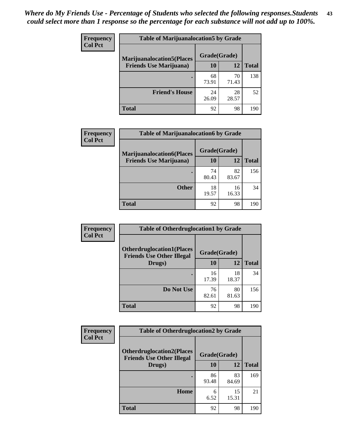| <b>Frequency</b> | <b>Table of Marijuanalocation5 by Grade</b> |              |             |              |
|------------------|---------------------------------------------|--------------|-------------|--------------|
| <b>Col Pct</b>   | <b>Marijuanalocation5(Places)</b>           | Grade(Grade) |             |              |
|                  | <b>Friends Use Marijuana</b> )              | 10           | 12          | <b>Total</b> |
|                  |                                             | 68<br>73.91  | 70<br>71.43 | 138          |
|                  | <b>Friend's House</b>                       | 24<br>26.09  | 28<br>28.57 | 52           |
|                  | <b>Total</b>                                | 92           | 98          | 190          |

| <b>Frequency</b> | <b>Table of Marijuanalocation6 by Grade</b>                        |                    |             |              |
|------------------|--------------------------------------------------------------------|--------------------|-------------|--------------|
| <b>Col Pct</b>   | <b>Marijuanalocation6(Places</b><br><b>Friends Use Marijuana</b> ) | Grade(Grade)<br>10 | 12          | <b>Total</b> |
|                  |                                                                    | 74<br>80.43        | 82<br>83.67 | 156          |
|                  | <b>Other</b>                                                       | 18<br>19.57        | 16<br>16.33 | 34           |
|                  | <b>Total</b>                                                       | 92                 | 98          | 190          |

| <b>Frequency</b> | <b>Table of Otherdruglocation1 by Grade</b>                          |              |             |              |
|------------------|----------------------------------------------------------------------|--------------|-------------|--------------|
| <b>Col Pct</b>   | <b>Otherdruglocation1(Places</b><br><b>Friends Use Other Illegal</b> | Grade(Grade) |             |              |
|                  | Drugs)                                                               | 10           | <b>12</b>   | <b>Total</b> |
|                  |                                                                      | 16<br>17.39  | 18<br>18.37 | 34           |
|                  | Do Not Use                                                           | 76<br>82.61  | 80<br>81.63 | 156          |
|                  | <b>Total</b>                                                         | 92           | 98          | 190          |

| Frequency      | <b>Table of Otherdruglocation2 by Grade</b>                          |              |             |              |
|----------------|----------------------------------------------------------------------|--------------|-------------|--------------|
| <b>Col Pct</b> | <b>Otherdruglocation2(Places</b><br><b>Friends Use Other Illegal</b> | Grade(Grade) |             |              |
|                | Drugs)                                                               | 10           | 12          | <b>Total</b> |
|                |                                                                      | 86<br>93.48  | 83<br>84.69 | 169          |
|                | Home                                                                 | 6<br>6.52    | 15<br>15.31 | 21           |
|                | <b>Total</b>                                                         | 92           | 98          | 190          |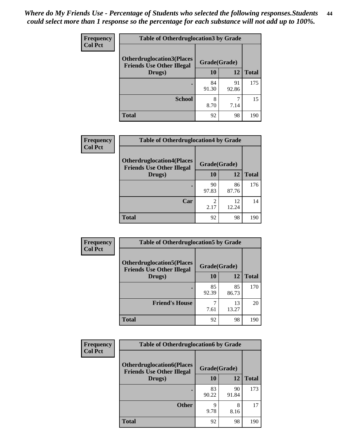| <b>Frequency</b> | <b>Table of Otherdruglocation3 by Grade</b>                          |              |             |              |
|------------------|----------------------------------------------------------------------|--------------|-------------|--------------|
| <b>Col Pct</b>   | <b>Otherdruglocation3(Places</b><br><b>Friends Use Other Illegal</b> | Grade(Grade) |             |              |
| Drugs)           |                                                                      | 10           | 12          | <b>Total</b> |
|                  |                                                                      | 84<br>91.30  | 91<br>92.86 | 175          |
|                  | <b>School</b>                                                        | 8<br>8.70    | 7.14        | 15           |
|                  | <b>Total</b>                                                         | 92           | 98          | 190          |

| <b>Frequency</b> | <b>Table of Otherdruglocation4 by Grade</b>                          |              |             |              |
|------------------|----------------------------------------------------------------------|--------------|-------------|--------------|
| <b>Col Pct</b>   | <b>Otherdruglocation4(Places</b><br><b>Friends Use Other Illegal</b> | Grade(Grade) |             |              |
|                  | Drugs)                                                               | 10           | 12          | <b>Total</b> |
|                  |                                                                      | 90<br>97.83  | 86<br>87.76 | 176          |
|                  | Car                                                                  | 2.17         | 12<br>12.24 | 14           |
|                  | <b>Total</b>                                                         | 92           | 98          | 190          |

| <b>Frequency</b> | <b>Table of Otherdruglocation5 by Grade</b>                          |              |             |              |
|------------------|----------------------------------------------------------------------|--------------|-------------|--------------|
| <b>Col Pct</b>   | <b>Otherdruglocation5(Places</b><br><b>Friends Use Other Illegal</b> | Grade(Grade) |             |              |
|                  | Drugs)                                                               | 10           | 12          | <b>Total</b> |
|                  |                                                                      | 85<br>92.39  | 85<br>86.73 | 170          |
|                  | <b>Friend's House</b>                                                | 7.61         | 13<br>13.27 | 20           |
|                  | Total                                                                | 92           | 98          | 190          |

| <b>Frequency</b>                                                                       | <b>Table of Otherdruglocation6 by Grade</b> |             |              |              |
|----------------------------------------------------------------------------------------|---------------------------------------------|-------------|--------------|--------------|
| <b>Col Pct</b><br><b>Otherdruglocation6(Places</b><br><b>Friends Use Other Illegal</b> |                                             |             | Grade(Grade) |              |
|                                                                                        | Drugs)                                      | 10          | 12           | <b>Total</b> |
|                                                                                        |                                             | 83<br>90.22 | 90<br>91.84  | 173          |
|                                                                                        | <b>Other</b>                                | 9<br>9.78   | 8<br>8.16    | 17           |
|                                                                                        | <b>Total</b>                                | 92          | 98           | 190          |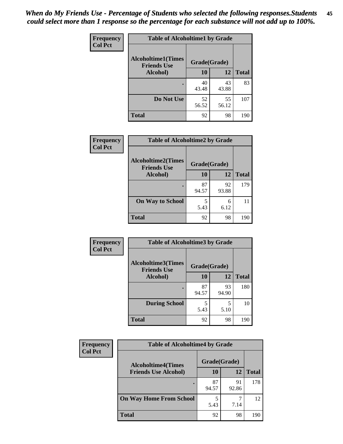| Frequency      | <b>Table of Alcoholtime1 by Grade</b>                           |             |             |              |
|----------------|-----------------------------------------------------------------|-------------|-------------|--------------|
| <b>Col Pct</b> | <b>Alcoholtime1(Times</b><br>Grade(Grade)<br><b>Friends Use</b> |             |             |              |
|                | Alcohol)                                                        | 10          | 12          | <b>Total</b> |
|                | ٠                                                               | 40<br>43.48 | 43<br>43.88 | 83           |
|                | Do Not Use                                                      | 52<br>56.52 | 55<br>56.12 | 107          |
|                | <b>Total</b>                                                    | 92          | 98          | 190          |

| Frequency      | <b>Table of Alcoholtime2 by Grade</b>           |              |             |              |
|----------------|-------------------------------------------------|--------------|-------------|--------------|
| <b>Col Pct</b> | <b>Alcoholtime2(Times</b><br><b>Friends Use</b> | Grade(Grade) |             |              |
|                | Alcohol)                                        | 10           | 12          | <b>Total</b> |
|                |                                                 | 87<br>94.57  | 92<br>93.88 | 179          |
|                | <b>On Way to School</b>                         | 5<br>5.43    | 6<br>6.12   | 11           |
|                | <b>Total</b>                                    | 92           | 98          | 190          |

| Frequency      | <b>Table of Alcoholtime3 by Grade</b>                           |             |             |              |
|----------------|-----------------------------------------------------------------|-------------|-------------|--------------|
| <b>Col Pct</b> | <b>Alcoholtime3(Times</b><br>Grade(Grade)<br><b>Friends Use</b> |             |             |              |
|                | Alcohol)                                                        | 10          | 12          | <b>Total</b> |
|                |                                                                 | 87<br>94.57 | 93<br>94.90 | 180          |
|                | <b>During School</b>                                            | 5<br>5.43   | 5<br>5.10   | 10           |
|                | <b>Total</b>                                                    | 92          | 98          | 190          |

| <b>Frequency</b> | <b>Table of Alcoholtime4 by Grade</b> |              |             |              |
|------------------|---------------------------------------|--------------|-------------|--------------|
| <b>Col Pct</b>   | <b>Alcoholtime4(Times</b>             | Grade(Grade) |             |              |
|                  | <b>Friends Use Alcohol)</b>           | 10           | 12          | <b>Total</b> |
|                  | ٠                                     | 87<br>94.57  | 91<br>92.86 | 178          |
|                  | <b>On Way Home From School</b>        | 5<br>5.43    | 7.14        | 12           |
|                  | <b>Total</b>                          | 92           | 98          | 190          |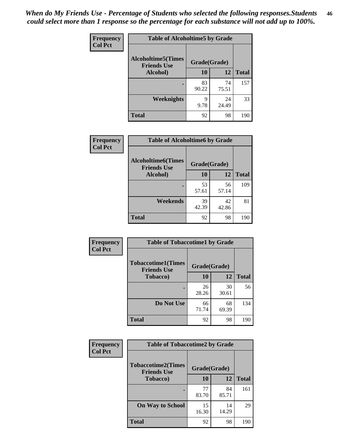*When do My Friends Use - Percentage of Students who selected the following responses.Students could select more than 1 response so the percentage for each substance will not add up to 100%.* **46**

| <b>Frequency</b> | <b>Table of Alcoholtime5 by Grade</b>           |              |             |              |
|------------------|-------------------------------------------------|--------------|-------------|--------------|
| <b>Col Pct</b>   | <b>Alcoholtime5(Times</b><br><b>Friends Use</b> | Grade(Grade) |             |              |
|                  | Alcohol)                                        | 10           | 12          | <b>Total</b> |
|                  | ٠                                               | 83<br>90.22  | 74<br>75.51 | 157          |
|                  | Weeknights                                      | q<br>9.78    | 24<br>24.49 | 33           |
|                  | <b>Total</b>                                    | 92           | 98          | 190          |

| Frequency      | <b>Table of Alcoholtime6 by Grade</b>           |              |             |              |
|----------------|-------------------------------------------------|--------------|-------------|--------------|
| <b>Col Pct</b> | <b>Alcoholtime6(Times</b><br><b>Friends Use</b> | Grade(Grade) |             |              |
|                | Alcohol)                                        | 10           | 12          | <b>Total</b> |
|                |                                                 | 53<br>57.61  | 56<br>57.14 | 109          |
|                | Weekends                                        | 39<br>42.39  | 42<br>42.86 | 81           |
|                | <b>Total</b>                                    | 92           | 98          | 190          |

| <b>Frequency</b><br><b>Col Pct</b> | <b>Table of Tobaccotime1 by Grade</b>           |              |             |              |  |
|------------------------------------|-------------------------------------------------|--------------|-------------|--------------|--|
|                                    | <b>Tobaccotime1(Times</b><br><b>Friends Use</b> | Grade(Grade) |             |              |  |
|                                    | <b>Tobacco</b> )                                | 10           | 12          | <b>Total</b> |  |
|                                    |                                                 | 26<br>28.26  | 30<br>30.61 | 56           |  |
|                                    | Do Not Use                                      | 66<br>71.74  | 68<br>69.39 | 134          |  |
|                                    | <b>Total</b>                                    | 92           | 98          | 190          |  |

| <b>Frequency</b> | <b>Table of Tobaccotime2 by Grade</b>           |              |             |              |
|------------------|-------------------------------------------------|--------------|-------------|--------------|
| <b>Col Pct</b>   | <b>Tobaccotime2(Times</b><br><b>Friends Use</b> | Grade(Grade) |             |              |
|                  | <b>Tobacco</b> )                                | 10           | 12          | <b>Total</b> |
|                  |                                                 | 77<br>83.70  | 84<br>85.71 | 161          |
|                  | <b>On Way to School</b>                         | 15<br>16.30  | 14<br>14.29 | 29           |
|                  | <b>Total</b>                                    | 92           | 98          | 190          |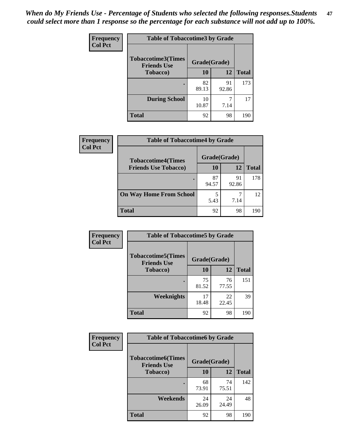*When do My Friends Use - Percentage of Students who selected the following responses.Students could select more than 1 response so the percentage for each substance will not add up to 100%.* **47**

| <b>Frequency</b> | <b>Table of Tobaccotime3 by Grade</b>           |              |             |              |  |  |
|------------------|-------------------------------------------------|--------------|-------------|--------------|--|--|
| <b>Col Pct</b>   | <b>Tobaccotime3(Times</b><br><b>Friends Use</b> | Grade(Grade) |             |              |  |  |
|                  | <b>Tobacco</b> )                                | 10           | 12          | <b>Total</b> |  |  |
|                  |                                                 | 82<br>89.13  | 91<br>92.86 | 173          |  |  |
|                  | <b>During School</b>                            | 10<br>10.87  | 7.14        | 17           |  |  |
|                  | <b>Total</b>                                    | 92           | 98          | 190          |  |  |

| <b>Frequency</b> | <b>Table of Tobaccotime4 by Grade</b> |              |             |              |  |
|------------------|---------------------------------------|--------------|-------------|--------------|--|
| <b>Col Pct</b>   | <b>Tobaccotime4(Times</b>             | Grade(Grade) |             |              |  |
|                  | <b>Friends Use Tobacco)</b>           | 10           | 12          | <b>Total</b> |  |
|                  |                                       | 87<br>94.57  | 91<br>92.86 | 178          |  |
|                  | <b>On Way Home From School</b>        | 5<br>5.43    | 7.14        | 12           |  |
|                  | Total                                 | 92           | 98          | 190          |  |

| <b>Frequency</b> | <b>Table of Tobaccotime5 by Grade</b>                           |             |             |              |
|------------------|-----------------------------------------------------------------|-------------|-------------|--------------|
| <b>Col Pct</b>   | <b>Tobaccotime5(Times</b><br>Grade(Grade)<br><b>Friends Use</b> |             |             |              |
|                  | Tobacco)                                                        | 10          | 12          | <b>Total</b> |
|                  | $\bullet$                                                       | 75<br>81.52 | 76<br>77.55 | 151          |
|                  | <b>Weeknights</b>                                               | 17<br>18.48 | 22<br>22.45 | 39           |
|                  | <b>Total</b>                                                    | 92          | 98          | 190          |

| <b>Frequency</b><br><b>Col Pct</b> | <b>Table of Tobaccotime6 by Grade</b>           |              |             |              |
|------------------------------------|-------------------------------------------------|--------------|-------------|--------------|
|                                    | <b>Tobaccotime6(Times</b><br><b>Friends Use</b> | Grade(Grade) |             |              |
|                                    | Tobacco)                                        | 10           | 12          | <b>Total</b> |
|                                    | ٠                                               | 68<br>73.91  | 74<br>75.51 | 142          |
|                                    | Weekends                                        | 24<br>26.09  | 24<br>24.49 | 48           |
|                                    | <b>Total</b>                                    | 92           | 98          | 190          |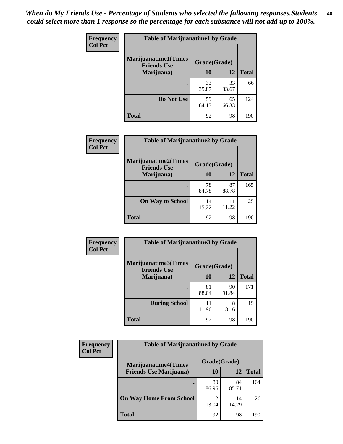| Frequency      | <b>Table of Marijuanatime1 by Grade</b>           |              |             |              |
|----------------|---------------------------------------------------|--------------|-------------|--------------|
| <b>Col Pct</b> | <b>Marijuanatime1(Times</b><br><b>Friends Use</b> | Grade(Grade) |             |              |
|                | Marijuana)                                        | 10           | 12          | <b>Total</b> |
|                |                                                   | 33<br>35.87  | 33<br>33.67 | 66           |
|                | Do Not Use                                        | 59<br>64.13  | 65<br>66.33 | 124          |
|                | <b>Total</b>                                      | 92           | 98          | 190          |

| Frequency      | <b>Table of Marijuanatime2 by Grade</b>           |              |             |              |  |
|----------------|---------------------------------------------------|--------------|-------------|--------------|--|
| <b>Col Pct</b> | <b>Marijuanatime2(Times</b><br><b>Friends Use</b> | Grade(Grade) |             |              |  |
|                | Marijuana)                                        | 10           | 12          | <b>Total</b> |  |
|                |                                                   | 78<br>84.78  | 87<br>88.78 | 165          |  |
|                | <b>On Way to School</b>                           | 14<br>15.22  | 11<br>11.22 | 25           |  |
|                | <b>Total</b>                                      | 92           | 98          | 190          |  |

| <b>Frequency</b> | <b>Table of Marijuanatime3 by Grade</b>    |              |             |              |
|------------------|--------------------------------------------|--------------|-------------|--------------|
| <b>Col Pct</b>   | Marijuanatime3(Times<br><b>Friends Use</b> | Grade(Grade) |             |              |
|                  | Marijuana)                                 | 10           | <b>12</b>   | <b>Total</b> |
|                  |                                            | 81<br>88.04  | 90<br>91.84 | 171          |
|                  | <b>During School</b>                       | 11<br>11.96  | 8<br>8.16   | 19           |
|                  | <b>Total</b>                               | 92           | 98          | 190          |

| <b>Frequency</b><br><b>Col Pct</b> | <b>Table of Marijuanatime4 by Grade</b> |              |             |       |
|------------------------------------|-----------------------------------------|--------------|-------------|-------|
|                                    | <b>Marijuanatime4</b> (Times            | Grade(Grade) |             |       |
|                                    | <b>Friends Use Marijuana</b> )          | 10           | 12          | Total |
|                                    |                                         | 80<br>86.96  | 84<br>85.71 | 164   |
|                                    | <b>On Way Home From School</b>          | 12<br>13.04  | 14<br>14.29 | 26    |
|                                    | <b>Total</b>                            | 92           | 98          | 190   |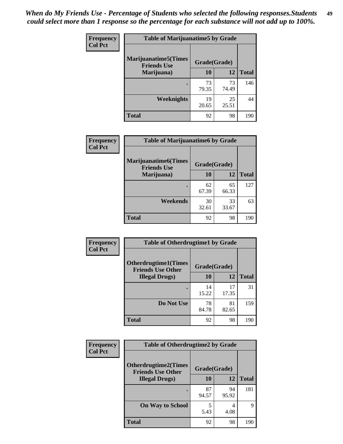| <b>Frequency</b><br><b>Col Pct</b> | <b>Table of Marijuanatime5 by Grade</b>            |              |             |              |
|------------------------------------|----------------------------------------------------|--------------|-------------|--------------|
|                                    | <b>Marijuanatime5</b> (Times<br><b>Friends Use</b> | Grade(Grade) |             |              |
|                                    | Marijuana)                                         | 10           | 12          | <b>Total</b> |
|                                    |                                                    | 73<br>79.35  | 73<br>74.49 | 146          |
|                                    | Weeknights                                         | 19<br>20.65  | 25<br>25.51 | 44           |
|                                    | <b>Total</b>                                       | 92           | 98          | 190          |

| Frequency      | <b>Table of Marijuanatime6 by Grade</b>            |              |             |              |
|----------------|----------------------------------------------------|--------------|-------------|--------------|
| <b>Col Pct</b> | <b>Marijuanatime6</b> (Times<br><b>Friends Use</b> | Grade(Grade) |             |              |
|                | Marijuana)                                         | 10           | 12          | <b>Total</b> |
|                |                                                    | 62<br>67.39  | 65<br>66.33 | 127          |
|                | Weekends                                           | 30<br>32.61  | 33<br>33.67 | 63           |
|                | <b>Total</b>                                       | 92           | 98          | 190          |

| <b>Frequency</b> | <b>Table of Otherdrugtime1 by Grade</b>                 |              |             |              |
|------------------|---------------------------------------------------------|--------------|-------------|--------------|
| <b>Col Pct</b>   | <b>Otherdrugtime1(Times</b><br><b>Friends Use Other</b> | Grade(Grade) |             |              |
|                  | <b>Illegal Drugs</b> )                                  | 10           | 12          | <b>Total</b> |
|                  |                                                         | 14<br>15.22  | 17<br>17.35 | 31           |
|                  | Do Not Use                                              | 78<br>84.78  | 81<br>82.65 | 159          |
|                  | <b>Total</b>                                            | 92           | 98          | 190          |

| Frequency<br><b>Col Pct</b> | <b>Table of Otherdrugtime2 by Grade</b>                 |             |              |              |
|-----------------------------|---------------------------------------------------------|-------------|--------------|--------------|
|                             | <b>Otherdrugtime2(Times</b><br><b>Friends Use Other</b> |             | Grade(Grade) |              |
|                             | <b>Illegal Drugs</b> )                                  | 10          | 12           | <b>Total</b> |
|                             |                                                         | 87<br>94.57 | 94<br>95.92  | 181          |
|                             | <b>On Way to School</b>                                 | 5<br>5.43   | 4<br>4.08    | 9            |
|                             | <b>Total</b>                                            | 92          | 98           | 190          |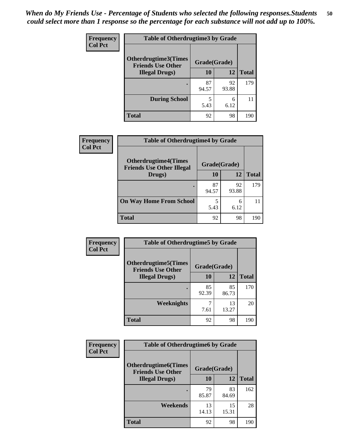| <b>Frequency</b> | <b>Table of Otherdrugtime3 by Grade</b>          |              |             |              |
|------------------|--------------------------------------------------|--------------|-------------|--------------|
| <b>Col Pct</b>   | Otherdrugtime3(Times<br><b>Friends Use Other</b> | Grade(Grade) |             |              |
|                  | <b>Illegal Drugs</b> )                           | 10           | 12          | <b>Total</b> |
|                  |                                                  | 87<br>94.57  | 92<br>93.88 | 179          |
|                  | <b>During School</b>                             | 5<br>5.43    | 6<br>6.12   | 11           |
|                  | <b>Total</b>                                     | 92           | 98          | 190          |

| <b>Frequency</b> | <b>Table of Otherdrugtime4 by Grade</b>                         |              |             |              |
|------------------|-----------------------------------------------------------------|--------------|-------------|--------------|
| <b>Col Pct</b>   | <b>Otherdrugtime4(Times</b><br><b>Friends Use Other Illegal</b> | Grade(Grade) |             |              |
|                  | Drugs)                                                          | 10           | 12          | <b>Total</b> |
|                  | ٠                                                               | 87<br>94.57  | 92<br>93.88 | 179          |
|                  | <b>On Way Home From School</b>                                  | 5.43         | 6<br>6.12   | 11           |
|                  | <b>Total</b>                                                    | 92           | 98          | 190          |

| <b>Frequency</b> | <b>Table of Otherdrugtime5 by Grade</b><br><b>Otherdrugtime5</b> (Times<br>Grade(Grade)<br><b>Friends Use Other</b> |             |             |              |
|------------------|---------------------------------------------------------------------------------------------------------------------|-------------|-------------|--------------|
| <b>Col Pct</b>   |                                                                                                                     |             |             |              |
|                  | <b>Illegal Drugs</b> )                                                                                              | 10          | 12          | <b>Total</b> |
|                  |                                                                                                                     | 85<br>92.39 | 85<br>86.73 | 170          |
|                  | Weeknights                                                                                                          | 7.61        | 13<br>13.27 | 20           |
|                  | Total                                                                                                               | 92          | 98          | 190          |

| Frequency      | <b>Table of Otherdrugtime6 by Grade</b>                 |              |             |              |
|----------------|---------------------------------------------------------|--------------|-------------|--------------|
| <b>Col Pct</b> | <b>Otherdrugtime6(Times</b><br><b>Friends Use Other</b> | Grade(Grade) |             |              |
|                | <b>Illegal Drugs</b> )                                  | 10           | 12          | <b>Total</b> |
|                |                                                         | 79<br>85.87  | 83<br>84.69 | 162          |
|                | Weekends                                                | 13<br>14.13  | 15<br>15.31 | 28           |
|                | <b>Total</b>                                            | 92           | 98          | 190          |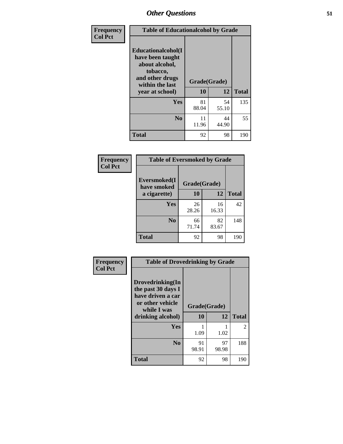| Frequency      | <b>Table of Educationalcohol by Grade</b>                                                                  |              |             |              |
|----------------|------------------------------------------------------------------------------------------------------------|--------------|-------------|--------------|
| <b>Col Pct</b> | Educationalcohol(I<br>have been taught<br>about alcohol,<br>tobacco,<br>and other drugs<br>within the last | Grade(Grade) |             |              |
|                | year at school)                                                                                            | 10           | 12          | <b>Total</b> |
|                | Yes                                                                                                        | 81<br>88.04  | 54<br>55.10 | 135          |
|                | N <sub>0</sub>                                                                                             | 11<br>11.96  | 44<br>44.90 | 55           |
|                | <b>Total</b>                                                                                               | 92           | 98          | 190          |

| Frequency      | <b>Table of Eversmoked by Grade</b> |              |             |              |  |
|----------------|-------------------------------------|--------------|-------------|--------------|--|
| <b>Col Pct</b> | Eversmoked(I<br>have smoked         | Grade(Grade) |             |              |  |
|                | a cigarette)                        | 10<br>12     |             | <b>Total</b> |  |
|                | Yes                                 | 26<br>28.26  | 16<br>16.33 | 42           |  |
|                | N <sub>0</sub>                      | 66<br>71.74  | 82<br>83.67 | 148          |  |
|                | <b>Total</b>                        | 92           | 98          | 190          |  |

| Frequency<br><b>Col Pct</b> | <b>Table of Drovedrinking by Grade</b>                                                                              |                    |             |              |
|-----------------------------|---------------------------------------------------------------------------------------------------------------------|--------------------|-------------|--------------|
|                             | Drovedrinking(In<br>the past 30 days I<br>have driven a car<br>or other vehicle<br>while I was<br>drinking alcohol) | Grade(Grade)<br>10 | 12          | <b>Total</b> |
|                             | <b>Yes</b>                                                                                                          | 1.09               | 1.02        | 2            |
|                             | N <sub>0</sub>                                                                                                      | 91<br>98.91        | 97<br>98.98 | 188          |
|                             | <b>Total</b>                                                                                                        | 92                 | 98          | 190          |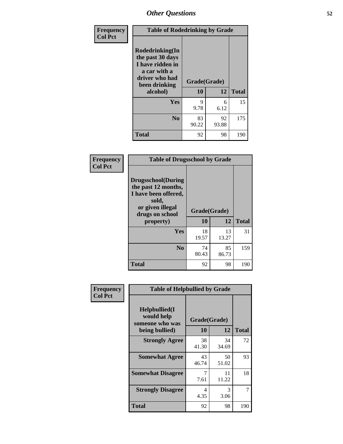| Frequency<br><b>Col Pct</b> | <b>Table of Rodedrinking by Grade</b>                                                                      |              |             |              |  |
|-----------------------------|------------------------------------------------------------------------------------------------------------|--------------|-------------|--------------|--|
|                             | Rodedrinking(In<br>the past 30 days<br>I have ridden in<br>a car with a<br>driver who had<br>been drinking | Grade(Grade) |             |              |  |
|                             | alcohol)                                                                                                   | 10           | 12          | <b>Total</b> |  |
|                             | <b>Yes</b>                                                                                                 | 9<br>9.78    | 6<br>6.12   | 15           |  |
|                             | N <sub>0</sub>                                                                                             | 83<br>90.22  | 92<br>93.88 | 175          |  |
|                             | <b>Total</b>                                                                                               | 92           | 98          | 190          |  |

### **Frequency Col Pct**

| <b>Table of Drugsschool by Grade</b>                                                                                      |              |             |              |  |
|---------------------------------------------------------------------------------------------------------------------------|--------------|-------------|--------------|--|
| <b>Drugsschool</b> (During<br>the past 12 months,<br>I have been offered,<br>sold,<br>or given illegal<br>drugs on school | Grade(Grade) |             |              |  |
| property)                                                                                                                 | 10           | 12          | <b>Total</b> |  |
| Yes                                                                                                                       | 18<br>19.57  | 13<br>13.27 | 31           |  |
| N <sub>0</sub>                                                                                                            | 74<br>80.43  | 85<br>86.73 | 159          |  |
|                                                                                                                           |              |             |              |  |

| Frequency                                                         | <b>Table of Helpbullied by Grade</b> |              |             |              |  |
|-------------------------------------------------------------------|--------------------------------------|--------------|-------------|--------------|--|
| <b>Col Pct</b><br>Helpbullied(I)<br>would help<br>someone who was |                                      | Grade(Grade) |             |              |  |
|                                                                   | being bullied)                       | <b>10</b>    | 12          | <b>Total</b> |  |
|                                                                   | <b>Strongly Agree</b>                | 38<br>41.30  | 34<br>34.69 | 72           |  |
|                                                                   | <b>Somewhat Agree</b>                | 43<br>46.74  | 50<br>51.02 | 93           |  |
|                                                                   | <b>Somewhat Disagree</b>             | 7<br>7.61    | 11<br>11.22 | 18           |  |
|                                                                   | <b>Strongly Disagree</b>             | 4<br>4.35    | 3<br>3.06   | 7            |  |
|                                                                   | <b>Total</b>                         | 92           | 98          | 190          |  |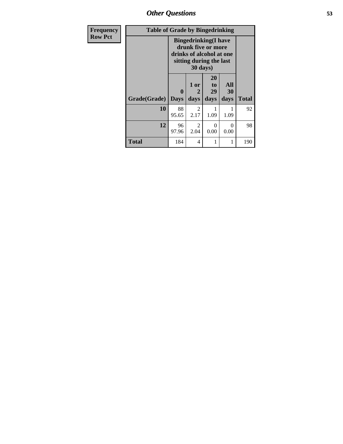*Other Questions* **53**

| <b>Frequency</b> | <b>Table of Grade by Bingedrinking</b> |                  |                        |                                                                                                           |                   |              |  |  |
|------------------|----------------------------------------|------------------|------------------------|-----------------------------------------------------------------------------------------------------------|-------------------|--------------|--|--|
| <b>Row Pct</b>   |                                        |                  | 30 days)               | <b>Bingedrinking</b> (I have<br>drunk five or more<br>drinks of alcohol at one<br>sitting during the last |                   |              |  |  |
|                  | Grade(Grade)                           | 0<br><b>Days</b> | 1 or<br>2<br>days      | <b>20</b><br>to<br>29<br>days                                                                             | All<br>30<br>days | <b>Total</b> |  |  |
|                  | 10                                     | 88<br>95.65      | 2<br>2.17              | 1.09                                                                                                      | 1.09              | 92           |  |  |
|                  | 12                                     | 96<br>97.96      | $\mathfrak{D}$<br>2.04 | 0<br>0.00                                                                                                 | $\Omega$<br>0.00  | 98           |  |  |
|                  | <b>Total</b>                           | 184              | 4                      | 1                                                                                                         |                   | 190          |  |  |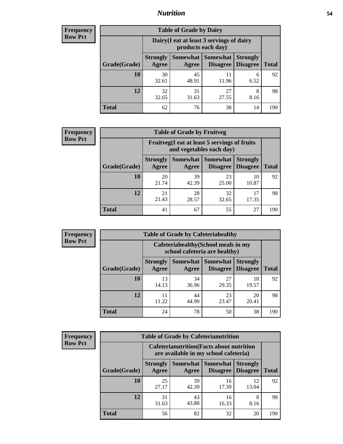## *Nutrition* **54**

| <b>Frequency</b><br>Row Pct |
|-----------------------------|
|                             |

| <b>Table of Grade by Dairy</b> |                          |                                                                 |                             |                                    |              |  |  |  |
|--------------------------------|--------------------------|-----------------------------------------------------------------|-----------------------------|------------------------------------|--------------|--|--|--|
|                                |                          | Dairy (I eat at least 3 servings of dairy<br>products each day) |                             |                                    |              |  |  |  |
| Grade(Grade)                   | <b>Strongly</b><br>Agree | Somewhat  <br>Agree                                             | <b>Somewhat</b><br>Disagree | <b>Strongly</b><br><b>Disagree</b> | <b>Total</b> |  |  |  |
| 10                             | 30<br>32.61              | 45<br>48.91                                                     | 11<br>11.96                 | 6<br>6.52                          | 92           |  |  |  |
| 12                             | 32<br>32.65              | 31<br>31.63                                                     | 27<br>27.55                 | 8<br>8.16                          | 98           |  |  |  |
| <b>Total</b>                   | 62                       | 76                                                              | 38                          | 14                                 | 190          |  |  |  |

| <b>Frequency</b> |  |
|------------------|--|
| <b>Row Pct</b>   |  |

| <b>Table of Grade by Fruitveg</b> |                          |                                                                          |                            |                                             |              |  |  |
|-----------------------------------|--------------------------|--------------------------------------------------------------------------|----------------------------|---------------------------------------------|--------------|--|--|
|                                   |                          | Fruitveg(I eat at least 5 servings of fruits<br>and vegetables each day) |                            |                                             |              |  |  |
| Grade(Grade)                      | <b>Strongly</b><br>Agree | Agree                                                                    | <b>Somewhat   Somewhat</b> | <b>Strongly</b><br><b>Disagree</b> Disagree | <b>Total</b> |  |  |
| 10                                | 20<br>21.74              | 39<br>42.39                                                              | 23<br>25.00                | 10<br>10.87                                 | 92           |  |  |
| 12                                | 21<br>21.43              | 28<br>28.57                                                              | 32<br>32.65                | 17.35                                       | 98           |  |  |
| <b>Total</b>                      | 41                       | 67                                                                       | 55                         | 27                                          | 190          |  |  |

| <b>Frequency</b> | <b>Table of Grade by Cafeteriahealthy</b> |                                                                       |                     |                             |                                    |              |  |
|------------------|-------------------------------------------|-----------------------------------------------------------------------|---------------------|-----------------------------|------------------------------------|--------------|--|
| <b>Row Pct</b>   |                                           | Cafeteriahealthy (School meals in my<br>school cafeteria are healthy) |                     |                             |                                    |              |  |
|                  | Grade(Grade)                              | <b>Strongly</b><br>Agree                                              | Somewhat  <br>Agree | Somewhat<br><b>Disagree</b> | <b>Strongly</b><br><b>Disagree</b> | <b>Total</b> |  |
|                  | 10                                        | 13<br>14.13                                                           | 34<br>36.96         | 27<br>29.35                 | 18<br>19.57                        | 92           |  |
|                  | 12                                        | 11<br>11.22                                                           | 44<br>44.90         | 23<br>23.47                 | 20<br>20.41                        | 98           |  |
|                  | Total                                     | 24                                                                    | 78                  | 50                          | 38                                 | 190          |  |

| <b>Frequency</b> |
|------------------|
| <b>Row Pct</b>   |

| <b>Table of Grade by Cafeterianutrition</b> |                                                                                           |             |                                   |                                    |              |  |  |
|---------------------------------------------|-------------------------------------------------------------------------------------------|-------------|-----------------------------------|------------------------------------|--------------|--|--|
|                                             | <b>Cafeterianutrition</b> (Facts about nutrition<br>are available in my school cafeteria) |             |                                   |                                    |              |  |  |
| Grade(Grade)                                | <b>Strongly</b><br><b>Agree</b>                                                           | Agree       | Somewhat   Somewhat  <br>Disagree | <b>Strongly</b><br><b>Disagree</b> | <b>Total</b> |  |  |
| 10                                          | 25<br>27.17                                                                               | 39<br>42.39 | 16<br>17.39                       | 12<br>13.04                        | 92           |  |  |
| 12                                          | 31<br>31.63                                                                               | 43<br>43.88 | 16<br>16.33                       | 8<br>8.16                          | 98           |  |  |
| <b>Total</b>                                | 56                                                                                        | 82          | 32                                | 20                                 | 190          |  |  |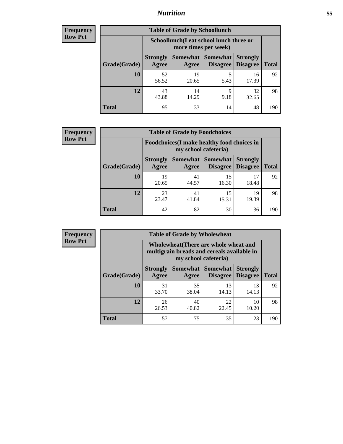## *Nutrition* **55**

| Frequency |
|-----------|
| Row Pct   |

| <b>Table of Grade by Schoollunch</b> |                                 |                                                                 |                             |                                    |              |  |  |  |
|--------------------------------------|---------------------------------|-----------------------------------------------------------------|-----------------------------|------------------------------------|--------------|--|--|--|
|                                      |                                 | Schoollunch(I eat school lunch three or<br>more times per week) |                             |                                    |              |  |  |  |
| Grade(Grade)                         | <b>Strongly</b><br><b>Agree</b> | Somewhat  <br>Agree                                             | <b>Somewhat</b><br>Disagree | <b>Strongly</b><br><b>Disagree</b> | <b>Total</b> |  |  |  |
| 10                                   | 52<br>56.52                     | 19<br>20.65                                                     | 5<br>5.43                   | 16<br>17.39                        | 92           |  |  |  |
| 12                                   | 43<br>43.88                     | 14<br>14.29                                                     | 9<br>9.18                   | 32<br>32.65                        | 98           |  |  |  |
| <b>Total</b>                         | 95                              | 33                                                              | 14                          | 48                                 | 190          |  |  |  |

| <b>Frequency</b> |  |
|------------------|--|
| <b>Row Pct</b>   |  |

| <b>Table of Grade by Foodchoices</b>                                       |                          |             |                                      |                                    |              |  |  |
|----------------------------------------------------------------------------|--------------------------|-------------|--------------------------------------|------------------------------------|--------------|--|--|
| <b>Foodchoices</b> (I make healthy food choices in<br>my school cafeteria) |                          |             |                                      |                                    |              |  |  |
| Grade(Grade)                                                               | <b>Strongly</b><br>Agree | Agree       | Somewhat Somewhat<br><b>Disagree</b> | <b>Strongly</b><br><b>Disagree</b> | <b>Total</b> |  |  |
| 10                                                                         | 19<br>20.65              | 41<br>44.57 | 15<br>16.30                          | 17<br>18.48                        | 92           |  |  |
| 12                                                                         | 23<br>23.47              | 41<br>41.84 | 15<br>15.31                          | 19<br>19.39                        | 98           |  |  |
| <b>Total</b>                                                               | 42                       | 82          | 30                                   | 36                                 | 190          |  |  |

| <b>Frequency</b> | <b>Table of Grade by Wholewheat</b> |                                                                                                             |             |                                   |                                    |              |
|------------------|-------------------------------------|-------------------------------------------------------------------------------------------------------------|-------------|-----------------------------------|------------------------------------|--------------|
| <b>Row Pct</b>   |                                     | Wholewheat (There are whole wheat and<br>multigrain breads and cereals available in<br>my school cafeteria) |             |                                   |                                    |              |
|                  | Grade(Grade)                        | <b>Strongly</b><br>Agree                                                                                    | Agree       | Somewhat   Somewhat  <br>Disagree | <b>Strongly</b><br><b>Disagree</b> | <b>Total</b> |
|                  | 10                                  | 31<br>33.70                                                                                                 | 35<br>38.04 | 13<br>14.13                       | 13<br>14.13                        | 92           |
|                  | 12                                  | 26<br>26.53                                                                                                 | 40<br>40.82 | 22<br>22.45                       | 10<br>10.20                        | 98           |
|                  | Total                               | 57                                                                                                          | 75          | 35                                | 23                                 | 190          |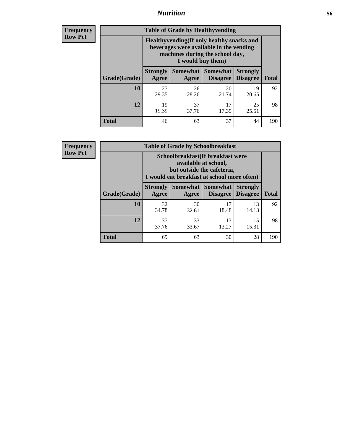## *Nutrition* **56**

**Frequency Row Pct**

| <b>Table of Grade by Healthyvending</b> |                                                                                                                                               |             |                                        |                                    |              |  |
|-----------------------------------------|-----------------------------------------------------------------------------------------------------------------------------------------------|-------------|----------------------------------------|------------------------------------|--------------|--|
|                                         | Healthyvending (If only healthy snacks and<br>beverages were available in the vending<br>machines during the school day,<br>I would buy them) |             |                                        |                                    |              |  |
| Grade(Grade)                            | <b>Strongly</b><br>Agree                                                                                                                      | Agree       | Somewhat   Somewhat<br><b>Disagree</b> | <b>Strongly</b><br><b>Disagree</b> | <b>Total</b> |  |
| 10                                      | 27<br>29.35                                                                                                                                   | 26<br>28.26 | 20<br>21.74                            | 19<br>20.65                        | 92           |  |
| 12                                      | 19<br>19.39                                                                                                                                   | 37<br>37.76 | 17<br>17.35                            | 25<br>25.51                        | 98           |  |
| <b>Total</b>                            | 46                                                                                                                                            | 63          | 37                                     | 44                                 | 190          |  |

**Frequency Row Pct**

| <b>Table of Grade by Schoolbreakfast</b> |                                                                                                                                         |             |                                 |                                    |              |  |  |
|------------------------------------------|-----------------------------------------------------------------------------------------------------------------------------------------|-------------|---------------------------------|------------------------------------|--------------|--|--|
|                                          | Schoolbreakfast (If breakfast were<br>available at school,<br>but outside the cafeteria,<br>I would eat breakfast at school more often) |             |                                 |                                    |              |  |  |
| Grade(Grade)                             | <b>Strongly</b><br>Agree                                                                                                                | Agree       | Somewhat   Somewhat<br>Disagree | <b>Strongly</b><br><b>Disagree</b> | <b>Total</b> |  |  |
| 10                                       | 32<br>34.78                                                                                                                             | 30<br>32.61 | 17<br>18.48                     | 13<br>14.13                        | 92           |  |  |
| 12                                       | 37<br>37.76                                                                                                                             | 33<br>33.67 | 13<br>13.27                     | 15<br>15.31                        | 98           |  |  |
| <b>Total</b>                             | 69                                                                                                                                      | 63          | 30                              | 28                                 | 190          |  |  |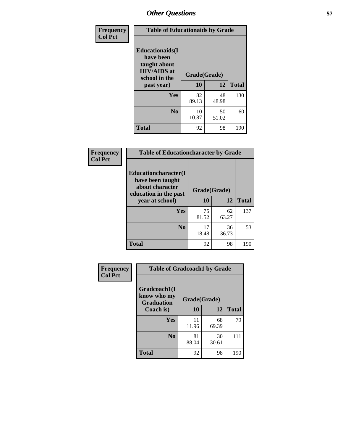| Frequency<br><b>Col Pct</b> | <b>Table of Educationaids by Grade</b>                                                                    |                    |             |              |
|-----------------------------|-----------------------------------------------------------------------------------------------------------|--------------------|-------------|--------------|
|                             | <b>Educationaids</b> (I<br>have been<br>taught about<br><b>HIV/AIDS</b> at<br>school in the<br>past year) | Grade(Grade)<br>10 | 12          | <b>Total</b> |
|                             | Yes                                                                                                       | 82<br>89.13        | 48<br>48.98 | 130          |
|                             | N <sub>0</sub>                                                                                            | 10<br>10.87        | 50<br>51.02 | 60           |
|                             | <b>Total</b>                                                                                              | 92                 | 98          | 190          |

| Frequency      |                                                                                      | <b>Table of Educationcharacter by Grade</b> |             |              |  |
|----------------|--------------------------------------------------------------------------------------|---------------------------------------------|-------------|--------------|--|
| <b>Col Pct</b> | Educationcharacter(I<br>have been taught<br>about character<br>education in the past | Grade(Grade)                                |             |              |  |
|                | year at school)                                                                      | 10                                          | 12          | <b>Total</b> |  |
|                | Yes                                                                                  | 75<br>81.52                                 | 62<br>63.27 | 137          |  |
|                | N <sub>0</sub>                                                                       | 17<br>18.48                                 | 36<br>36.73 | 53           |  |
|                | <b>Total</b>                                                                         | 92                                          | 98          | 190          |  |

| Frequency      | <b>Table of Gradcoach1 by Grade</b> |              |             |              |
|----------------|-------------------------------------|--------------|-------------|--------------|
| <b>Col Pct</b> | Gradcoach1(I                        |              |             |              |
|                | know who my<br><b>Graduation</b>    | Grade(Grade) |             |              |
|                | Coach is)                           | 10           | 12          | <b>Total</b> |
|                | Yes                                 | 11<br>11.96  | 68<br>69.39 | 79           |
|                | N <sub>0</sub>                      | 81<br>88.04  | 30<br>30.61 | 111          |
|                | <b>Total</b>                        | 92           | 98          | 190          |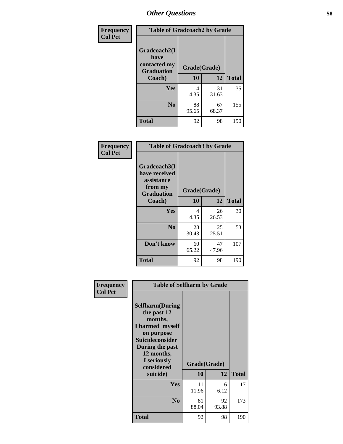| Frequency      | <b>Table of Gradcoach2 by Grade</b> |              |             |              |
|----------------|-------------------------------------|--------------|-------------|--------------|
| <b>Col Pct</b> |                                     |              |             |              |
|                | Gradcoach2(I<br>have                |              |             |              |
|                | contacted my<br><b>Graduation</b>   | Grade(Grade) |             |              |
|                | Coach)                              | 10           | 12          | <b>Total</b> |
|                | Yes                                 | 4<br>4.35    | 31<br>31.63 | 35           |
|                | N <sub>0</sub>                      | 88<br>95.65  | 67<br>68.37 | 155          |
|                | <b>Total</b>                        | 92           | 98          | 190          |

| Frequency<br><b>Col Pct</b> | <b>Table of Gradcoach3 by Grade</b>                                         |              |             |              |
|-----------------------------|-----------------------------------------------------------------------------|--------------|-------------|--------------|
|                             | Gradcoach3(I<br>have received<br>assistance<br>from my<br><b>Graduation</b> | Grade(Grade) |             |              |
|                             | Coach)                                                                      | 10           | 12          | <b>Total</b> |
|                             | Yes                                                                         | 4<br>4.35    | 26<br>26.53 | 30           |
|                             | N <sub>0</sub>                                                              | 28<br>30.43  | 25<br>25.51 | 53           |
|                             | Don't know                                                                  | 60<br>65.22  | 47<br>47.96 | 107          |
|                             | <b>Total</b>                                                                | 92           | 98          | 190          |

| Frequency      | <b>Table of Selfharm by Grade</b>                                                                                                                                                      |                    |             |              |
|----------------|----------------------------------------------------------------------------------------------------------------------------------------------------------------------------------------|--------------------|-------------|--------------|
| <b>Col Pct</b> | <b>Selfharm</b> (During<br>the past 12<br>months,<br>I harmed myself<br>on purpose<br><b>Suicideconsider</b><br>During the past<br>12 months,<br>I seriously<br>considered<br>suicide) | Grade(Grade)<br>10 | 12          | <b>Total</b> |
|                | Yes                                                                                                                                                                                    | 11<br>11.96        | 6<br>6.12   | 17           |
|                | N <sub>0</sub>                                                                                                                                                                         | 81<br>88.04        | 92<br>93.88 | 173          |
|                | Total                                                                                                                                                                                  | 92                 | 98          | 190          |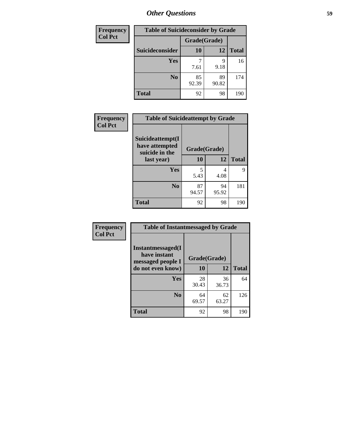| <b>Frequency</b> | <b>Table of Suicideconsider by Grade</b> |              |             |              |
|------------------|------------------------------------------|--------------|-------------|--------------|
| <b>Col Pct</b>   |                                          | Grade(Grade) |             |              |
|                  | Suicideconsider                          | 10           | 12          | <b>Total</b> |
|                  | Yes                                      | 7.61         | 9<br>9.18   | 16           |
|                  | N <sub>0</sub>                           | 85<br>92.39  | 89<br>90.82 | 174          |
|                  | <b>Total</b>                             | 92           | 98          | 190          |

| Frequency      | <b>Table of Suicideattempt by Grade</b>                            |              |             |              |
|----------------|--------------------------------------------------------------------|--------------|-------------|--------------|
| <b>Col Pct</b> | Suicideattempt(I<br>have attempted<br>suicide in the<br>last year) | Grade(Grade) |             |              |
|                |                                                                    | 10           | 12          | <b>Total</b> |
|                | Yes                                                                | 5<br>5.43    | 4<br>4.08   | 9            |
|                | N <sub>0</sub>                                                     | 87<br>94.57  | 94<br>95.92 | 181          |
|                | <b>Total</b>                                                       | 92           | 98          | 190          |

| Frequency      | <b>Table of Instantmessaged by Grade</b>               |              |             |              |
|----------------|--------------------------------------------------------|--------------|-------------|--------------|
| <b>Col Pct</b> | Instantmessaged(I<br>have instant<br>messaged people I | Grade(Grade) |             |              |
|                | do not even know)                                      | 10           | 12          | <b>Total</b> |
|                | <b>Yes</b>                                             | 28<br>30.43  | 36<br>36.73 | 64           |
|                | N <sub>0</sub>                                         | 64<br>69.57  | 62<br>63.27 | 126          |
|                | <b>Total</b>                                           | 92           | 98          | 190          |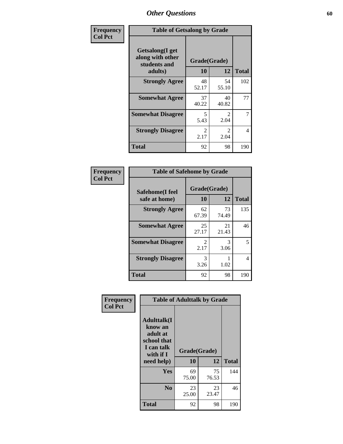| Frequency      | <b>Table of Getsalong by Grade</b>                                     |                       |                        |              |  |  |  |
|----------------|------------------------------------------------------------------------|-----------------------|------------------------|--------------|--|--|--|
| <b>Col Pct</b> | <b>Getsalong</b> (I get<br>along with other<br>students and<br>adults) | Grade(Grade)<br>10    | 12                     | <b>Total</b> |  |  |  |
|                | <b>Strongly Agree</b>                                                  | 48                    | 54                     | 102          |  |  |  |
|                |                                                                        | 52.17                 | 55.10                  |              |  |  |  |
|                | <b>Somewhat Agree</b>                                                  | 37<br>40.22           | 40<br>40.82            | 77           |  |  |  |
|                | <b>Somewhat Disagree</b>                                               | 5<br>5.43             | $\mathfrak{D}$<br>2.04 | 7            |  |  |  |
|                | <b>Strongly Disagree</b>                                               | $\mathcal{L}$<br>2.17 | $\mathfrak{D}$<br>2.04 | 4            |  |  |  |
|                | <b>Total</b>                                                           | 92                    | 98                     | 190          |  |  |  |

| Frequency      | <b>Table of Safehome by Grade</b> |                    |             |              |  |  |  |
|----------------|-----------------------------------|--------------------|-------------|--------------|--|--|--|
| <b>Col Pct</b> | Safehome(I feel<br>safe at home)  | Grade(Grade)<br>10 | 12          | <b>Total</b> |  |  |  |
|                | <b>Strongly Agree</b>             | 62<br>67.39        | 73<br>74.49 | 135          |  |  |  |
|                | <b>Somewhat Agree</b>             | 25<br>27.17        | 21<br>21.43 | 46           |  |  |  |
|                | <b>Somewhat Disagree</b>          | 2<br>2.17          | 3<br>3.06   | 5            |  |  |  |
|                | <b>Strongly Disagree</b>          | 3<br>3.26          | 1.02        | 4            |  |  |  |
|                | <b>Total</b>                      | 92                 | 98          | 190          |  |  |  |

| Frequency      |                                                                                     | <b>Table of Adulttalk by Grade</b> |             |              |
|----------------|-------------------------------------------------------------------------------------|------------------------------------|-------------|--------------|
| <b>Col Pct</b> | <b>Adulttalk(I</b><br>know an<br>adult at<br>school that<br>I can talk<br>with if I | Grade(Grade)                       |             |              |
|                | need help)                                                                          | 10                                 | 12          | <b>Total</b> |
|                | <b>Yes</b>                                                                          | 69<br>75.00                        | 75<br>76.53 | 144          |
|                | N <sub>0</sub>                                                                      | 23<br>25.00                        | 23<br>23.47 | 46           |
|                | <b>Total</b>                                                                        | 92                                 | 98          | 190          |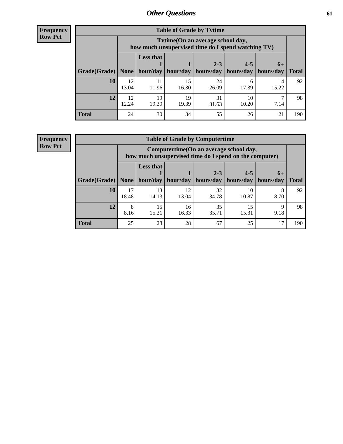**Frequency Row Pct**

| <b>Table of Grade by Tvtime</b> |             |                                                                                         |                     |             |                       |             |              |  |  |  |
|---------------------------------|-------------|-----------------------------------------------------------------------------------------|---------------------|-------------|-----------------------|-------------|--------------|--|--|--|
|                                 |             | Tytime (On an average school day,<br>how much unsupervised time do I spend watching TV) |                     |             |                       |             |              |  |  |  |
|                                 |             | <b>Less that</b>                                                                        |                     | $2 - 3$     | $4 - 5$               | $6+$        |              |  |  |  |
| Grade(Grade)   None             |             |                                                                                         | hour/day   hour/day | hours/day   | hours/day   hours/day |             | <b>Total</b> |  |  |  |
| <b>10</b>                       | 12<br>13.04 | 11<br>11.96                                                                             | 15<br>16.30         | 24<br>26.09 | 16<br>17.39           | 14<br>15.22 | 92           |  |  |  |
| 12                              | 12<br>12.24 | 19<br>19.39                                                                             | 19<br>19.39         | 31<br>31.63 | 10<br>10.20           | 7.14        | 98           |  |  |  |
| <b>Total</b>                    | 24          | 30                                                                                      | 34                  | 55          | 26                    | 21          | 190          |  |  |  |

**Frequency Row Pct**

| <b>Table of Grade by Computertime</b> |             |                                                                                                   |             |                        |                      |                   |              |  |  |  |
|---------------------------------------|-------------|---------------------------------------------------------------------------------------------------|-------------|------------------------|----------------------|-------------------|--------------|--|--|--|
|                                       |             | Computertime (On an average school day,<br>how much unsupervised time do I spend on the computer) |             |                        |                      |                   |              |  |  |  |
| Grade(Grade)                          | None        | <b>Less that</b><br>hour/day                                                                      | hour/day    | $2 - 3$<br>  hours/day | $4 - 5$<br>hours/day | $6+$<br>hours/day | <b>Total</b> |  |  |  |
| 10                                    | 17<br>18.48 | 13<br>14.13                                                                                       | 12<br>13.04 | 32<br>34.78            | 10<br>10.87          | 8.70              | 92           |  |  |  |
| 12                                    | 8<br>8.16   | 15<br>35<br>15<br>16<br>Q<br>9.18<br>15.31<br>16.33<br>35.71<br>15.31                             |             |                        |                      |                   |              |  |  |  |
| <b>Total</b>                          | 25          | 28                                                                                                | 28          | 67                     | 25                   | 17                | 190          |  |  |  |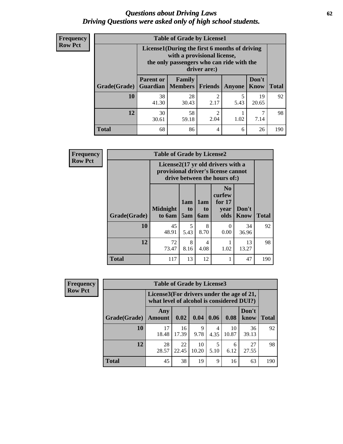## *Questions about Driving Laws* **62** *Driving Questions were asked only of high school students.*

| <b>Frequency</b> |
|------------------|
| <b>Row Pct</b>   |

| <b>Table of Grade by License1</b> |                              |                                                                                                                                           |                |               |               |              |  |  |  |  |
|-----------------------------------|------------------------------|-------------------------------------------------------------------------------------------------------------------------------------------|----------------|---------------|---------------|--------------|--|--|--|--|
|                                   |                              | License1(During the first 6 months of driving<br>with a provisional license,<br>the only passengers who can ride with the<br>driver are:) |                |               |               |              |  |  |  |  |
| Grade(Grade)                      | <b>Parent or</b><br>Guardian | Family<br><b>Members</b>                                                                                                                  | <b>Friends</b> | <b>Anyone</b> | Don't<br>Know | <b>Total</b> |  |  |  |  |
| 10                                | 38<br>41.30                  | 28<br>30.43                                                                                                                               | 2<br>2.17      | 5<br>5.43     | 19<br>20.65   | 92           |  |  |  |  |
| 12                                | 30<br>30.61                  | 58<br>2<br>1.02<br>2.04<br>7.14<br>59.18                                                                                                  |                |               |               |              |  |  |  |  |
| <b>Total</b>                      | 68                           | 86                                                                                                                                        | 4              | 6             | 26            | 190          |  |  |  |  |

| <b>Frequency</b> |              | <b>Table of Grade by License2</b> |                                                                                                          |                                     |                                                      |                      |              |  |
|------------------|--------------|-----------------------------------|----------------------------------------------------------------------------------------------------------|-------------------------------------|------------------------------------------------------|----------------------|--------------|--|
| <b>Row Pct</b>   |              |                                   | License2(17 yr old drivers with a<br>provisional driver's license cannot<br>drive between the hours of:) |                                     |                                                      |                      |              |  |
|                  | Grade(Grade) | <b>Midnight</b><br>to 6am         | 1am<br>to<br>5am                                                                                         | 1am<br>t <sub>0</sub><br><b>6am</b> | N <sub>0</sub><br>curfew<br>for $17$<br>vear<br>olds | Don't<br><b>Know</b> | <b>Total</b> |  |
|                  | 10           | 45<br>48.91                       | 5<br>5.43                                                                                                | 8<br>8.70                           | 0<br>0.00                                            | 34<br>36.96          | 92           |  |
|                  | 12           | 72<br>73.47                       | 8<br>8.16                                                                                                | 4<br>4.08                           | 1.02                                                 | 13<br>13.27          | 98           |  |
|                  | <b>Total</b> | 117                               | 13                                                                                                       | 12                                  |                                                      | 47                   | 190          |  |

| <b>Frequency</b> |              | <b>Table of Grade by License3</b> |                                                                                        |             |           |             |               |              |  |
|------------------|--------------|-----------------------------------|----------------------------------------------------------------------------------------|-------------|-----------|-------------|---------------|--------------|--|
| <b>Row Pct</b>   |              |                                   | License3(For drivers under the age of 21,<br>what level of alcohol is considered DUI?) |             |           |             |               |              |  |
|                  | Grade(Grade) | Any<br><b>Amount</b>              | 0.02                                                                                   | 0.04        | 0.06      | 0.08        | Don't<br>know | <b>Total</b> |  |
|                  | 10           | 17<br>18.48                       | 16<br>17.39                                                                            | 9<br>9.78   | 4<br>4.35 | 10<br>10.87 | 36<br>39.13   | 92           |  |
|                  | 12           | 28<br>28.57                       | 22<br>22.45                                                                            | 10<br>10.20 | 5<br>5.10 | 6<br>6.12   | 27<br>27.55   | 98           |  |
|                  | <b>Total</b> | 45                                | 38                                                                                     | 19          | 9         | 16          | 63            | 190          |  |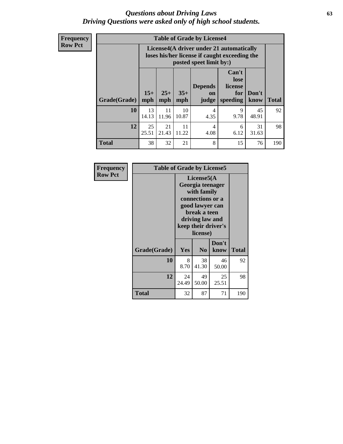## *Questions about Driving Laws* **63** *Driving Questions were asked only of high school students.*

**Frequency Row Pct**

| <b>Table of Grade by License4</b> |             |                                                                                                                                                                                                                                                                                |             |                        |           |             |     |  |  |
|-----------------------------------|-------------|--------------------------------------------------------------------------------------------------------------------------------------------------------------------------------------------------------------------------------------------------------------------------------|-------------|------------------------|-----------|-------------|-----|--|--|
|                                   |             | License4(A driver under 21 automatically<br>loses his/her license if caught exceeding the<br>posted speet limit by:)<br>Can't<br>lose<br><b>Depends</b><br>license<br>$15+$<br>$25+$<br>$35+$<br>Don't<br>for<br>on<br><b>Total</b><br>mph<br>speeding<br>know<br>mph<br>judge |             |                        |           |             |     |  |  |
| Grade(Grade)                      | mph         |                                                                                                                                                                                                                                                                                |             |                        |           |             |     |  |  |
| 10                                | 13<br>14.13 | 11<br>11.96                                                                                                                                                                                                                                                                    | 10<br>10.87 | $\overline{4}$<br>4.35 | 9<br>9.78 | 45<br>48.91 | 92  |  |  |
| 12                                | 25<br>25.51 | 21<br>11<br>31<br>4<br>6<br>21.43<br>11.22<br>6.12<br>4.08<br>31.63                                                                                                                                                                                                            |             |                        |           |             |     |  |  |
| <b>Total</b>                      | 38          | 32                                                                                                                                                                                                                                                                             | 21          | 8                      | 15        | 76          | 190 |  |  |

| Frequency      | <b>Table of Grade by License5</b> |             |                                                                                                                                      |                     |       |
|----------------|-----------------------------------|-------------|--------------------------------------------------------------------------------------------------------------------------------------|---------------------|-------|
| <b>Row Pct</b> |                                   |             | License5(A)<br>Georgia teenager<br>with family<br>connections or a<br>good lawyer can<br>break a teen<br>driving law and<br>license) | keep their driver's |       |
|                | Grade(Grade)                      | Yes         | N <sub>0</sub>                                                                                                                       | Don't<br>know       | Total |
|                | 10                                | 8<br>8.70   | 38<br>41.30                                                                                                                          | 46<br>50.00         | 92    |
|                | 12                                | 24<br>24.49 | 49<br>50.00                                                                                                                          | 25<br>25.51         | 98    |
|                | <b>Total</b>                      | 32          | 87                                                                                                                                   | 71                  | 190   |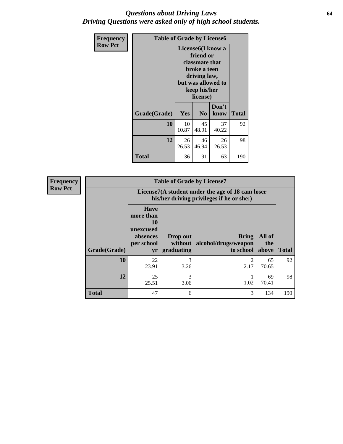## *Questions about Driving Laws* **64** *Driving Questions were asked only of high school students.*

| <b>Frequency</b> | <b>Table of Grade by License6</b> |                                                                                                                                                 |                |               |              |
|------------------|-----------------------------------|-------------------------------------------------------------------------------------------------------------------------------------------------|----------------|---------------|--------------|
| <b>Row Pct</b>   |                                   | License <sub>6</sub> (I know a<br>friend or<br>classmate that<br>broke a teen<br>driving law,<br>but was allowed to<br>keep his/her<br>license) |                |               |              |
|                  | Grade(Grade)                      | Yes                                                                                                                                             | N <sub>0</sub> | Don't<br>know | <b>Total</b> |
|                  | 10                                | 10<br>10.87                                                                                                                                     | 45<br>48.91    | 37<br>40.22   | 92           |
|                  | 12                                | 26<br>26.53                                                                                                                                     | 98             |               |              |
|                  | <b>Total</b>                      | 36                                                                                                                                              | 91             | 63            | 190          |

| <b>Frequency</b> | <b>Table of Grade by License7</b> |                                                                                               |                                     |                                                   |                        |              |  |
|------------------|-----------------------------------|-----------------------------------------------------------------------------------------------|-------------------------------------|---------------------------------------------------|------------------------|--------------|--|
| <b>Row Pct</b>   |                                   | License7(A student under the age of 18 cam loser<br>his/her driving privileges if he or she:) |                                     |                                                   |                        |              |  |
|                  | Grade(Grade)                      | <b>Have</b><br>more than<br>10<br>unexcused<br>absences<br>per school<br>yr                   | Drop out<br>without  <br>graduating | <b>Bring</b><br>alcohol/drugs/weapon<br>to school | All of<br>the<br>above | <b>Total</b> |  |
|                  | 10                                | 22<br>23.91                                                                                   | 3<br>3.26                           | ာ<br>2.17                                         | 65<br>70.65            | 92           |  |
|                  | 12                                | 25<br>25.51                                                                                   | 3<br>3.06                           | 1.02                                              | 69<br>70.41            | 98           |  |
|                  | <b>Total</b>                      | 47                                                                                            | 6                                   | 3                                                 | 134                    | 190          |  |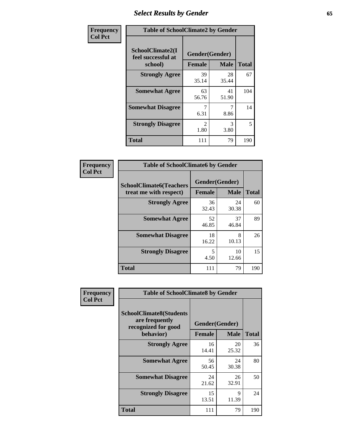# *Select Results by Gender* **65**

| Frequency      | <b>Table of SchoolClimate2 by Gender</b>          |                                 |                       |              |
|----------------|---------------------------------------------------|---------------------------------|-----------------------|--------------|
| <b>Col Pct</b> | SchoolClimate2(I<br>feel successful at<br>school) | Gender(Gender)<br><b>Female</b> | <b>Male</b>           | <b>Total</b> |
|                | <b>Strongly Agree</b>                             | 39<br>35.14                     | 28<br>35.44           | 67           |
|                | <b>Somewhat Agree</b>                             | 63<br>56.76                     | 41<br>51.90           | 104          |
|                | <b>Somewhat Disagree</b>                          | 6.31                            | 7<br>8.86             | 14           |
|                | <b>Strongly Disagree</b>                          | $\mathfrak{D}$<br>1.80          | $\mathcal{R}$<br>3.80 | 5            |
|                | <b>Total</b>                                      | 111                             | 79                    | 190          |

| Frequency      | <b>Table of SchoolClimate6 by Gender</b>                 |               |                               |              |  |
|----------------|----------------------------------------------------------|---------------|-------------------------------|--------------|--|
| <b>Col Pct</b> | <b>SchoolClimate6(Teachers</b><br>treat me with respect) | <b>Female</b> | Gender(Gender)<br><b>Male</b> | <b>Total</b> |  |
|                | <b>Strongly Agree</b>                                    | 36<br>32.43   | 24<br>30.38                   | 60           |  |
|                | <b>Somewhat Agree</b>                                    | 52<br>46.85   | 37<br>46.84                   | 89           |  |
|                | <b>Somewhat Disagree</b>                                 | 18<br>16.22   | 8<br>10.13                    | 26           |  |
|                | <b>Strongly Disagree</b>                                 | 5<br>4.50     | 10<br>12.66                   | 15           |  |
|                | <b>Total</b>                                             | 111           | 79                            | 190          |  |

| Frequency      |                                                                                      | <b>Table of SchoolClimate8 by Gender</b> |                      |              |  |  |
|----------------|--------------------------------------------------------------------------------------|------------------------------------------|----------------------|--------------|--|--|
| <b>Col Pct</b> | <b>SchoolClimate8(Students</b><br>are frequently<br>recognized for good<br>behavior) | Gender(Gender)<br><b>Female</b>          | <b>Male</b>          | <b>Total</b> |  |  |
|                | <b>Strongly Agree</b>                                                                | 16<br>14.41                              | 20<br>25.32          | 36           |  |  |
|                | <b>Somewhat Agree</b>                                                                | 56<br>50.45                              | 24<br>30.38          | 80           |  |  |
|                | <b>Somewhat Disagree</b>                                                             | 24<br>21.62                              | 26<br>32.91          | 50           |  |  |
|                | <b>Strongly Disagree</b>                                                             | 15<br>13.51                              | $\mathbf Q$<br>11.39 | 24           |  |  |
|                | Total                                                                                | 111                                      | 79                   | 190          |  |  |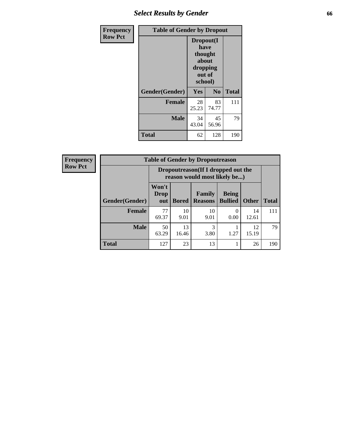# *Select Results by Gender* **66**

| <b>Frequency</b> | <b>Table of Gender by Dropout</b> |                                                                        |                |              |
|------------------|-----------------------------------|------------------------------------------------------------------------|----------------|--------------|
| <b>Row Pct</b>   |                                   | Dropout(I<br>have<br>thought<br>about<br>dropping<br>out of<br>school) |                |              |
|                  | Gender(Gender)                    | Yes                                                                    | N <sub>0</sub> | <b>Total</b> |
|                  | <b>Female</b>                     | 28<br>25.23                                                            | 83<br>74.77    | 111          |
|                  | <b>Male</b>                       | 34<br>43.04                                                            | 45<br>56.96    | 79           |
|                  | <b>Total</b>                      | 62                                                                     | 128            | 190          |

| <b>Frequency</b> | <b>Table of Gender by Dropoutreason</b> |                                                                     |              |                                 |                                |              |              |
|------------------|-----------------------------------------|---------------------------------------------------------------------|--------------|---------------------------------|--------------------------------|--------------|--------------|
| <b>Row Pct</b>   |                                         | Dropoutreason (If I dropped out the<br>reason would most likely be) |              |                                 |                                |              |              |
|                  | <b>Gender</b> (Gender)                  | Won't<br><b>Drop</b><br>out                                         | <b>Bored</b> | <b>Family</b><br><b>Reasons</b> | <b>Being</b><br><b>Bullied</b> | <b>Other</b> | <b>Total</b> |
|                  | <b>Female</b>                           | 77<br>69.37                                                         | 10<br>9.01   | 10<br>9.01                      | $\Omega$<br>0.00               | 14<br>12.61  | 111          |
|                  | <b>Male</b>                             | 50<br>63.29                                                         | 13<br>16.46  | 3<br>3.80                       | 1.27                           | 12<br>15.19  | 79           |
|                  | <b>Total</b>                            | 127                                                                 | 23           | 13                              |                                | 26           | 190          |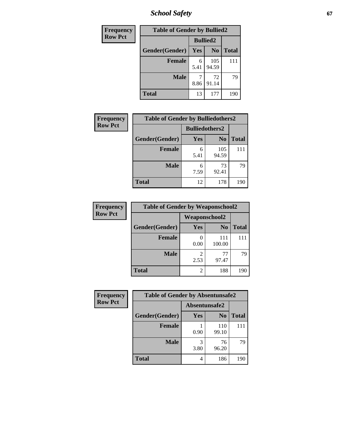*School Safety* **67**

| Frequency      | <b>Table of Gender by Bullied2</b> |                 |                |              |  |
|----------------|------------------------------------|-----------------|----------------|--------------|--|
| <b>Row Pct</b> |                                    | <b>Bullied2</b> |                |              |  |
|                | Gender(Gender)                     | Yes             | N <sub>0</sub> | <b>Total</b> |  |
|                | <b>Female</b>                      | 6<br>5.41       | 105<br>94.59   | 111          |  |
|                | <b>Male</b>                        | 8.86            | 72<br>91.14    | 79           |  |
|                | <b>Total</b>                       | 13              | 177            | 190          |  |

| Frequency      | <b>Table of Gender by Bulliedothers2</b> |                       |                |              |
|----------------|------------------------------------------|-----------------------|----------------|--------------|
| <b>Row Pct</b> |                                          | <b>Bulliedothers2</b> |                |              |
|                | Gender(Gender)                           | Yes                   | N <sub>0</sub> | <b>Total</b> |
|                | <b>Female</b>                            | 6<br>5.41             | 105<br>94.59   | 111          |
|                | <b>Male</b>                              | 6<br>7.59             | 73<br>92.41    | 79           |
|                | Total                                    | 12                    | 178            | 190          |

| Frequency      | <b>Table of Gender by Weaponschool2</b> |                        |                |              |  |
|----------------|-----------------------------------------|------------------------|----------------|--------------|--|
| <b>Row Pct</b> |                                         | Weaponschool2          |                |              |  |
|                | Gender(Gender)                          | Yes                    | N <sub>0</sub> | <b>Total</b> |  |
|                | <b>Female</b>                           | 0.00                   | 111<br>100.00  |              |  |
|                | <b>Male</b>                             | $\mathfrak{D}$<br>2.53 | 77<br>97.47    | 79           |  |
|                | <b>Total</b>                            | 2                      | 188            | 190          |  |

| Frequency      | <b>Table of Gender by Absentunsafe2</b> |               |                |              |
|----------------|-----------------------------------------|---------------|----------------|--------------|
| <b>Row Pct</b> |                                         | Absentunsafe2 |                |              |
|                | Gender(Gender)                          | Yes           | N <sub>0</sub> | <b>Total</b> |
|                | <b>Female</b>                           | 0.90          | 110<br>99.10   | 111          |
|                | <b>Male</b>                             | 3.80          | 76<br>96.20    | 79           |
|                | <b>Total</b>                            | 4             | 186            | 190          |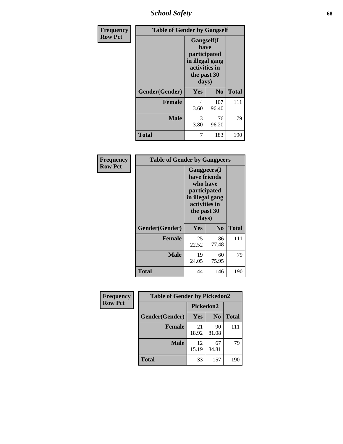*School Safety* **68**

| Frequency      | <b>Table of Gender by Gangself</b> |                                                                                                        |                |              |
|----------------|------------------------------------|--------------------------------------------------------------------------------------------------------|----------------|--------------|
| <b>Row Pct</b> |                                    | <b>Gangself</b> (I<br>have<br>participated<br>in illegal gang<br>activities in<br>the past 30<br>days) |                |              |
|                | Gender(Gender)                     | Yes                                                                                                    | N <sub>0</sub> | <b>Total</b> |
|                | <b>Female</b>                      | 4<br>3.60                                                                                              | 107<br>96.40   | 111          |
|                | <b>Male</b>                        | 3<br>3.80                                                                                              | 76<br>96.20    | 79           |
|                | <b>Total</b>                       | 7                                                                                                      | 183            | 190          |

| Frequency      | <b>Table of Gender by Gangpeers</b> |                                                                                                                             |                |              |
|----------------|-------------------------------------|-----------------------------------------------------------------------------------------------------------------------------|----------------|--------------|
| <b>Row Pct</b> |                                     | <b>Gangpeers</b> (I<br>have friends<br>who have<br>participated<br>in illegal gang<br>activities in<br>the past 30<br>days) |                |              |
|                | Gender(Gender)                      | <b>Yes</b>                                                                                                                  | N <sub>0</sub> | <b>Total</b> |
|                | <b>Female</b>                       | 25<br>22.52                                                                                                                 | 86<br>77.48    | 111          |
|                | <b>Male</b>                         | 19<br>24.05                                                                                                                 | 60<br>75.95    | 79           |
|                | Total                               | 44                                                                                                                          | 146            | 190          |

| Frequency      | <b>Table of Gender by Pickedon2</b> |             |                |              |
|----------------|-------------------------------------|-------------|----------------|--------------|
| <b>Row Pct</b> |                                     | Pickedon2   |                |              |
|                | Gender(Gender)                      | Yes         | N <sub>0</sub> | <b>Total</b> |
|                | <b>Female</b>                       | 21<br>18.92 | 90<br>81.08    | 111          |
|                | <b>Male</b>                         | 12<br>15.19 | 67<br>84.81    | 79           |
|                | <b>Total</b>                        | 33          | 157            | 190          |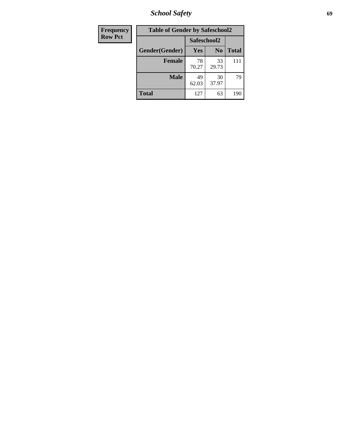*School Safety* **69**

| Frequency      | <b>Table of Gender by Safeschool2</b> |             |                |              |
|----------------|---------------------------------------|-------------|----------------|--------------|
| <b>Row Pct</b> |                                       | Safeschool2 |                |              |
|                | Gender(Gender)                        | Yes         | N <sub>0</sub> | <b>Total</b> |
|                | <b>Female</b>                         | 78<br>70.27 | 33<br>29.73    | 111          |
|                | <b>Male</b>                           | 49<br>62.03 | 30<br>37.97    | 79           |
|                | <b>Total</b>                          | 127         | 63             | 190          |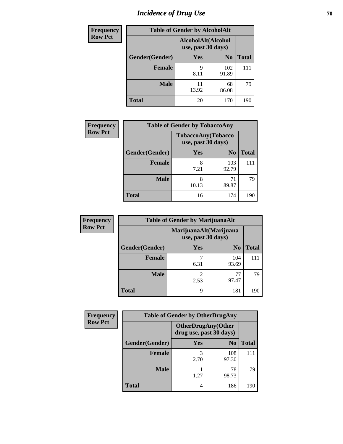# *Incidence of Drug Use* **70**

| Frequency      |                | <b>Table of Gender by AlcoholAlt</b>     |                |              |
|----------------|----------------|------------------------------------------|----------------|--------------|
| <b>Row Pct</b> |                | AlcoholAlt(Alcohol<br>use, past 30 days) |                |              |
|                | Gender(Gender) | Yes                                      | N <sub>0</sub> | <b>Total</b> |
|                | <b>Female</b>  | 9<br>8.11                                | 102<br>91.89   | 111          |
|                | <b>Male</b>    | 11<br>13.92                              | 68<br>86.08    | 79           |
|                | <b>Total</b>   | 20                                       | 170            | 190          |

| <b>Frequency</b> | <b>Table of Gender by TobaccoAny</b> |                                          |                |              |
|------------------|--------------------------------------|------------------------------------------|----------------|--------------|
| <b>Row Pct</b>   |                                      | TobaccoAny(Tobacco<br>use, past 30 days) |                |              |
|                  | Gender(Gender)                       | Yes                                      | N <sub>0</sub> | <b>Total</b> |
|                  | <b>Female</b>                        | 8<br>7.21                                | 103<br>92.79   | 111          |
|                  | <b>Male</b>                          | 8<br>10.13                               | 71<br>89.87    | 79           |
|                  | <b>Total</b>                         | 16                                       | 174            | 190          |

| <b>Frequency</b> | <b>Table of Gender by MarijuanaAlt</b> |            |                                              |              |  |
|------------------|----------------------------------------|------------|----------------------------------------------|--------------|--|
| <b>Row Pct</b>   |                                        |            | MarijuanaAlt(Marijuana<br>use, past 30 days) |              |  |
|                  | Gender(Gender)                         | <b>Yes</b> | N <sub>0</sub>                               | <b>Total</b> |  |
|                  | Female                                 | 7<br>6.31  | 104<br>93.69                                 | 111          |  |
|                  | <b>Male</b>                            | 2<br>2.53  | 97.47                                        | 79           |  |
|                  | <b>Total</b>                           | 9          | 181                                          | 190          |  |

| <b>Frequency</b> | <b>Table of Gender by OtherDrugAny</b> |                                                      |                |              |
|------------------|----------------------------------------|------------------------------------------------------|----------------|--------------|
| <b>Row Pct</b>   |                                        | <b>OtherDrugAny(Other</b><br>drug use, past 30 days) |                |              |
|                  | Gender(Gender)                         | <b>Yes</b>                                           | N <sub>0</sub> | <b>Total</b> |
|                  | <b>Female</b>                          | 3<br>2.70                                            | 108<br>97.30   | 111          |
|                  | <b>Male</b>                            | 1.27                                                 | 78<br>98.73    | 79           |
|                  | <b>Total</b>                           | 4                                                    | 186            | 190          |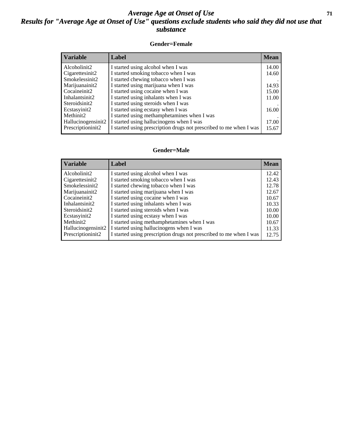## *Average Age at Onset of Use* **71** *Results for "Average Age at Onset of Use" questions exclude students who said they did not use that substance*

## **Gender=Female**

| Variable           | <b>Label</b>                                                       | <b>Mean</b> |
|--------------------|--------------------------------------------------------------------|-------------|
| Alcoholinit2       | I started using alcohol when I was                                 | 14.00       |
| Cigarettesinit2    | I started smoking tobacco when I was                               | 14.60       |
| Smokelessinit2     | I started chewing tobacco when I was                               |             |
| Marijuanainit2     | I started using marijuana when I was                               | 14.93       |
| Cocaineinit2       | I started using cocaine when I was                                 | 15.00       |
| Inhalantsinit2     | I started using inhalants when I was                               | 11.00       |
| Steroidsinit2      | I started using steroids when I was                                |             |
| Ecstasyinit2       | I started using ecstasy when I was                                 | 16.00       |
| Methinit2          | I started using methamphetamines when I was                        |             |
| Hallucinogensinit2 | I started using hallucinogens when I was                           | 17.00       |
| Prescription in t2 | I started using prescription drugs not prescribed to me when I was | 15.67       |

### **Gender=Male**

| <b>Variable</b>       | Label                                                              | <b>Mean</b> |
|-----------------------|--------------------------------------------------------------------|-------------|
| Alcoholinit2          | I started using alcohol when I was                                 | 12.42       |
| Cigarettesinit2       | I started smoking tobacco when I was                               | 12.43       |
| Smokelessinit2        | I started chewing tobacco when I was                               | 12.78       |
| Marijuanainit2        | I started using marijuana when I was                               | 12.67       |
| Cocaineinit2          | I started using cocaine when I was                                 | 10.67       |
| Inhalantsinit2        | I started using inhalants when I was                               | 10.33       |
| Steroidsinit2         | I started using steroids when I was                                | 10.00       |
| Ecstasyinit2          | I started using ecstasy when I was                                 | 10.00       |
| Methinit <sub>2</sub> | I started using methamphetamines when I was                        | 10.67       |
| Hallucinogensinit2    | I started using hallucinogens when I was                           | 11.33       |
| Prescriptioninit2     | I started using prescription drugs not prescribed to me when I was | 12.75       |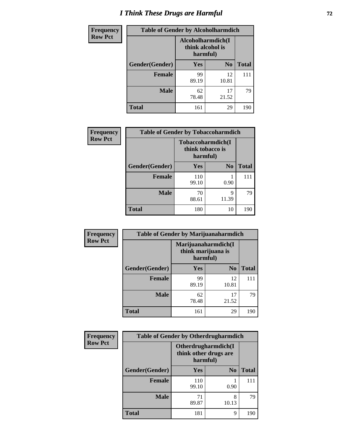# *I Think These Drugs are Harmful* **72**

| Frequency      | <b>Table of Gender by Alcoholharmdich</b> |             |                                                   |              |
|----------------|-------------------------------------------|-------------|---------------------------------------------------|--------------|
| <b>Row Pct</b> |                                           |             | Alcoholharmdich(I<br>think alcohol is<br>harmful) |              |
|                | <b>Gender</b> (Gender)                    | <b>Yes</b>  | N <sub>0</sub>                                    | <b>Total</b> |
|                | <b>Female</b>                             | 99<br>89.19 | 12<br>10.81                                       |              |
|                | <b>Male</b>                               | 62<br>78.48 | 17<br>21.52                                       | 79           |
|                | <b>Total</b>                              | 161         | 29                                                | 190          |

| Frequency      | <b>Table of Gender by Tobaccoharmdich</b> |                              |                   |              |  |
|----------------|-------------------------------------------|------------------------------|-------------------|--------------|--|
| <b>Row Pct</b> |                                           | think tobacco is<br>harmful) | Tobaccoharmdich(I |              |  |
|                | Gender(Gender)                            | Yes                          | N <sub>0</sub>    | <b>Total</b> |  |
|                | <b>Female</b>                             | 110<br>99.10                 | 0.90              | 111          |  |
|                | <b>Male</b>                               | 70<br>88.61                  | 9<br>11.39        | 79           |  |
|                | <b>Total</b>                              | 180                          | 10                | 190          |  |

| Frequency      | <b>Table of Gender by Marijuanaharmdich</b> |                                                       |                |              |
|----------------|---------------------------------------------|-------------------------------------------------------|----------------|--------------|
| <b>Row Pct</b> |                                             | Marijuanaharmdich(I<br>think marijuana is<br>harmful) |                |              |
|                | Gender(Gender)                              | <b>Yes</b>                                            | N <sub>0</sub> | <b>Total</b> |
|                | <b>Female</b>                               | 99<br>89.19                                           | 12<br>10.81    | 111          |
|                | <b>Male</b>                                 | 62<br>78.48                                           | 17<br>21.52    | 79           |
|                | <b>Total</b>                                | 161                                                   | 29             | 190          |

| Frequency      | <b>Table of Gender by Otherdrugharmdich</b> |              |                                              |              |
|----------------|---------------------------------------------|--------------|----------------------------------------------|--------------|
| <b>Row Pct</b> |                                             | harmful)     | Otherdrugharmdich(I<br>think other drugs are |              |
|                | Gender(Gender)                              | Yes          | N <sub>0</sub>                               | <b>Total</b> |
|                | <b>Female</b>                               | 110<br>99.10 | 0.90                                         | 111          |
|                | <b>Male</b>                                 | 71<br>89.87  | 8<br>10.13                                   | 79           |
|                | <b>Total</b>                                | 181          | 9                                            | 190          |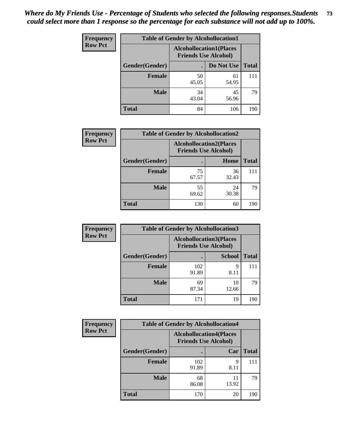| <b>Frequency</b> | <b>Table of Gender by Alcohollocation1</b> |                                                               |             |              |
|------------------|--------------------------------------------|---------------------------------------------------------------|-------------|--------------|
| <b>Row Pct</b>   |                                            | <b>Alcohollocation1(Places</b><br><b>Friends Use Alcohol)</b> |             |              |
|                  | Gender(Gender)                             |                                                               | Do Not Use  | <b>Total</b> |
|                  | <b>Female</b>                              | 50<br>45.05                                                   | 61<br>54.95 | 111          |
|                  | <b>Male</b>                                | 34<br>43.04                                                   | 45<br>56.96 | 79           |
|                  | <b>Total</b>                               | 84                                                            | 106         | 190          |

| <b>Frequency</b> | <b>Table of Gender by Alcohollocation2</b> |                                                               |             |              |
|------------------|--------------------------------------------|---------------------------------------------------------------|-------------|--------------|
| <b>Row Pct</b>   |                                            | <b>Alcohollocation2(Places</b><br><b>Friends Use Alcohol)</b> |             |              |
|                  | Gender(Gender)                             |                                                               | Home        | <b>Total</b> |
|                  | <b>Female</b>                              | 75<br>67.57                                                   | 36<br>32.43 | 111          |
|                  | <b>Male</b>                                | 55<br>69.62                                                   | 24<br>30.38 | 79           |
|                  | <b>Total</b>                               | 130                                                           | 60          | 190          |

| Frequency      | <b>Table of Gender by Alcohollocation3</b> |                                                               |               |              |
|----------------|--------------------------------------------|---------------------------------------------------------------|---------------|--------------|
| <b>Row Pct</b> |                                            | <b>Alcohollocation3(Places</b><br><b>Friends Use Alcohol)</b> |               |              |
|                | Gender(Gender)                             |                                                               | <b>School</b> | <b>Total</b> |
|                | <b>Female</b>                              | 102<br>91.89                                                  | 9<br>8.11     | 111          |
|                | <b>Male</b>                                | 69<br>87.34                                                   | 10<br>12.66   | 79           |
|                | <b>Total</b>                               | 171                                                           | 19            | 190          |

| Frequency      | <b>Table of Gender by Alcohollocation4</b> |                                                               |             |              |
|----------------|--------------------------------------------|---------------------------------------------------------------|-------------|--------------|
| <b>Row Pct</b> |                                            | <b>Alcohollocation4(Places</b><br><b>Friends Use Alcohol)</b> |             |              |
|                | Gender(Gender)                             |                                                               | Car         | <b>Total</b> |
|                | <b>Female</b>                              | 102<br>91.89                                                  | q<br>8.11   | 111          |
|                | <b>Male</b>                                | 68<br>86.08                                                   | 11<br>13.92 | 79           |
|                | <b>Total</b>                               | 170                                                           | 20          | 190          |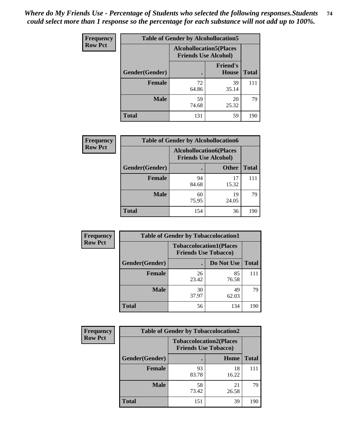| <b>Frequency</b> |                | <b>Table of Gender by Alcohollocation5</b> |                                                               |              |
|------------------|----------------|--------------------------------------------|---------------------------------------------------------------|--------------|
| <b>Row Pct</b>   |                |                                            | <b>Alcohollocation5(Places</b><br><b>Friends Use Alcohol)</b> |              |
|                  | Gender(Gender) | $\bullet$                                  | <b>Friend's</b><br>House                                      | <b>Total</b> |
|                  | <b>Female</b>  | 72<br>64.86                                | 39<br>35.14                                                   | 111          |
|                  | <b>Male</b>    | 59<br>74.68                                | 20<br>25.32                                                   | 79           |
|                  | <b>Total</b>   | 131                                        | 59                                                            | 190          |

| Frequency      | <b>Table of Gender by Alcohollocation6</b> |                                                               |              |              |
|----------------|--------------------------------------------|---------------------------------------------------------------|--------------|--------------|
| <b>Row Pct</b> |                                            | <b>Alcohollocation6(Places</b><br><b>Friends Use Alcohol)</b> |              |              |
|                | <b>Gender</b> (Gender)                     |                                                               | <b>Other</b> | <b>Total</b> |
|                | <b>Female</b>                              | 94<br>84.68                                                   | 17<br>15.32  | 111          |
|                | <b>Male</b>                                | 60<br>75.95                                                   | 19<br>24.05  | 79           |
|                | <b>Total</b>                               | 154                                                           | 36           | 190          |

| Frequency      | <b>Table of Gender by Tobaccolocation1</b> |                                                               |             |              |  |
|----------------|--------------------------------------------|---------------------------------------------------------------|-------------|--------------|--|
| <b>Row Pct</b> |                                            | <b>Tobaccolocation1(Places</b><br><b>Friends Use Tobacco)</b> |             |              |  |
|                | Gender(Gender)                             |                                                               | Do Not Use  | <b>Total</b> |  |
|                | Female                                     | 26<br>23.42                                                   | 85<br>76.58 | 111          |  |
|                | <b>Male</b>                                | 30<br>37.97                                                   | 49<br>62.03 | 79           |  |
|                | <b>Total</b>                               | 56                                                            | 134         | 190          |  |

| Frequency      | <b>Table of Gender by Tobaccolocation2</b> |                                                               |             |              |
|----------------|--------------------------------------------|---------------------------------------------------------------|-------------|--------------|
| <b>Row Pct</b> |                                            | <b>Tobaccolocation2(Places</b><br><b>Friends Use Tobacco)</b> |             |              |
|                | Gender(Gender)                             |                                                               | Home        | <b>Total</b> |
|                | Female                                     | 93<br>83.78                                                   | 18<br>16.22 | 111          |
|                | <b>Male</b>                                | 58<br>73.42                                                   | 21<br>26.58 | 79           |
|                | <b>Total</b>                               | 151                                                           | 39          | 190          |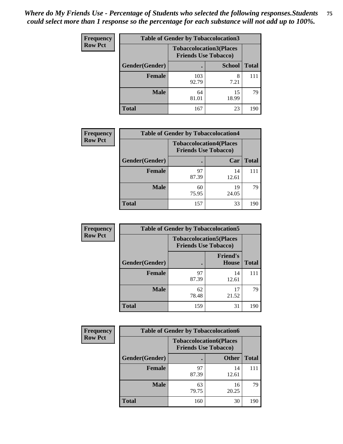| <b>Frequency</b> | <b>Table of Gender by Tobaccolocation3</b> |                                                               |               |              |  |
|------------------|--------------------------------------------|---------------------------------------------------------------|---------------|--------------|--|
| <b>Row Pct</b>   |                                            | <b>Tobaccolocation3(Places</b><br><b>Friends Use Tobacco)</b> |               |              |  |
|                  | Gender(Gender)                             |                                                               | <b>School</b> | <b>Total</b> |  |
|                  | <b>Female</b>                              | 103<br>92.79                                                  | 8<br>7.21     | 111          |  |
|                  | <b>Male</b>                                | 64<br>81.01                                                   | 15<br>18.99   | 79           |  |
|                  | <b>Total</b>                               | 167                                                           | 23            | 190          |  |

| <b>Frequency</b> | <b>Table of Gender by Tobaccolocation4</b> |                                                               |             |              |
|------------------|--------------------------------------------|---------------------------------------------------------------|-------------|--------------|
| <b>Row Pct</b>   |                                            | <b>Tobaccolocation4(Places</b><br><b>Friends Use Tobacco)</b> |             |              |
|                  | Gender(Gender)                             |                                                               | Car         | <b>Total</b> |
|                  | <b>Female</b>                              | 97<br>87.39                                                   | 14<br>12.61 | 111          |
|                  | <b>Male</b>                                | 60<br>75.95                                                   | 19<br>24.05 | 79           |
|                  | <b>Total</b>                               | 157                                                           | 33          | 190          |

| <b>Frequency</b> | <b>Table of Gender by Tobaccolocation5</b> |                                                               |                          |              |
|------------------|--------------------------------------------|---------------------------------------------------------------|--------------------------|--------------|
| <b>Row Pct</b>   |                                            | <b>Tobaccolocation5(Places</b><br><b>Friends Use Tobacco)</b> |                          |              |
|                  | Gender(Gender)                             |                                                               | <b>Friend's</b><br>House | <b>Total</b> |
|                  | <b>Female</b>                              | 97<br>87.39                                                   | 14<br>12.61              | 111          |
|                  | <b>Male</b>                                | 62<br>78.48                                                   | 17<br>21.52              | 79           |
|                  | <b>Total</b>                               | 159                                                           | 31                       | 190          |

| <b>Frequency</b> |                | <b>Table of Gender by Tobaccolocation6</b>                    |              |              |  |
|------------------|----------------|---------------------------------------------------------------|--------------|--------------|--|
| <b>Row Pct</b>   |                | <b>Tobaccolocation6(Places</b><br><b>Friends Use Tobacco)</b> |              |              |  |
|                  | Gender(Gender) |                                                               | <b>Other</b> | <b>Total</b> |  |
|                  | Female         | 97<br>87.39                                                   | 14<br>12.61  | 111          |  |
|                  | <b>Male</b>    | 63<br>79.75                                                   | 16<br>20.25  | 79           |  |
|                  | <b>Total</b>   | 160                                                           | 30           | 190          |  |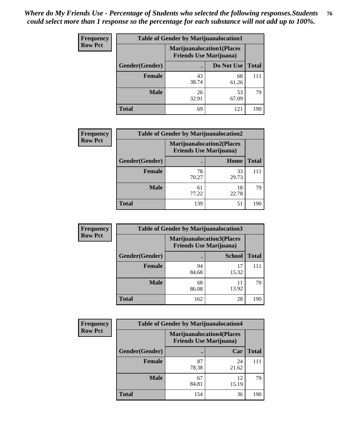| <b>Frequency</b> | <b>Table of Gender by Marijuanalocation1</b> |                                |                                  |              |  |
|------------------|----------------------------------------------|--------------------------------|----------------------------------|--------------|--|
| <b>Row Pct</b>   |                                              | <b>Friends Use Marijuana</b> ) | <b>Marijuanalocation1(Places</b> |              |  |
|                  | Gender(Gender)                               |                                | Do Not Use                       | <b>Total</b> |  |
|                  | <b>Female</b>                                | 43<br>38.74                    | 68<br>61.26                      | 111          |  |
|                  | <b>Male</b>                                  | 26<br>32.91                    | 53<br>67.09                      | 79           |  |
|                  | Total                                        | 69                             | 121                              | 190          |  |

| <b>Frequency</b> | <b>Table of Gender by Marijuanalocation2</b> |                                                                    |             |              |  |
|------------------|----------------------------------------------|--------------------------------------------------------------------|-------------|--------------|--|
| <b>Row Pct</b>   |                                              | <b>Marijuanalocation2(Places</b><br><b>Friends Use Marijuana</b> ) |             |              |  |
|                  | Gender(Gender)                               |                                                                    | Home        | <b>Total</b> |  |
|                  | Female                                       | 78<br>70.27                                                        | 33<br>29.73 | 111          |  |
|                  | <b>Male</b>                                  | 61<br>77.22                                                        | 18<br>22.78 | 79           |  |
|                  | <b>Total</b>                                 | 139                                                                | 51          | 190          |  |

| Frequency      | <b>Table of Gender by Marijuanalocation3</b> |                                                                    |               |              |
|----------------|----------------------------------------------|--------------------------------------------------------------------|---------------|--------------|
| <b>Row Pct</b> |                                              | <b>Marijuanalocation3(Places</b><br><b>Friends Use Marijuana</b> ) |               |              |
|                | Gender(Gender)                               |                                                                    | <b>School</b> | <b>Total</b> |
|                | Female                                       | 94<br>84.68                                                        | 17<br>15.32   | 111          |
|                | <b>Male</b>                                  | 68<br>86.08                                                        | 11<br>13.92   | 79           |
|                | <b>Total</b>                                 | 162                                                                | 28            | 190          |

| <b>Frequency</b> |                | <b>Table of Gender by Marijuanalocation4</b> |                                  |              |
|------------------|----------------|----------------------------------------------|----------------------------------|--------------|
| <b>Row Pct</b>   |                | <b>Friends Use Marijuana</b> )               | <b>Marijuanalocation4(Places</b> |              |
|                  | Gender(Gender) |                                              | Car                              | <b>Total</b> |
|                  | Female         | 87<br>78.38                                  | 24<br>21.62                      | 111          |
|                  | <b>Male</b>    | 67<br>84.81                                  | 12<br>15.19                      | 79           |
|                  | <b>Total</b>   | 154                                          | 36                               | 190          |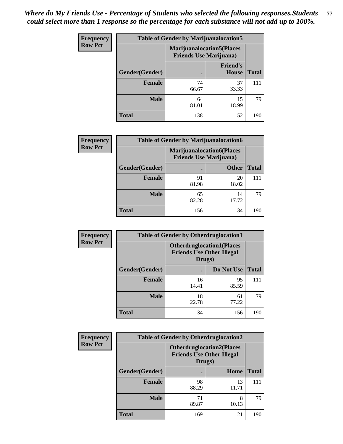| <b>Frequency</b> | <b>Table of Gender by Marijuanalocation5</b> |                                                                     |                          |              |
|------------------|----------------------------------------------|---------------------------------------------------------------------|--------------------------|--------------|
| <b>Row Pct</b>   |                                              | <b>Marijuanalocation5</b> (Places<br><b>Friends Use Marijuana</b> ) |                          |              |
|                  | Gender(Gender)                               |                                                                     | <b>Friend's</b><br>House | <b>Total</b> |
|                  | Female                                       | 74<br>66.67                                                         | 37<br>33.33              | 111          |
|                  | <b>Male</b>                                  | 64<br>81.01                                                         | 15<br>18.99              | 79           |
|                  | <b>Total</b>                                 | 138                                                                 | 52                       | 190          |

| <b>Frequency</b> | <b>Table of Gender by Marijuanalocation6</b> |                                                                    |              |              |
|------------------|----------------------------------------------|--------------------------------------------------------------------|--------------|--------------|
| <b>Row Pct</b>   |                                              | <b>Marijuanalocation6(Places</b><br><b>Friends Use Marijuana</b> ) |              |              |
|                  | Gender(Gender)                               |                                                                    | <b>Other</b> | <b>Total</b> |
|                  | <b>Female</b>                                | 91<br>81.98                                                        | 20<br>18.02  | 111          |
|                  | <b>Male</b>                                  | 65<br>82.28                                                        | 14<br>17.72  | 79           |
|                  | <b>Total</b>                                 | 156                                                                | 34           | 190          |

| Frequency      | <b>Table of Gender by Otherdruglocation1</b> |                                                                                |             |              |
|----------------|----------------------------------------------|--------------------------------------------------------------------------------|-------------|--------------|
| <b>Row Pct</b> |                                              | <b>Otherdruglocation1(Places</b><br><b>Friends Use Other Illegal</b><br>Drugs) |             |              |
|                | <b>Gender</b> (Gender)                       |                                                                                | Do Not Use  | <b>Total</b> |
|                | <b>Female</b>                                | 16<br>14.41                                                                    | 95<br>85.59 | 111          |
|                | <b>Male</b>                                  | 18<br>22.78                                                                    | 61<br>77.22 | 79           |
|                | <b>Total</b>                                 | 34                                                                             | 156         | 190          |

| Frequency      | <b>Table of Gender by Otherdruglocation2</b> |                                                                                |             |              |
|----------------|----------------------------------------------|--------------------------------------------------------------------------------|-------------|--------------|
| <b>Row Pct</b> |                                              | <b>Otherdruglocation2(Places</b><br><b>Friends Use Other Illegal</b><br>Drugs) |             |              |
|                | Gender(Gender)                               |                                                                                | Home        | <b>Total</b> |
|                | <b>Female</b>                                | 98<br>88.29                                                                    | 13<br>11.71 | 111          |
|                | <b>Male</b>                                  | 71<br>89.87                                                                    | 8<br>10.13  | 79           |
|                | <b>Total</b>                                 | 169                                                                            | 21          | 190          |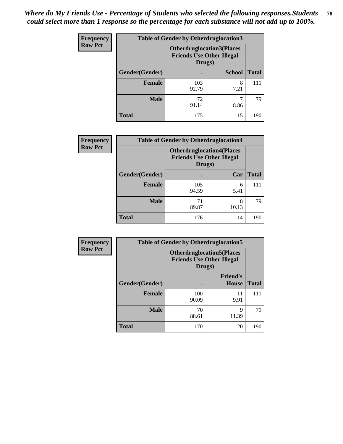| Frequency      | <b>Table of Gender by Otherdruglocation3</b> |                                                                                |               |              |
|----------------|----------------------------------------------|--------------------------------------------------------------------------------|---------------|--------------|
| <b>Row Pct</b> |                                              | <b>Otherdruglocation3(Places</b><br><b>Friends Use Other Illegal</b><br>Drugs) |               |              |
|                | Gender(Gender)                               |                                                                                | <b>School</b> | <b>Total</b> |
|                | <b>Female</b>                                | 103<br>92.79                                                                   | 8<br>7.21     | 111          |
|                | <b>Male</b>                                  | 72<br>91.14                                                                    | 8.86          | 79           |
|                | <b>Total</b>                                 | 175                                                                            | 15            | 190          |

| Frequency      | <b>Table of Gender by Otherdruglocation4</b> |                                                                                |            |              |
|----------------|----------------------------------------------|--------------------------------------------------------------------------------|------------|--------------|
| <b>Row Pct</b> |                                              | <b>Otherdruglocation4(Places</b><br><b>Friends Use Other Illegal</b><br>Drugs) |            |              |
|                | Gender(Gender)                               |                                                                                | Car        | <b>Total</b> |
|                | Female                                       | 105<br>94.59                                                                   | 6<br>5.41  | 111          |
|                | <b>Male</b>                                  | 71<br>89.87                                                                    | 8<br>10.13 | 79           |
|                | <b>Total</b>                                 | 176                                                                            | 14         | 190          |

| Frequency      | <b>Table of Gender by Otherdruglocation5</b> |                                                                                |                                 |              |
|----------------|----------------------------------------------|--------------------------------------------------------------------------------|---------------------------------|--------------|
| <b>Row Pct</b> |                                              | <b>Otherdruglocation5(Places</b><br><b>Friends Use Other Illegal</b><br>Drugs) |                                 |              |
|                | Gender(Gender)                               |                                                                                | <b>Friend's</b><br><b>House</b> | <b>Total</b> |
|                | <b>Female</b>                                | 100<br>90.09                                                                   | 11<br>9.91                      | 111          |
|                | <b>Male</b>                                  | 70<br>88.61                                                                    | 9<br>11.39                      | 79           |
|                | <b>Total</b>                                 | 170                                                                            | 20                              | 190          |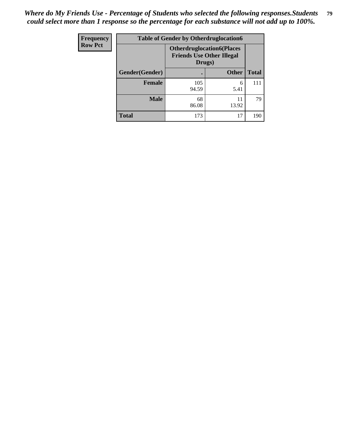| <b>Frequency</b> | <b>Table of Gender by Otherdruglocation6</b> |                                            |                                  |              |
|------------------|----------------------------------------------|--------------------------------------------|----------------------------------|--------------|
| <b>Row Pct</b>   |                                              | <b>Friends Use Other Illegal</b><br>Drugs) | <b>Otherdruglocation6(Places</b> |              |
|                  | Gender(Gender)                               |                                            | <b>Other</b>                     | <b>Total</b> |
|                  | Female                                       | 105<br>94.59                               | 6<br>5.41                        | 111          |
|                  | <b>Male</b>                                  | 68<br>86.08                                | 11<br>13.92                      | 79           |
|                  | <b>Total</b>                                 | 173                                        | 17                               | 190          |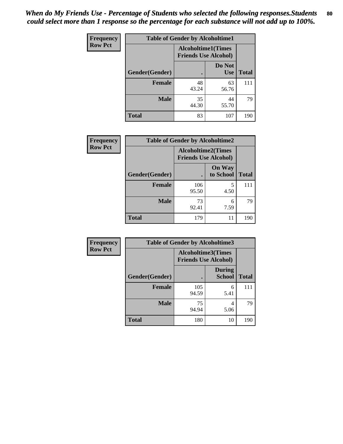| <b>Frequency</b> | <b>Table of Gender by Alcoholtime1</b> |                                                          |                      |              |
|------------------|----------------------------------------|----------------------------------------------------------|----------------------|--------------|
| <b>Row Pct</b>   |                                        | <b>Alcoholtime1(Times</b><br><b>Friends Use Alcohol)</b> |                      |              |
|                  | Gender(Gender)                         | ٠                                                        | Do Not<br><b>Use</b> | <b>Total</b> |
|                  | <b>Female</b>                          | 48<br>43.24                                              | 63<br>56.76          | 111          |
|                  | <b>Male</b>                            | 35<br>44.30                                              | 44<br>55.70          | 79           |
|                  | <b>Total</b>                           | 83                                                       | 107                  | 190          |

| <b>Frequency</b> | <b>Table of Gender by Alcoholtime2</b> |                                                          |                            |              |
|------------------|----------------------------------------|----------------------------------------------------------|----------------------------|--------------|
| <b>Row Pct</b>   |                                        | <b>Alcoholtime2(Times</b><br><b>Friends Use Alcohol)</b> |                            |              |
|                  | Gender(Gender)                         |                                                          | <b>On Way</b><br>to School | <b>Total</b> |
|                  | <b>Female</b>                          | 106<br>95.50                                             | 5<br>4.50                  | 111          |
|                  | <b>Male</b>                            | 73<br>92.41                                              | 6<br>7.59                  | 79           |
|                  | <b>Total</b>                           | 179                                                      | 11                         | 190          |

| Frequency      | <b>Table of Gender by Alcoholtime3</b> |                                                          |                                |              |
|----------------|----------------------------------------|----------------------------------------------------------|--------------------------------|--------------|
| <b>Row Pct</b> |                                        | <b>Alcoholtime3(Times</b><br><b>Friends Use Alcohol)</b> |                                |              |
|                | Gender(Gender)                         |                                                          | <b>During</b><br><b>School</b> | <b>Total</b> |
|                | Female                                 | 105<br>94.59                                             | 6<br>5.41                      | 111          |
|                | <b>Male</b>                            | 75<br>94.94                                              | 4<br>5.06                      | 79           |
|                | <b>Total</b>                           | 180                                                      | 10                             | 190          |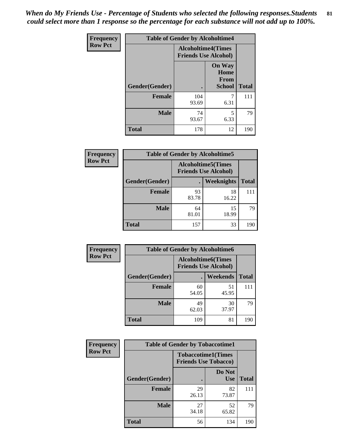*When do My Friends Use - Percentage of Students who selected the following responses.Students could select more than 1 response so the percentage for each substance will not add up to 100%.* **81**

| <b>Frequency</b> | <b>Table of Gender by Alcoholtime4</b> |                                                          |                                                       |              |
|------------------|----------------------------------------|----------------------------------------------------------|-------------------------------------------------------|--------------|
| <b>Row Pct</b>   |                                        | <b>Alcoholtime4(Times</b><br><b>Friends Use Alcohol)</b> |                                                       |              |
|                  | <b>Gender</b> (Gender)                 |                                                          | <b>On Way</b><br>Home<br><b>From</b><br><b>School</b> | <b>Total</b> |
|                  | <b>Female</b>                          | 104<br>93.69                                             | 7<br>6.31                                             | 111          |
|                  | <b>Male</b>                            | 74<br>93.67                                              | 5<br>6.33                                             | 79           |
|                  | <b>Total</b>                           | 178                                                      | 12                                                    | 190          |

| <b>Frequency</b> | <b>Table of Gender by Alcoholtime5</b> |                                                           |             |              |
|------------------|----------------------------------------|-----------------------------------------------------------|-------------|--------------|
| <b>Row Pct</b>   |                                        | <b>Alcoholtime5</b> (Times<br><b>Friends Use Alcohol)</b> |             |              |
|                  | Gender(Gender)                         |                                                           | Weeknights  | <b>Total</b> |
|                  | <b>Female</b>                          | 93<br>83.78                                               | 18<br>16.22 | 111          |
|                  | <b>Male</b>                            | 64<br>81.01                                               | 15<br>18.99 | 79           |
|                  | <b>Total</b>                           | 157                                                       | 33          | 190          |

| <b>Frequency</b> |                | <b>Table of Gender by Alcoholtime6</b> |                                                           |              |  |
|------------------|----------------|----------------------------------------|-----------------------------------------------------------|--------------|--|
| <b>Row Pct</b>   |                |                                        | <b>Alcoholtime6</b> (Times<br><b>Friends Use Alcohol)</b> |              |  |
|                  | Gender(Gender) |                                        | Weekends                                                  | <b>Total</b> |  |
|                  | Female         | 60<br>54.05                            | 51<br>45.95                                               | 111          |  |
|                  | <b>Male</b>    | 49<br>62.03                            | 30<br>37.97                                               | 79           |  |
|                  | <b>Total</b>   | 109                                    | 81                                                        | 190          |  |

| Frequency      | <b>Table of Gender by Tobaccotime1</b> |                                                          |                      |              |
|----------------|----------------------------------------|----------------------------------------------------------|----------------------|--------------|
| <b>Row Pct</b> |                                        | <b>Tobaccotime1(Times</b><br><b>Friends Use Tobacco)</b> |                      |              |
|                | Gender(Gender)                         |                                                          | Do Not<br><b>Use</b> | <b>Total</b> |
|                | <b>Female</b>                          | 29<br>26.13                                              | 82<br>73.87          | 111          |
|                | <b>Male</b>                            | 27<br>34.18                                              | 52<br>65.82          | 79           |
|                | <b>Total</b>                           | 56                                                       | 134                  | 190          |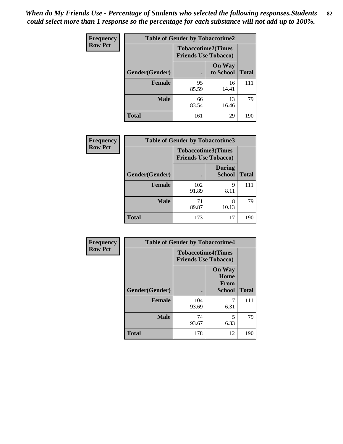| <b>Frequency</b> | <b>Table of Gender by Tobaccotime2</b> |                                                          |                            |              |
|------------------|----------------------------------------|----------------------------------------------------------|----------------------------|--------------|
| <b>Row Pct</b>   |                                        | <b>Tobaccotime2(Times</b><br><b>Friends Use Tobacco)</b> |                            |              |
|                  | Gender(Gender)                         |                                                          | <b>On Way</b><br>to School | <b>Total</b> |
|                  | <b>Female</b>                          | 95<br>85.59                                              | 16<br>14.41                | 111          |
|                  | <b>Male</b>                            | 66<br>83.54                                              | 13<br>16.46                | 79           |
|                  | <b>Total</b>                           | 161                                                      | 29                         | 190          |

| <b>Frequency</b> | <b>Table of Gender by Tobaccotime3</b> |                                                          |                                |              |
|------------------|----------------------------------------|----------------------------------------------------------|--------------------------------|--------------|
| <b>Row Pct</b>   |                                        | <b>Tobaccotime3(Times</b><br><b>Friends Use Tobacco)</b> |                                |              |
|                  | Gender(Gender)                         |                                                          | <b>During</b><br><b>School</b> | <b>Total</b> |
|                  | Female                                 | 102<br>91.89                                             | 9<br>8.11                      |              |
|                  | <b>Male</b>                            | 71<br>89.87                                              | 8<br>10.13                     | 79           |
|                  | <b>Total</b>                           | 173                                                      | 17                             | 190          |

| <b>Frequency</b> | <b>Table of Gender by Tobaccotime4</b> |                                                          |                                                |              |
|------------------|----------------------------------------|----------------------------------------------------------|------------------------------------------------|--------------|
| <b>Row Pct</b>   |                                        | <b>Tobaccotime4(Times</b><br><b>Friends Use Tobacco)</b> |                                                |              |
|                  | Gender(Gender)                         |                                                          | <b>On Way</b><br>Home<br>From<br><b>School</b> | <b>Total</b> |
|                  | <b>Female</b>                          | 104<br>93.69                                             | 6.31                                           | 111          |
|                  | <b>Male</b>                            | 74<br>93.67                                              | 5<br>6.33                                      | 79           |
|                  | <b>Total</b>                           | 178                                                      | 12                                             | 190          |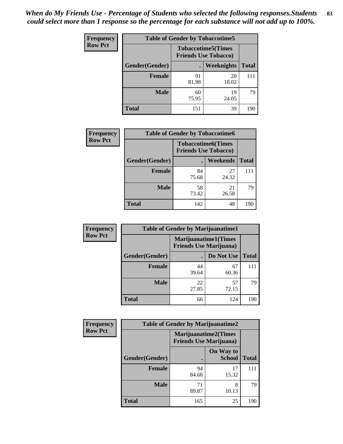| <b>Frequency</b> | <b>Table of Gender by Tobaccotime5</b> |                                                           |             |              |
|------------------|----------------------------------------|-----------------------------------------------------------|-------------|--------------|
| <b>Row Pct</b>   |                                        | <b>Tobaccotime5</b> (Times<br><b>Friends Use Tobacco)</b> |             |              |
|                  | Gender(Gender)                         |                                                           | Weeknights  | <b>Total</b> |
|                  | <b>Female</b>                          | 91<br>81.98                                               | 20<br>18.02 | 111          |
|                  | <b>Male</b>                            | 60<br>75.95                                               | 19<br>24.05 | 79           |
|                  | <b>Total</b>                           | 151                                                       | 39          | 190          |

| <b>Frequency</b> | <b>Table of Gender by Tobaccotime6</b> |                                                          |                 |              |
|------------------|----------------------------------------|----------------------------------------------------------|-----------------|--------------|
| <b>Row Pct</b>   |                                        | <b>Tobaccotime6(Times</b><br><b>Friends Use Tobacco)</b> |                 |              |
|                  | Gender(Gender)                         |                                                          | <b>Weekends</b> | <b>Total</b> |
|                  | Female                                 | 84<br>75.68                                              | 27<br>24.32     | 111          |
|                  | <b>Male</b>                            | 58<br>73.42                                              | 21<br>26.58     | 79           |
|                  | <b>Total</b>                           | 142                                                      | 48              | 190          |

| <b>Frequency</b> | <b>Table of Gender by Marijuanatime1</b> |                                |                             |              |
|------------------|------------------------------------------|--------------------------------|-----------------------------|--------------|
| <b>Row Pct</b>   |                                          | <b>Friends Use Marijuana</b> ) | <b>Marijuanatime1(Times</b> |              |
|                  | <b>Gender</b> (Gender)                   |                                | Do Not Use                  | <b>Total</b> |
|                  | Female                                   | 44<br>39.64                    | 67<br>60.36                 | 111          |
|                  | <b>Male</b>                              | 22<br>27.85                    | 57<br>72.15                 | 79           |
|                  | <b>Total</b>                             | 66                             | 124                         | 190          |

| <b>Frequency</b> | <b>Table of Gender by Marijuanatime2</b> |                                                               |                            |              |
|------------------|------------------------------------------|---------------------------------------------------------------|----------------------------|--------------|
| <b>Row Pct</b>   |                                          | <b>Marijuanatime2(Times</b><br><b>Friends Use Marijuana</b> ) |                            |              |
|                  | Gender(Gender)                           |                                                               | On Way to<br><b>School</b> | <b>Total</b> |
|                  | Female                                   | 94<br>84.68                                                   | 17<br>15.32                | 111          |
|                  | <b>Male</b>                              | 71<br>89.87                                                   | 8<br>10.13                 | 79           |
|                  | <b>Total</b>                             | 165                                                           | 25                         | 190          |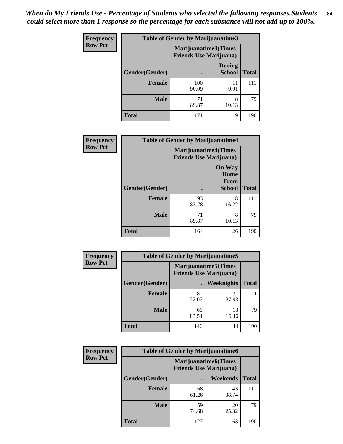| <b>Frequency</b> | Table of Gender by Marijuanatime3 |                                |                                |              |
|------------------|-----------------------------------|--------------------------------|--------------------------------|--------------|
| <b>Row Pct</b>   |                                   | <b>Friends Use Marijuana</b> ) | Marijuanatime3(Times           |              |
|                  | Gender(Gender)                    |                                | <b>During</b><br><b>School</b> | <b>Total</b> |
|                  | <b>Female</b>                     | 100<br>90.09                   | 11<br>9.91                     | 111          |
|                  | <b>Male</b>                       | 71<br>89.87                    | 8<br>10.13                     | 79           |
|                  | <b>Total</b>                      | 171                            | 19                             | 190          |

| Frequency      | <b>Table of Gender by Marijuanatime4</b> |                                                               |                                                       |              |
|----------------|------------------------------------------|---------------------------------------------------------------|-------------------------------------------------------|--------------|
| <b>Row Pct</b> |                                          | <b>Marijuanatime4(Times</b><br><b>Friends Use Marijuana</b> ) |                                                       |              |
|                | Gender(Gender)                           |                                                               | <b>On Way</b><br>Home<br><b>From</b><br><b>School</b> | <b>Total</b> |
|                | <b>Female</b>                            | 93<br>83.78                                                   | 18<br>16.22                                           | 111          |
|                | <b>Male</b>                              | 71<br>89.87                                                   | 8<br>10.13                                            | 79           |
|                | <b>Total</b>                             | 164                                                           | 26                                                    | 190          |

| Frequency      | <b>Table of Gender by Marijuanatime5</b> |             |                                                                |              |  |
|----------------|------------------------------------------|-------------|----------------------------------------------------------------|--------------|--|
| <b>Row Pct</b> |                                          |             | <b>Marijuanatime5</b> (Times<br><b>Friends Use Marijuana</b> ) |              |  |
|                | Gender(Gender)                           |             | <b>Weeknights</b>                                              | <b>Total</b> |  |
|                | <b>Female</b>                            | 80<br>72.07 | 31<br>27.93                                                    | 111          |  |
|                | <b>Male</b>                              | 66<br>83.54 | 13<br>16.46                                                    | 79           |  |
|                | <b>Total</b>                             | 146         | 44                                                             | 190          |  |

| Frequency      | <b>Table of Gender by Marijuanatime6</b> |                                                               |                 |              |  |
|----------------|------------------------------------------|---------------------------------------------------------------|-----------------|--------------|--|
| <b>Row Pct</b> |                                          | <b>Marijuanatime6(Times</b><br><b>Friends Use Marijuana</b> ) |                 |              |  |
|                | Gender(Gender)                           |                                                               | <b>Weekends</b> | <b>Total</b> |  |
|                | <b>Female</b>                            | 68<br>61.26                                                   | 43<br>38.74     | 111          |  |
|                | <b>Male</b>                              | 59<br>74.68                                                   | 20<br>25.32     | 79           |  |
|                | <b>Total</b>                             | 127                                                           | 63              | 190          |  |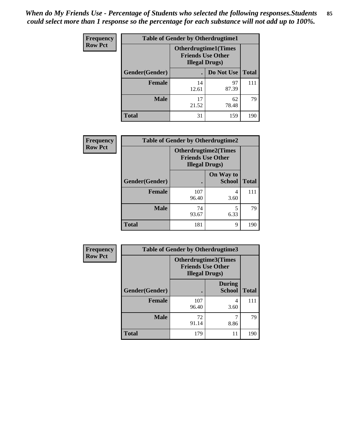*When do My Friends Use - Percentage of Students who selected the following responses.Students could select more than 1 response so the percentage for each substance will not add up to 100%.* **85**

| <b>Frequency</b> | <b>Table of Gender by Otherdrugtime1</b> |                        |                                                          |              |  |
|------------------|------------------------------------------|------------------------|----------------------------------------------------------|--------------|--|
| <b>Row Pct</b>   |                                          | <b>Illegal Drugs</b> ) | <b>Otherdrugtime1</b> (Times<br><b>Friends Use Other</b> |              |  |
|                  | Gender(Gender)                           |                        | Do Not Use                                               | <b>Total</b> |  |
|                  | <b>Female</b>                            | 14<br>12.61            | 97<br>87.39                                              | 111          |  |
|                  | <b>Male</b>                              | 17<br>21.52            | 62<br>78.48                                              | 79           |  |
|                  | <b>Total</b>                             | 31                     | 159                                                      | 190          |  |

| Frequency      | <b>Table of Gender by Otherdrugtime2</b> |                                                                                   |                            |              |
|----------------|------------------------------------------|-----------------------------------------------------------------------------------|----------------------------|--------------|
| <b>Row Pct</b> |                                          | <b>Otherdrugtime2(Times</b><br><b>Friends Use Other</b><br><b>Illegal Drugs</b> ) |                            |              |
|                | Gender(Gender)                           |                                                                                   | On Way to<br><b>School</b> | <b>Total</b> |
|                | <b>Female</b>                            | 107<br>96.40                                                                      | 4<br>3.60                  | 111          |
|                | <b>Male</b>                              | 74<br>93.67                                                                       | 5<br>6.33                  | 79           |
|                | <b>Total</b>                             | 181                                                                               | 9                          | 190          |

| Frequency      |                | <b>Table of Gender by Otherdrugtime3</b> |                                                         |              |
|----------------|----------------|------------------------------------------|---------------------------------------------------------|--------------|
| <b>Row Pct</b> |                | <b>Illegal Drugs</b> )                   | <b>Otherdrugtime3(Times</b><br><b>Friends Use Other</b> |              |
|                | Gender(Gender) |                                          | <b>During</b><br><b>School</b>                          | <b>Total</b> |
|                | <b>Female</b>  | 107<br>96.40                             | 4<br>3.60                                               | 111          |
|                | <b>Male</b>    | 72<br>91.14                              | 8.86                                                    | 79           |
|                | <b>Total</b>   | 179                                      | 11                                                      | 190          |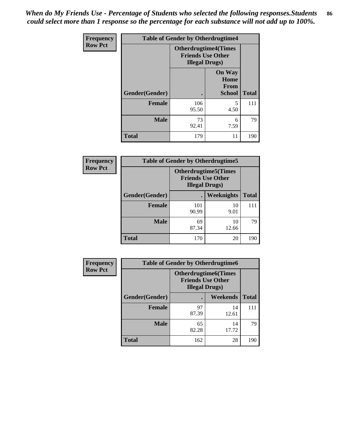*When do My Friends Use - Percentage of Students who selected the following responses.Students could select more than 1 response so the percentage for each substance will not add up to 100%.* **86**

| <b>Frequency</b> | <b>Table of Gender by Otherdrugtime4</b> |                                                    |                                                |              |
|------------------|------------------------------------------|----------------------------------------------------|------------------------------------------------|--------------|
| <b>Row Pct</b>   |                                          | <b>Friends Use Other</b><br><b>Illegal Drugs</b> ) | <b>Otherdrugtime4(Times</b>                    |              |
|                  | Gender(Gender)                           |                                                    | <b>On Way</b><br>Home<br>From<br><b>School</b> | <b>Total</b> |
|                  | Female                                   | 106<br>95.50                                       | 5<br>4.50                                      | 111          |
|                  | <b>Male</b>                              | 73<br>92.41                                        | 6<br>7.59                                      | 79           |
|                  | <b>Total</b>                             | 179                                                | 11                                             | 190          |

| <b>Frequency</b> | <b>Table of Gender by Otherdrugtime5</b> |                                                                                    |             |              |
|------------------|------------------------------------------|------------------------------------------------------------------------------------|-------------|--------------|
| <b>Row Pct</b>   |                                          | <b>Otherdrugtime5</b> (Times<br><b>Friends Use Other</b><br><b>Illegal Drugs</b> ) |             |              |
|                  | Gender(Gender)                           |                                                                                    | Weeknights  | <b>Total</b> |
|                  | <b>Female</b>                            | 101<br>90.99                                                                       | 10<br>9.01  | 111          |
|                  | <b>Male</b>                              | 69<br>87.34                                                                        | 10<br>12.66 | 79           |
|                  | Total                                    | 170                                                                                | 20          | 190          |

| <b>Frequency</b> | <b>Table of Gender by Otherdrugtime6</b> |                                                                                   |             |              |
|------------------|------------------------------------------|-----------------------------------------------------------------------------------|-------------|--------------|
| <b>Row Pct</b>   |                                          | <b>Otherdrugtime6(Times</b><br><b>Friends Use Other</b><br><b>Illegal Drugs</b> ) |             |              |
|                  | Gender(Gender)                           |                                                                                   | Weekends    | <b>Total</b> |
|                  | <b>Female</b>                            | 97<br>87.39                                                                       | 14<br>12.61 | 111          |
|                  | <b>Male</b>                              | 65<br>82.28                                                                       | 14<br>17.72 | 79           |
|                  | <b>Total</b>                             | 162                                                                               | 28          | 190          |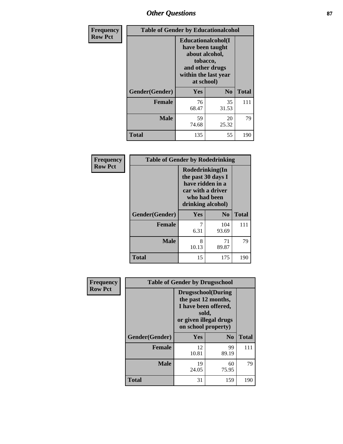# *Other Questions* **87**

| Frequency      | <b>Table of Gender by Educationalcohol</b> |                                                                                                                               |                |              |
|----------------|--------------------------------------------|-------------------------------------------------------------------------------------------------------------------------------|----------------|--------------|
| <b>Row Pct</b> |                                            | Educationalcohol(I<br>have been taught<br>about alcohol,<br>tobacco,<br>and other drugs<br>within the last year<br>at school) |                |              |
|                | Gender(Gender)                             | Yes                                                                                                                           | N <sub>0</sub> | <b>Total</b> |
|                | <b>Female</b>                              | 76<br>68.47                                                                                                                   | 35<br>31.53    | 111          |
|                | <b>Male</b>                                | 59<br>74.68                                                                                                                   | 20<br>25.32    | 79           |
|                | <b>Total</b>                               | 135                                                                                                                           | 55             | 190          |

| Frequency      | <b>Table of Gender by Rodedrinking</b> |                                                                                                                     |              |              |  |
|----------------|----------------------------------------|---------------------------------------------------------------------------------------------------------------------|--------------|--------------|--|
| <b>Row Pct</b> |                                        | Rodedrinking(In<br>the past 30 days I<br>have ridden in a<br>car with a driver<br>who had been<br>drinking alcohol) |              |              |  |
|                | Gender(Gender)                         | Yes                                                                                                                 | $\bf N_0$    | <b>Total</b> |  |
|                | <b>Female</b>                          | 6.31                                                                                                                | 104<br>93.69 | 111          |  |
|                | <b>Male</b>                            | 8<br>10.13                                                                                                          | 71<br>89.87  | 79           |  |
|                | <b>Total</b>                           | 15                                                                                                                  | 175          | 190          |  |

| Frequency      | <b>Table of Gender by Drugsschool</b> |                                                                                                                                     |                |              |
|----------------|---------------------------------------|-------------------------------------------------------------------------------------------------------------------------------------|----------------|--------------|
| <b>Row Pct</b> |                                       | <b>Drugsschool</b> (During<br>the past 12 months,<br>I have been offered,<br>sold,<br>or given illegal drugs<br>on school property) |                |              |
|                | Gender(Gender)                        | Yes                                                                                                                                 | N <sub>0</sub> | <b>Total</b> |
|                | <b>Female</b>                         | 12<br>10.81                                                                                                                         | 99<br>89.19    | 111          |
|                | <b>Male</b>                           | 19<br>24.05                                                                                                                         | 60<br>75.95    | 79           |
|                | <b>Total</b>                          | 31                                                                                                                                  | 159            | 190          |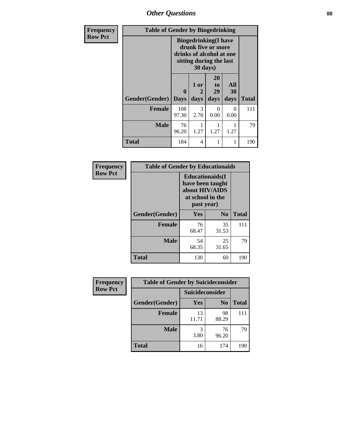*Other Questions* **88**

| <b>Frequency</b> | <b>Table of Gender by Bingedrinking</b> |                                                                                                                       |                       |                        |                   |              |
|------------------|-----------------------------------------|-----------------------------------------------------------------------------------------------------------------------|-----------------------|------------------------|-------------------|--------------|
| <b>Row Pct</b>   |                                         | <b>Bingedrinking</b> (I have<br>drunk five or more<br>drinks of alcohol at one<br>sitting during the last<br>30 days) |                       |                        |                   |              |
|                  | Gender(Gender)                          | $\mathbf 0$<br><b>Days</b>                                                                                            | 1 or<br>2<br>days     | 20<br>to<br>29<br>days | All<br>30<br>days | <b>Total</b> |
|                  | <b>Female</b>                           | 108<br>97.30                                                                                                          | $\mathcal{F}$<br>2.70 | 0<br>0.00              | $\theta$<br>0.00  | 111          |
|                  | Male                                    | 76<br>96.20                                                                                                           | 1.27                  | 1.27                   | 1.27              | 79           |
|                  | <b>Total</b>                            | 184                                                                                                                   | 4                     |                        | 1                 | 190          |

| Frequency      | <b>Table of Gender by Educationaids</b> |                                                                                                 |             |              |  |
|----------------|-----------------------------------------|-------------------------------------------------------------------------------------------------|-------------|--------------|--|
| <b>Row Pct</b> |                                         | <b>Educationaids</b> (I<br>have been taught<br>about HIV/AIDS<br>at school in the<br>past year) |             |              |  |
|                | Gender(Gender)                          | Yes                                                                                             | $\bf N_0$   | <b>Total</b> |  |
|                | <b>Female</b>                           | 76<br>68.47                                                                                     | 35<br>31.53 | 111          |  |
|                | <b>Male</b>                             | 54<br>68.35                                                                                     | 25<br>31.65 | 79           |  |
|                | <b>Total</b>                            | 130                                                                                             | 60          | 190          |  |

| <b>Frequency</b> | <b>Table of Gender by Suicideconsider</b> |                 |                |              |
|------------------|-------------------------------------------|-----------------|----------------|--------------|
| <b>Row Pct</b>   |                                           | Suicideconsider |                |              |
|                  | Gender(Gender)                            | Yes             | N <sub>0</sub> | <b>Total</b> |
|                  | <b>Female</b>                             | 13<br>11.71     | 98<br>88.29    | 111          |
|                  | <b>Male</b>                               | 3.80            | 76<br>96.20    | 79           |
|                  | <b>Total</b>                              | 16              | 174            | 190          |